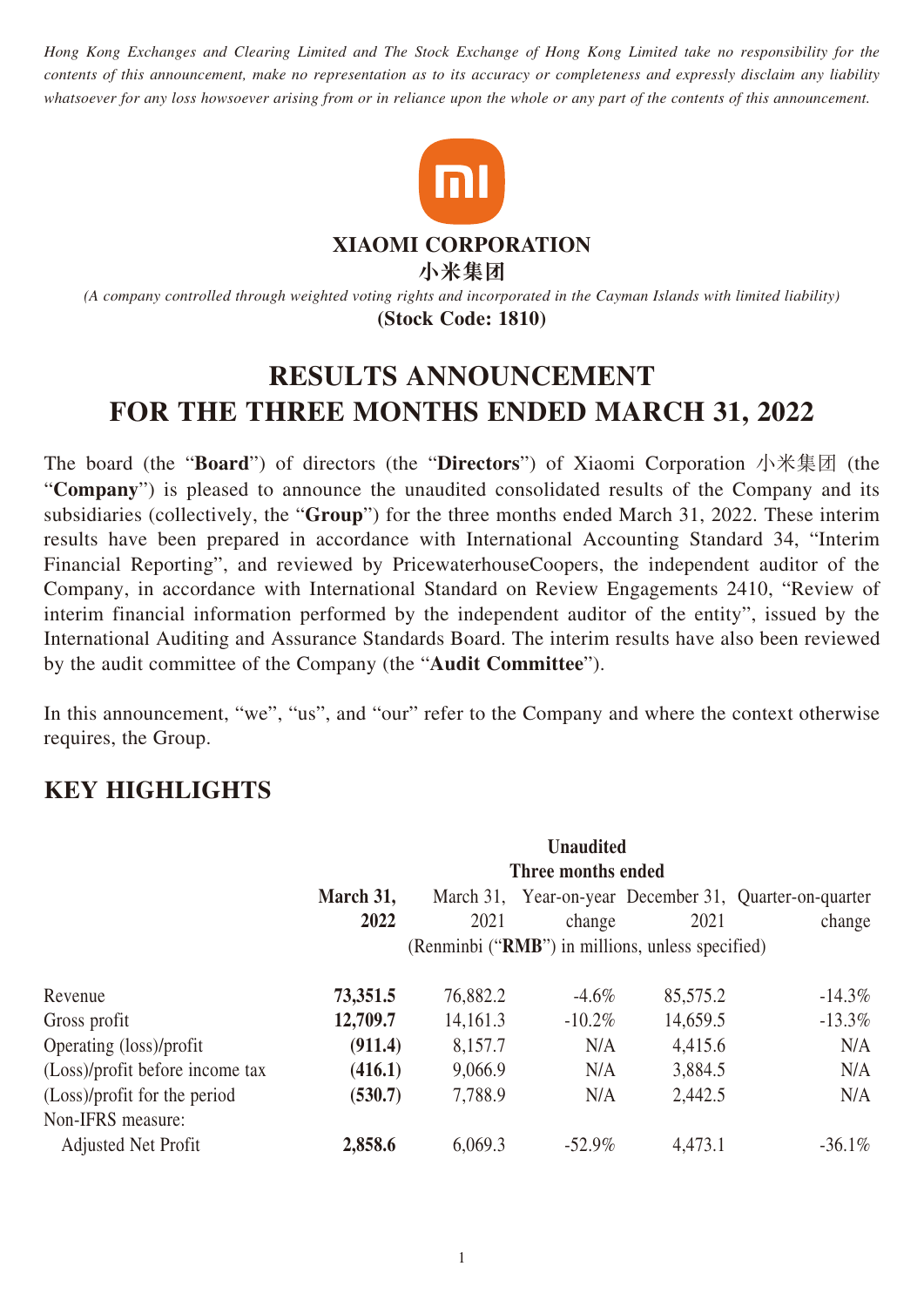*Hong Kong Exchanges and Clearing Limited and The Stock Exchange of Hong Kong Limited take no responsibility for the contents of this announcement, make no representation as to its accuracy or completeness and expressly disclaim any liability whatsoever for any loss howsoever arising from or in reliance upon the whole or any part of the contents of this announcement.*



**XIAOMI CORPORATION**

**小米集團**

*(A company controlled through weighted voting rights and incorporated in the Cayman Islands with limited liability)* **(Stock Code: 1810)**

# **RESULTS ANNOUNCEMENT FOR THE THREE MONTHS ENDED MARCH 31, 2022**

The board (the "**Board**") of directors (the "**Directors**") of Xiaomi Corporation 小米集團 (the "**Company**") is pleased to announce the unaudited consolidated results of the Company and its subsidiaries (collectively, the "**Group**") for the three months ended March 31, 2022. These interim results have been prepared in accordance with International Accounting Standard 34, "Interim Financial Reporting", and reviewed by PricewaterhouseCoopers, the independent auditor of the Company, in accordance with International Standard on Review Engagements 2410, "Review of interim financial information performed by the independent auditor of the entity", issued by the International Auditing and Assurance Standards Board. The interim results have also been reviewed by the audit committee of the Company (the "**Audit Committee**").

In this announcement, "we", "us", and "our" refer to the Company and where the context otherwise requires, the Group.

# **KEY HIGHLIGHTS**

|                                 | <b>Unaudited</b><br>Three months ended                                 |          |           |          |           |  |  |  |
|---------------------------------|------------------------------------------------------------------------|----------|-----------|----------|-----------|--|--|--|
|                                 |                                                                        |          |           |          |           |  |  |  |
|                                 | March 31,<br>Year-on-year December 31, Quarter-on-quarter<br>March 31, |          |           |          |           |  |  |  |
|                                 | 2022                                                                   | 2021     | change    | 2021     | change    |  |  |  |
|                                 | (Renminbi ("RMB") in millions, unless specified)                       |          |           |          |           |  |  |  |
| Revenue                         | 73,351.5                                                               | 76,882.2 | $-4.6\%$  | 85,575.2 | $-14.3\%$ |  |  |  |
| Gross profit                    | 12,709.7                                                               | 14,161.3 | $-10.2\%$ | 14,659.5 | $-13.3\%$ |  |  |  |
| Operating (loss)/profit         | (911.4)                                                                | 8,157.7  | N/A       | 4,415.6  | N/A       |  |  |  |
| (Loss)/profit before income tax | (416.1)                                                                | 9,066.9  | N/A       | 3,884.5  | N/A       |  |  |  |
| (Loss)/profit for the period    | (530.7)                                                                | 7,788.9  | N/A       | 2,442.5  | N/A       |  |  |  |
| Non-IFRS measure:               |                                                                        |          |           |          |           |  |  |  |
| <b>Adjusted Net Profit</b>      | 2,858.6                                                                | 6,069.3  | $-52.9\%$ | 4,473.1  | $-36.1\%$ |  |  |  |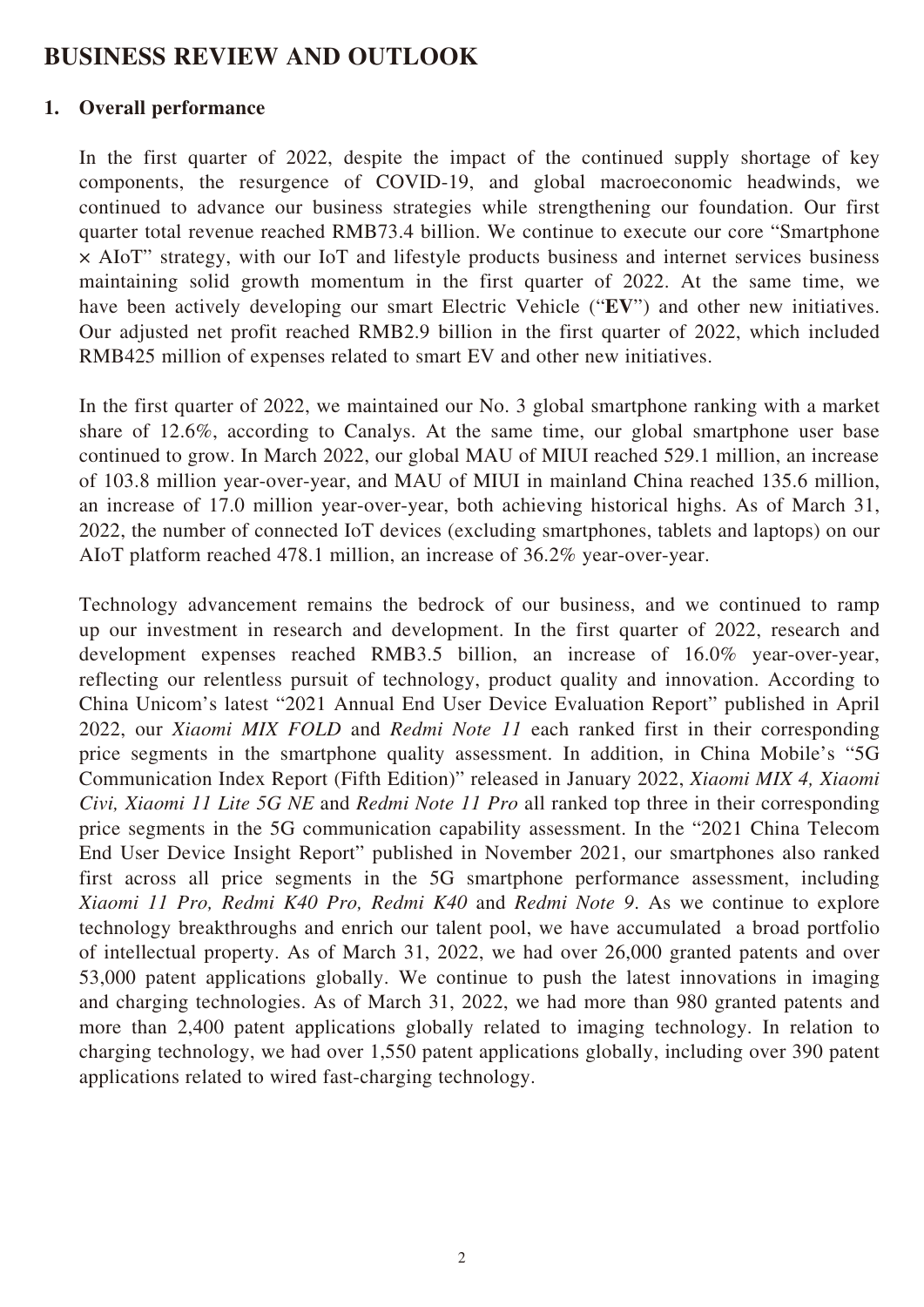# **BUSINESS REVIEW AND OUTLOOK**

### **1. Overall performance**

In the first quarter of 2022, despite the impact of the continued supply shortage of key components, the resurgence of COVID-19, and global macroeconomic headwinds, we continued to advance our business strategies while strengthening our foundation. Our first quarter total revenue reached RMB73.4 billion. We continue to execute our core "Smartphone × AIoT" strategy, with our IoT and lifestyle products business and internet services business maintaining solid growth momentum in the first quarter of 2022. At the same time, we have been actively developing our smart Electric Vehicle ("**EV**") and other new initiatives. Our adjusted net profit reached RMB2.9 billion in the first quarter of 2022, which included RMB425 million of expenses related to smart EV and other new initiatives.

In the first quarter of 2022, we maintained our No. 3 global smartphone ranking with a market share of 12.6%, according to Canalys. At the same time, our global smartphone user base continued to grow. In March 2022, our global MAU of MIUI reached 529.1 million, an increase of 103.8 million year-over-year, and MAU of MIUI in mainland China reached 135.6 million, an increase of 17.0 million year-over-year, both achieving historical highs. As of March 31, 2022, the number of connected IoT devices (excluding smartphones, tablets and laptops) on our AIoT platform reached 478.1 million, an increase of 36.2% year-over-year.

Technology advancement remains the bedrock of our business, and we continued to ramp up our investment in research and development. In the first quarter of 2022, research and development expenses reached RMB3.5 billion, an increase of 16.0% year-over-year, reflecting our relentless pursuit of technology, product quality and innovation. According to China Unicom's latest "2021 Annual End User Device Evaluation Report" published in April 2022, our *Xiaomi MIX FOLD* and *Redmi Note 11* each ranked first in their corresponding price segments in the smartphone quality assessment. In addition, in China Mobile's "5G Communication Index Report (Fifth Edition)" released in January 2022, *Xiaomi MIX 4, Xiaomi Civi, Xiaomi 11 Lite 5G NE* and *Redmi Note 11 Pro* all ranked top three in their corresponding price segments in the 5G communication capability assessment. In the "2021 China Telecom End User Device Insight Report" published in November 2021, our smartphones also ranked first across all price segments in the 5G smartphone performance assessment, including *Xiaomi 11 Pro, Redmi K40 Pro, Redmi K40* and *Redmi Note 9*. As we continue to explore technology breakthroughs and enrich our talent pool, we have accumulated a broad portfolio of intellectual property. As of March 31, 2022, we had over 26,000 granted patents and over 53,000 patent applications globally. We continue to push the latest innovations in imaging and charging technologies. As of March 31, 2022, we had more than 980 granted patents and more than 2,400 patent applications globally related to imaging technology. In relation to charging technology, we had over 1,550 patent applications globally, including over 390 patent applications related to wired fast-charging technology.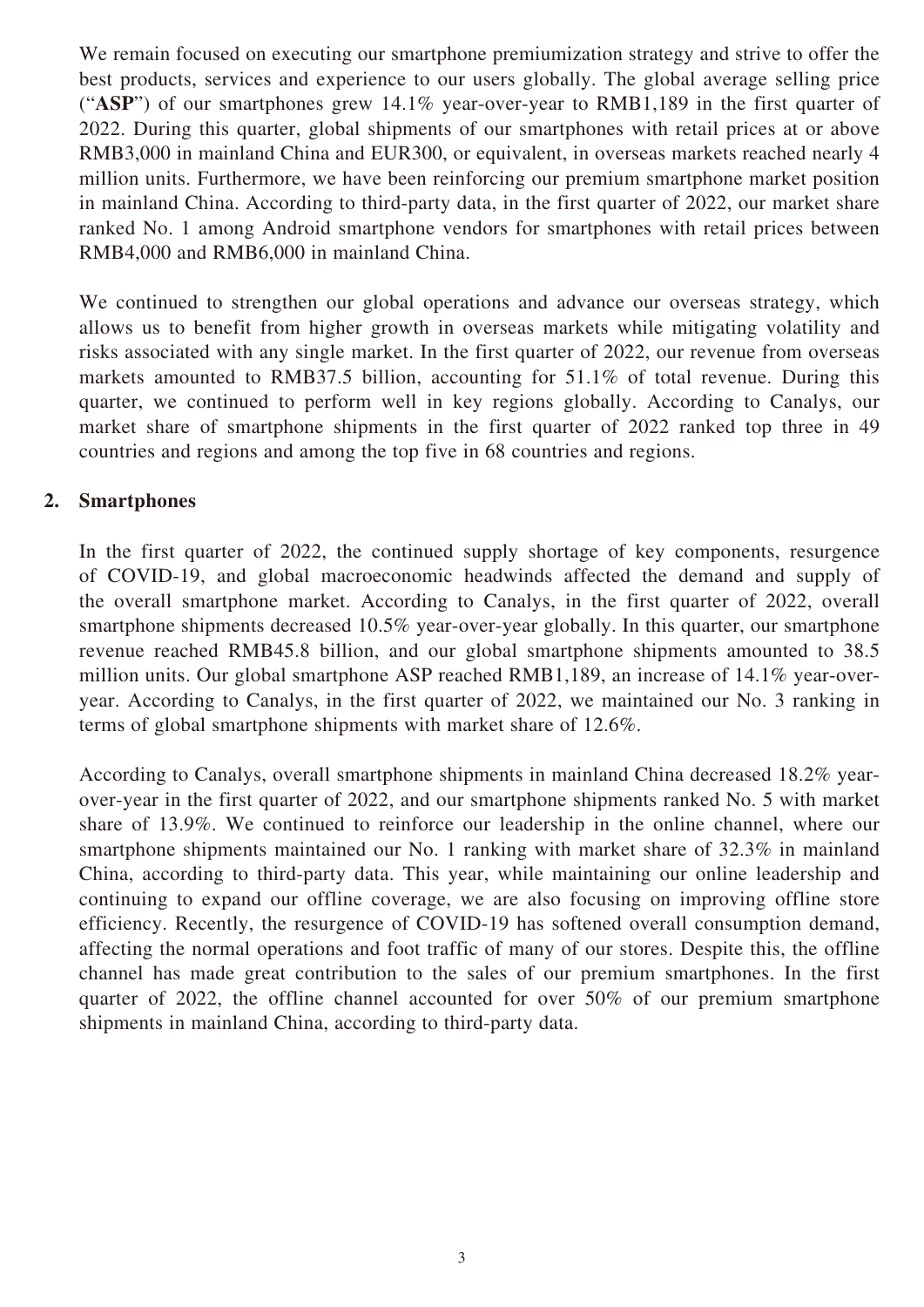We remain focused on executing our smartphone premiumization strategy and strive to offer the best products, services and experience to our users globally. The global average selling price ("**ASP**") of our smartphones grew 14.1% year-over-year to RMB1,189 in the first quarter of 2022. During this quarter, global shipments of our smartphones with retail prices at or above RMB3,000 in mainland China and EUR300, or equivalent, in overseas markets reached nearly 4 million units. Furthermore, we have been reinforcing our premium smartphone market position in mainland China. According to third-party data, in the first quarter of 2022, our market share ranked No. 1 among Android smartphone vendors for smartphones with retail prices between RMB4,000 and RMB6,000 in mainland China.

We continued to strengthen our global operations and advance our overseas strategy, which allows us to benefit from higher growth in overseas markets while mitigating volatility and risks associated with any single market. In the first quarter of 2022, our revenue from overseas markets amounted to RMB37.5 billion, accounting for 51.1% of total revenue. During this quarter, we continued to perform well in key regions globally. According to Canalys, our market share of smartphone shipments in the first quarter of 2022 ranked top three in 49 countries and regions and among the top five in 68 countries and regions.

### **2. Smartphones**

In the first quarter of 2022, the continued supply shortage of key components, resurgence of COVID-19, and global macroeconomic headwinds affected the demand and supply of the overall smartphone market. According to Canalys, in the first quarter of 2022, overall smartphone shipments decreased 10.5% year-over-year globally. In this quarter, our smartphone revenue reached RMB45.8 billion, and our global smartphone shipments amounted to 38.5 million units. Our global smartphone ASP reached RMB1,189, an increase of 14.1% year-overyear. According to Canalys, in the first quarter of 2022, we maintained our No. 3 ranking in terms of global smartphone shipments with market share of 12.6%.

According to Canalys, overall smartphone shipments in mainland China decreased 18.2% yearover-year in the first quarter of 2022, and our smartphone shipments ranked No. 5 with market share of 13.9%. We continued to reinforce our leadership in the online channel, where our smartphone shipments maintained our No. 1 ranking with market share of 32.3% in mainland China, according to third-party data. This year, while maintaining our online leadership and continuing to expand our offline coverage, we are also focusing on improving offline store efficiency. Recently, the resurgence of COVID-19 has softened overall consumption demand, affecting the normal operations and foot traffic of many of our stores. Despite this, the offline channel has made great contribution to the sales of our premium smartphones. In the first quarter of 2022, the offline channel accounted for over 50% of our premium smartphone shipments in mainland China, according to third-party data.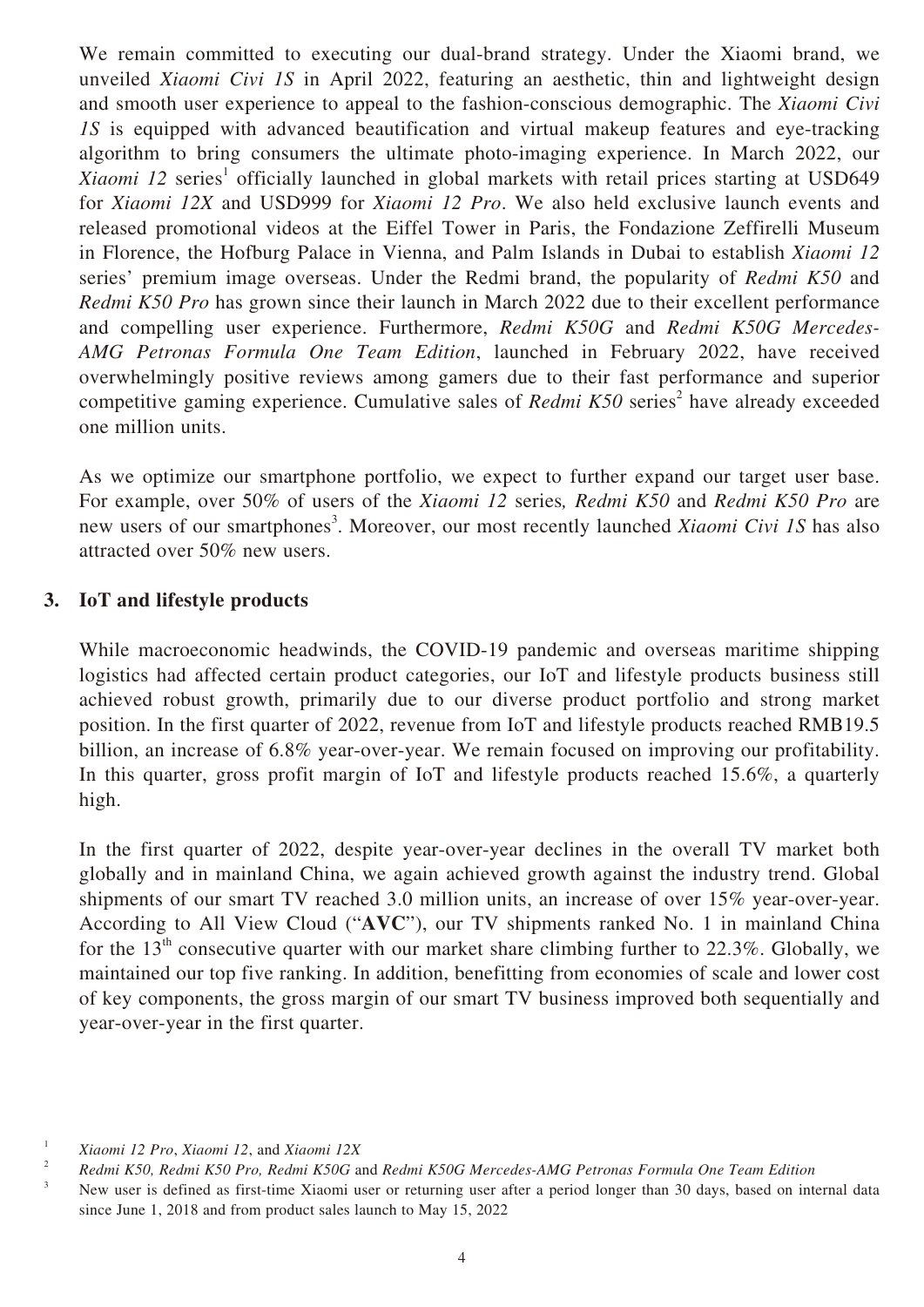We remain committed to executing our dual-brand strategy. Under the Xiaomi brand, we unveiled *Xiaomi Civi 1S* in April 2022, featuring an aesthetic, thin and lightweight design and smooth user experience to appeal to the fashion-conscious demographic. The *Xiaomi Civi 1S* is equipped with advanced beautification and virtual makeup features and eve-tracking algorithm to bring consumers the ultimate photo-imaging experience. In March 2022, our Xiaomi 12 series<sup>1</sup> officially launched in global markets with retail prices starting at USD649 for *Xiaomi 12X* and USD999 for *Xiaomi 12 Pro*. We also held exclusive launch events and released promotional videos at the Eiffel Tower in Paris, the Fondazione Zeffirelli Museum in Florence, the Hofburg Palace in Vienna, and Palm Islands in Dubai to establish *Xiaomi 12* series' premium image overseas. Under the Redmi brand, the popularity of *Redmi K50* and *Redmi K50 Pro* has grown since their launch in March 2022 due to their excellent performance and compelling user experience. Furthermore, *Redmi K50G* and *Redmi K50G Mercedes-AMG Petronas Formula One Team Edition*, launched in February 2022, have received overwhelmingly positive reviews among gamers due to their fast performance and superior competitive gaming experience. Cumulative sales of *Redmi K50* series<sup>2</sup> have already exceeded one million units.

As we optimize our smartphone portfolio, we expect to further expand our target user base. For example, over 50% of users of the *Xiaomi 12* series*, Redmi K50* and *Redmi K50 Pro* are new users of our smartphones<sup>3</sup>. Moreover, our most recently launched *Xiaomi Civi 1S* has also attracted over 50% new users.

#### **3. IoT and lifestyle products**

While macroeconomic headwinds, the COVID-19 pandemic and overseas maritime shipping logistics had affected certain product categories, our IoT and lifestyle products business still achieved robust growth, primarily due to our diverse product portfolio and strong market position. In the first quarter of 2022, revenue from IoT and lifestyle products reached RMB19.5 billion, an increase of 6.8% year-over-year. We remain focused on improving our profitability. In this quarter, gross profit margin of IoT and lifestyle products reached 15.6%, a quarterly high.

In the first quarter of 2022, despite year-over-year declines in the overall TV market both globally and in mainland China, we again achieved growth against the industry trend. Global shipments of our smart TV reached 3.0 million units, an increase of over 15% year-over-year. According to All View Cloud ("**AVC**"), our TV shipments ranked No. 1 in mainland China for the  $13<sup>th</sup>$  consecutive quarter with our market share climbing further to 22.3%. Globally, we maintained our top five ranking. In addition, benefitting from economies of scale and lower cost of key components, the gross margin of our smart TV business improved both sequentially and year-over-year in the first quarter.

<sup>1</sup> *Xiaomi 12 Pro*, *Xiaomi 12*, and *Xiaomi 12X*

<sup>&</sup>lt;sup>2</sup> *Redmi K50, Redmi K50 Pro, Redmi K50G and Redmi K50G Mercedes-AMG Petronas Formula One Team Edition* 

<sup>3</sup> New user is defined as first-time Xiaomi user or returning user after a period longer than 30 days, based on internal data since June 1, 2018 and from product sales launch to May 15, 2022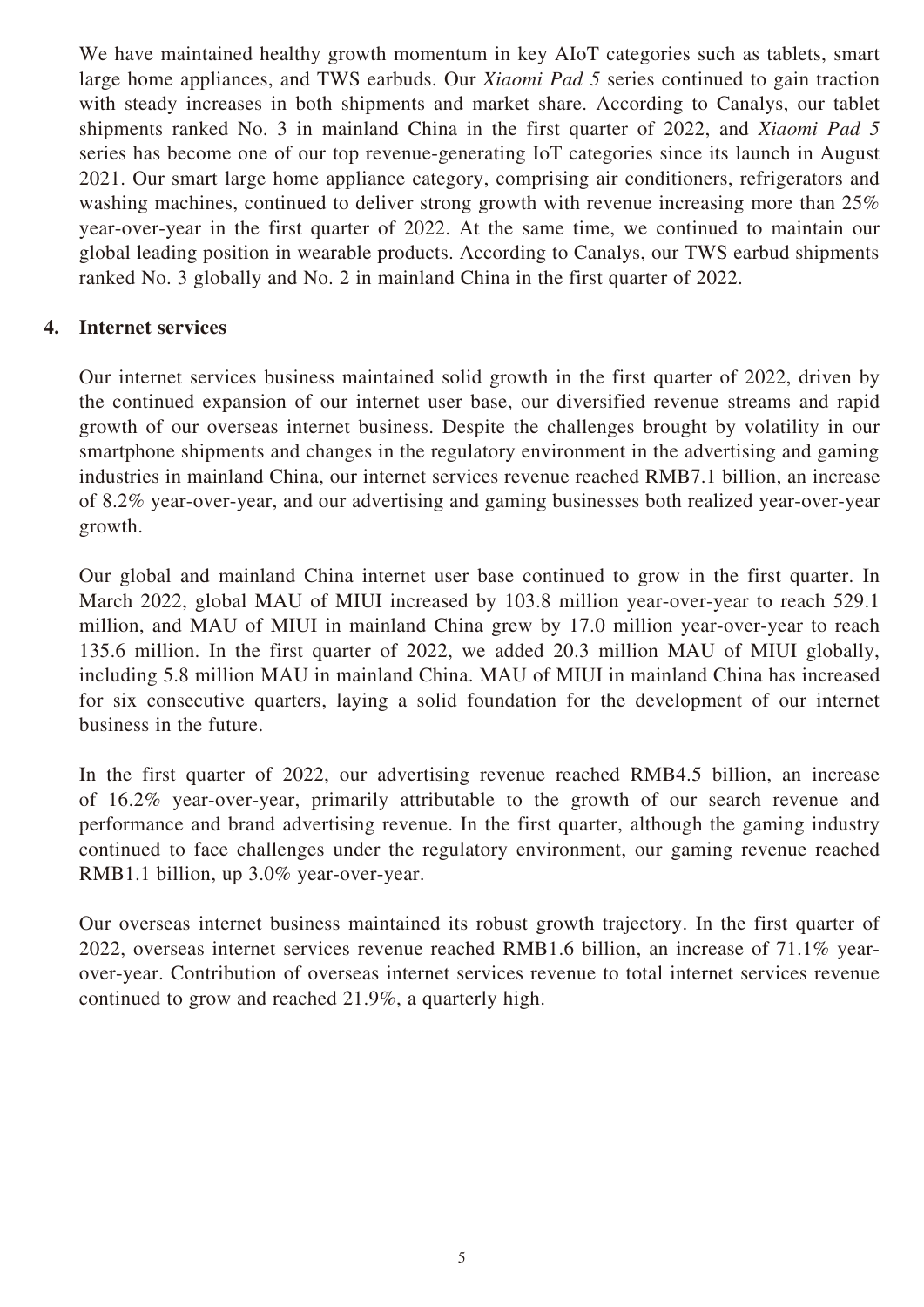We have maintained healthy growth momentum in key AIoT categories such as tablets, smart large home appliances, and TWS earbuds. Our *Xiaomi Pad 5* series continued to gain traction with steady increases in both shipments and market share. According to Canalys, our tablet shipments ranked No. 3 in mainland China in the first quarter of 2022, and *Xiaomi Pad 5*  series has become one of our top revenue-generating IoT categories since its launch in August 2021. Our smart large home appliance category, comprising air conditioners, refrigerators and washing machines, continued to deliver strong growth with revenue increasing more than 25% year-over-year in the first quarter of 2022. At the same time, we continued to maintain our global leading position in wearable products. According to Canalys, our TWS earbud shipments ranked No. 3 globally and No. 2 in mainland China in the first quarter of 2022.

# **4. Internet services**

Our internet services business maintained solid growth in the first quarter of 2022, driven by the continued expansion of our internet user base, our diversified revenue streams and rapid growth of our overseas internet business. Despite the challenges brought by volatility in our smartphone shipments and changes in the regulatory environment in the advertising and gaming industries in mainland China, our internet services revenue reached RMB7.1 billion, an increase of 8.2% year-over-year, and our advertising and gaming businesses both realized year-over-year growth.

Our global and mainland China internet user base continued to grow in the first quarter. In March 2022, global MAU of MIUI increased by 103.8 million year-over-year to reach 529.1 million, and MAU of MIUI in mainland China grew by 17.0 million year-over-year to reach 135.6 million. In the first quarter of 2022, we added 20.3 million MAU of MIUI globally, including 5.8 million MAU in mainland China. MAU of MIUI in mainland China has increased for six consecutive quarters, laying a solid foundation for the development of our internet business in the future.

In the first quarter of 2022, our advertising revenue reached RMB4.5 billion, an increase of 16.2% year-over-year, primarily attributable to the growth of our search revenue and performance and brand advertising revenue. In the first quarter, although the gaming industry continued to face challenges under the regulatory environment, our gaming revenue reached RMB1.1 billion, up 3.0% year-over-year.

Our overseas internet business maintained its robust growth trajectory. In the first quarter of 2022, overseas internet services revenue reached RMB1.6 billion, an increase of 71.1% yearover-year. Contribution of overseas internet services revenue to total internet services revenue continued to grow and reached 21.9%, a quarterly high.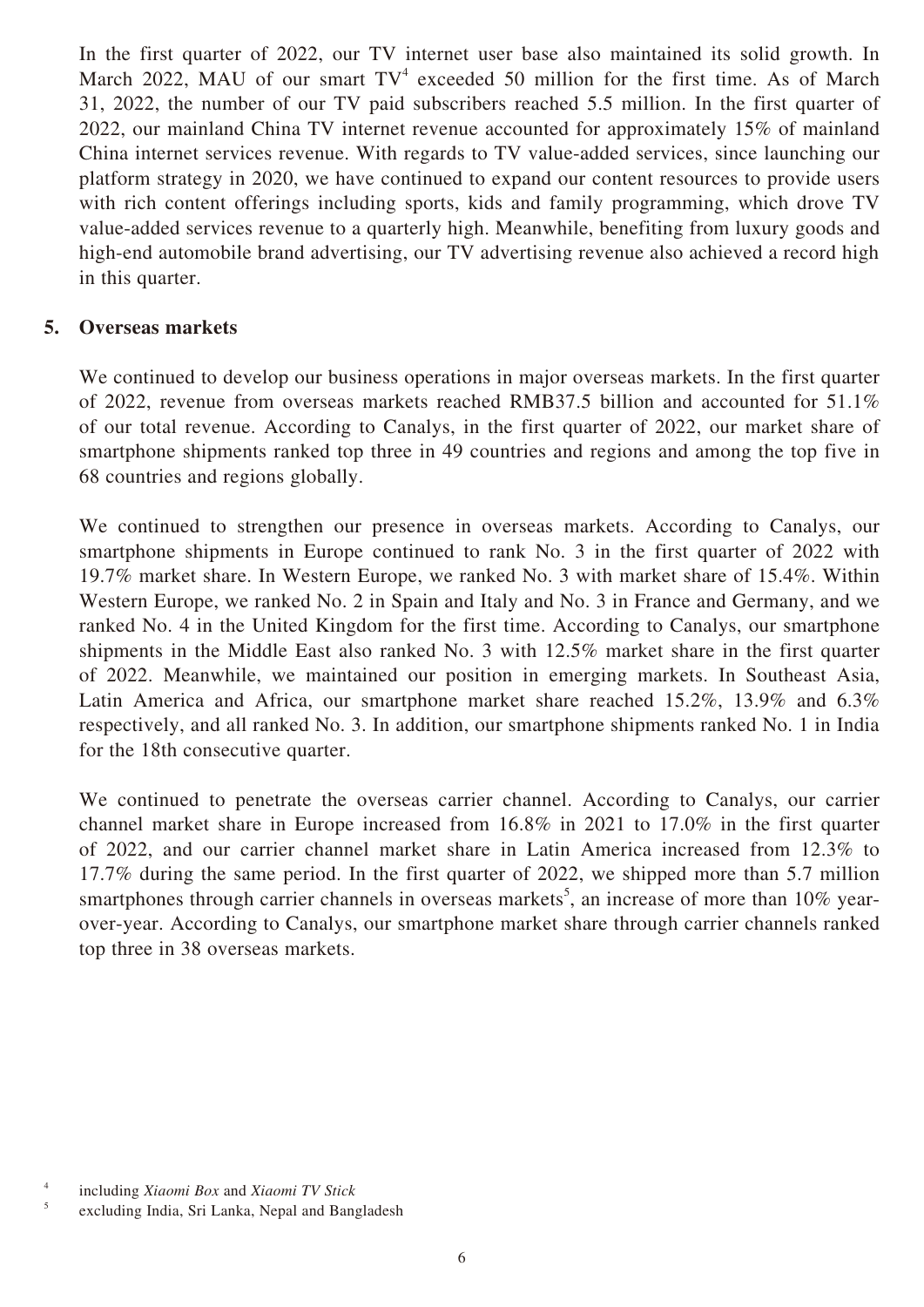In the first quarter of 2022, our TV internet user base also maintained its solid growth. In March 2022, MAU of our smart  $TV^4$  exceeded 50 million for the first time. As of March 31, 2022, the number of our TV paid subscribers reached 5.5 million. In the first quarter of 2022, our mainland China TV internet revenue accounted for approximately 15% of mainland China internet services revenue. With regards to TV value-added services, since launching our platform strategy in 2020, we have continued to expand our content resources to provide users with rich content offerings including sports, kids and family programming, which drove TV value-added services revenue to a quarterly high. Meanwhile, benefiting from luxury goods and high-end automobile brand advertising, our TV advertising revenue also achieved a record high in this quarter.

#### **5. Overseas markets**

We continued to develop our business operations in major overseas markets. In the first quarter of 2022, revenue from overseas markets reached RMB37.5 billion and accounted for 51.1% of our total revenue. According to Canalys, in the first quarter of 2022, our market share of smartphone shipments ranked top three in 49 countries and regions and among the top five in 68 countries and regions globally.

We continued to strengthen our presence in overseas markets. According to Canalys, our smartphone shipments in Europe continued to rank No. 3 in the first quarter of 2022 with 19.7% market share. In Western Europe, we ranked No. 3 with market share of 15.4%. Within Western Europe, we ranked No. 2 in Spain and Italy and No. 3 in France and Germany, and we ranked No. 4 in the United Kingdom for the first time. According to Canalys, our smartphone shipments in the Middle East also ranked No. 3 with 12.5% market share in the first quarter of 2022. Meanwhile, we maintained our position in emerging markets. In Southeast Asia, Latin America and Africa, our smartphone market share reached 15.2%, 13.9% and 6.3% respectively, and all ranked No. 3. In addition, our smartphone shipments ranked No. 1 in India for the 18th consecutive quarter.

We continued to penetrate the overseas carrier channel. According to Canalys, our carrier channel market share in Europe increased from 16.8% in 2021 to 17.0% in the first quarter of 2022, and our carrier channel market share in Latin America increased from 12.3% to 17.7% during the same period. In the first quarter of 2022, we shipped more than 5.7 million smartphones through carrier channels in overseas markets<sup>5</sup>, an increase of more than  $10\%$  yearover-year. According to Canalys, our smartphone market share through carrier channels ranked top three in 38 overseas markets.

<sup>4</sup> including *Xiaomi Box* and *Xiaomi TV Stick*

excluding India, Sri Lanka, Nepal and Bangladesh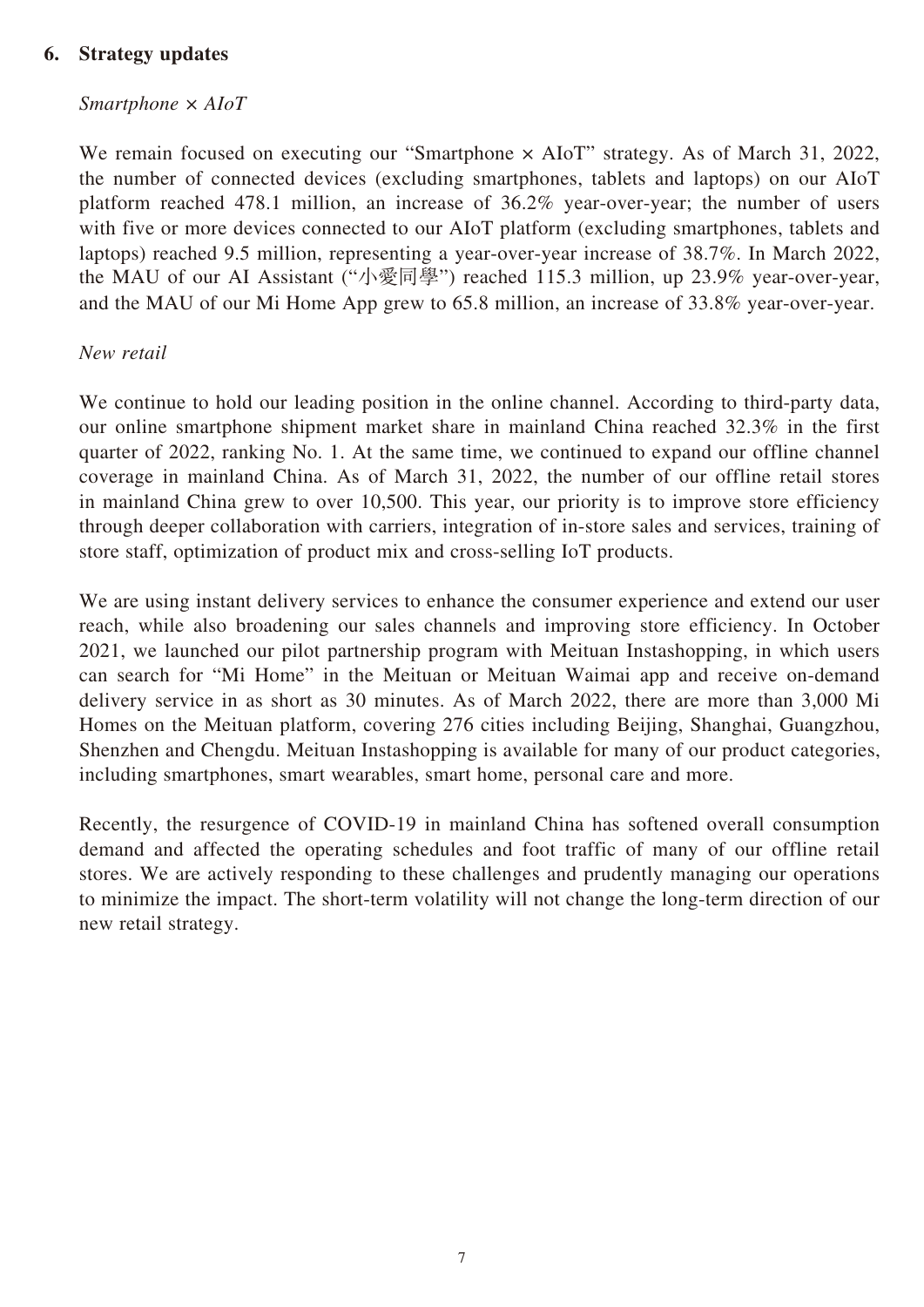## **6. Strategy updates**

#### *Smartphone × AIoT*

We remain focused on executing our "Smartphone  $\times$  AIoT" strategy. As of March 31, 2022, the number of connected devices (excluding smartphones, tablets and laptops) on our AIoT platform reached 478.1 million, an increase of 36.2% year-over-year; the number of users with five or more devices connected to our AIoT platform (excluding smartphones, tablets and laptops) reached 9.5 million, representing a year-over-year increase of 38.7%. In March 2022, the MAU of our AI Assistant ("小愛同學") reached 115.3 million, up 23.9% year-over-year, and the MAU of our Mi Home App grew to 65.8 million, an increase of 33.8% year-over-year.

#### *New retail*

We continue to hold our leading position in the online channel. According to third-party data, our online smartphone shipment market share in mainland China reached 32.3% in the first quarter of 2022, ranking No. 1. At the same time, we continued to expand our offline channel coverage in mainland China. As of March 31, 2022, the number of our offline retail stores in mainland China grew to over 10,500. This year, our priority is to improve store efficiency through deeper collaboration with carriers, integration of in-store sales and services, training of store staff, optimization of product mix and cross-selling IoT products.

We are using instant delivery services to enhance the consumer experience and extend our user reach, while also broadening our sales channels and improving store efficiency. In October 2021, we launched our pilot partnership program with Meituan Instashopping, in which users can search for "Mi Home" in the Meituan or Meituan Waimai app and receive on-demand delivery service in as short as 30 minutes. As of March 2022, there are more than 3,000 Mi Homes on the Meituan platform, covering 276 cities including Beijing, Shanghai, Guangzhou, Shenzhen and Chengdu. Meituan Instashopping is available for many of our product categories, including smartphones, smart wearables, smart home, personal care and more.

Recently, the resurgence of COVID-19 in mainland China has softened overall consumption demand and affected the operating schedules and foot traffic of many of our offline retail stores. We are actively responding to these challenges and prudently managing our operations to minimize the impact. The short-term volatility will not change the long-term direction of our new retail strategy.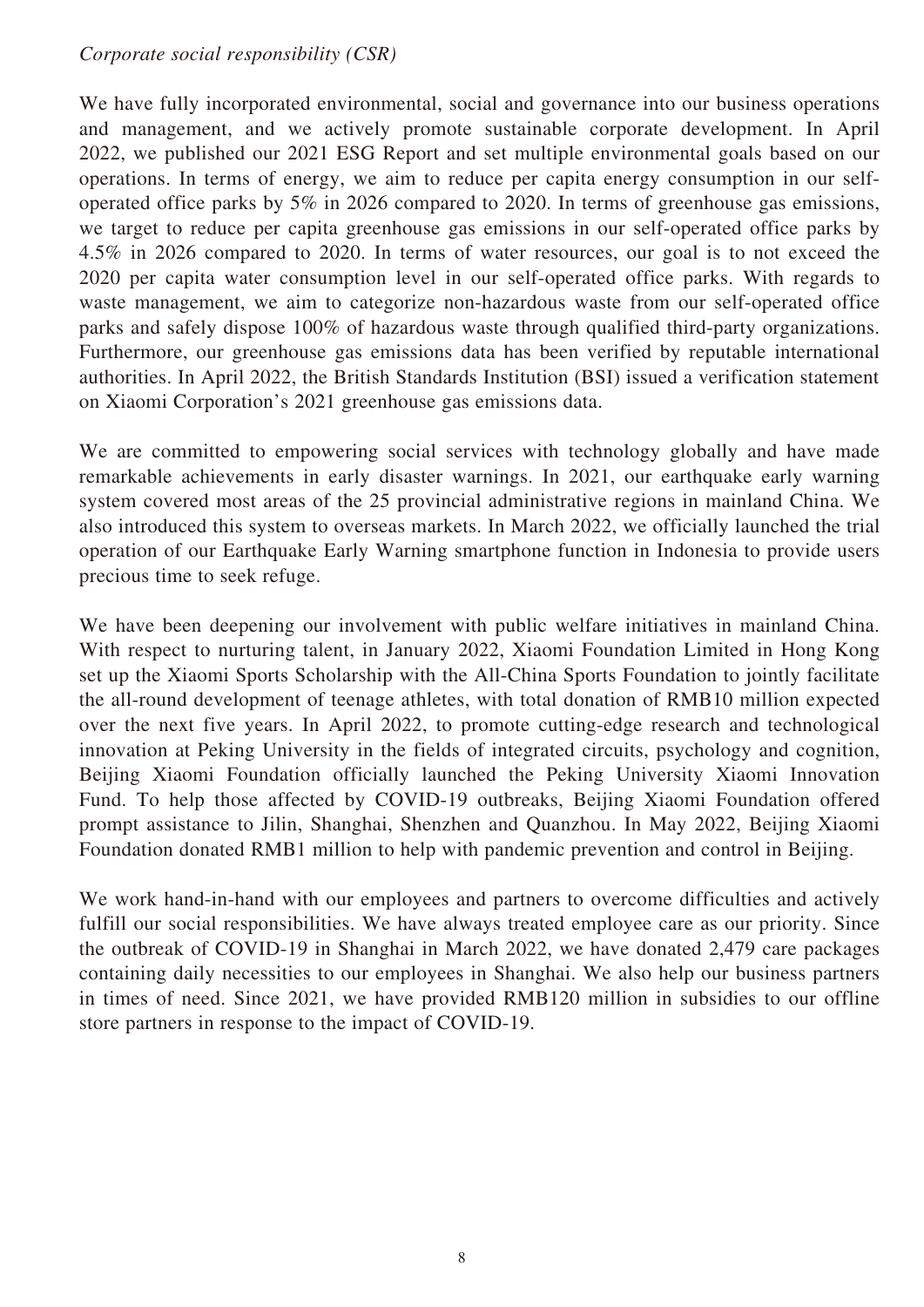### *Corporate social responsibility (CSR)*

We have fully incorporated environmental, social and governance into our business operations and management, and we actively promote sustainable corporate development. In April 2022, we published our 2021 ESG Report and set multiple environmental goals based on our operations. In terms of energy, we aim to reduce per capita energy consumption in our selfoperated office parks by 5% in 2026 compared to 2020. In terms of greenhouse gas emissions, we target to reduce per capita greenhouse gas emissions in our self-operated office parks by 4.5% in 2026 compared to 2020. In terms of water resources, our goal is to not exceed the 2020 per capita water consumption level in our self-operated office parks. With regards to waste management, we aim to categorize non-hazardous waste from our self-operated office parks and safely dispose 100% of hazardous waste through qualified third-party organizations. Furthermore, our greenhouse gas emissions data has been verified by reputable international authorities. In April 2022, the British Standards Institution (BSI) issued a verification statement on Xiaomi Corporation's 2021 greenhouse gas emissions data.

We are committed to empowering social services with technology globally and have made remarkable achievements in early disaster warnings. In 2021, our earthquake early warning system covered most areas of the 25 provincial administrative regions in mainland China. We also introduced this system to overseas markets. In March 2022, we officially launched the trial operation of our Earthquake Early Warning smartphone function in Indonesia to provide users precious time to seek refuge.

We have been deepening our involvement with public welfare initiatives in mainland China. With respect to nurturing talent, in January 2022, Xiaomi Foundation Limited in Hong Kong set up the Xiaomi Sports Scholarship with the All-China Sports Foundation to jointly facilitate the all-round development of teenage athletes, with total donation of RMB10 million expected over the next five years. In April 2022, to promote cutting-edge research and technological innovation at Peking University in the fields of integrated circuits, psychology and cognition, Beijing Xiaomi Foundation officially launched the Peking University Xiaomi Innovation Fund. To help those affected by COVID-19 outbreaks, Beijing Xiaomi Foundation offered prompt assistance to Jilin, Shanghai, Shenzhen and Quanzhou. In May 2022, Beijing Xiaomi Foundation donated RMB1 million to help with pandemic prevention and control in Beijing.

We work hand-in-hand with our employees and partners to overcome difficulties and actively fulfill our social responsibilities. We have always treated employee care as our priority. Since the outbreak of COVID-19 in Shanghai in March 2022, we have donated 2,479 care packages containing daily necessities to our employees in Shanghai. We also help our business partners in times of need. Since 2021, we have provided RMB120 million in subsidies to our offline store partners in response to the impact of COVID-19.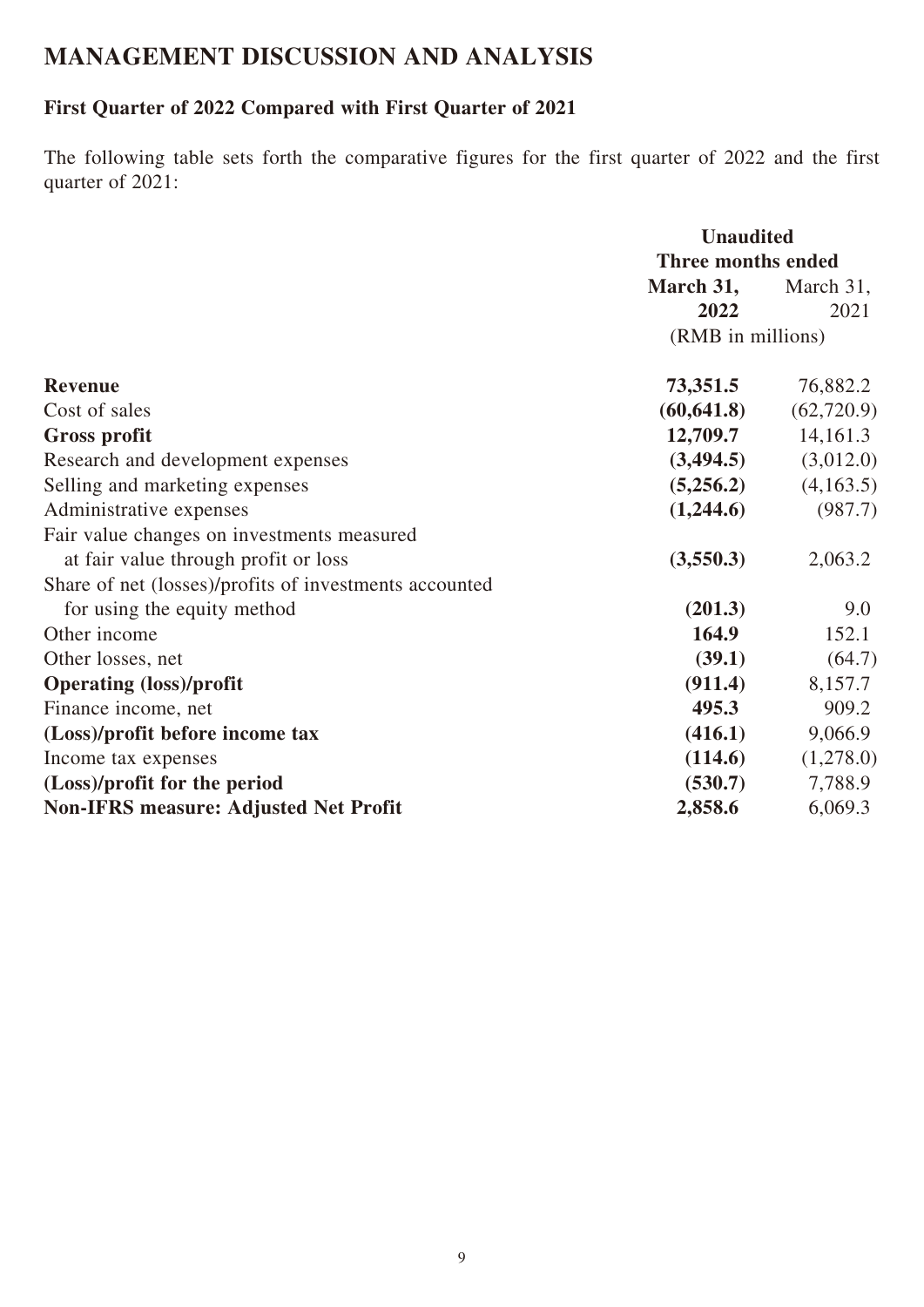# **MANAGEMENT DISCUSSION AND ANALYSIS**

# **First Quarter of 2022 Compared with First Quarter of 2021**

The following table sets forth the comparative figures for the first quarter of 2022 and the first quarter of 2021:

|                                                        | <b>Unaudited</b>          |            |  |
|--------------------------------------------------------|---------------------------|------------|--|
|                                                        | <b>Three months ended</b> |            |  |
|                                                        | March 31,                 | March 31,  |  |
|                                                        | 2022                      | 2021       |  |
|                                                        | (RMB in millions)         |            |  |
| <b>Revenue</b>                                         | 73,351.5                  | 76,882.2   |  |
| Cost of sales                                          | (60, 641.8)               | (62,720.9) |  |
| <b>Gross profit</b>                                    | 12,709.7                  | 14,161.3   |  |
| Research and development expenses                      | (3,494.5)                 | (3,012.0)  |  |
| Selling and marketing expenses                         | (5,256.2)                 | (4,163.5)  |  |
| Administrative expenses                                | (1,244.6)                 | (987.7)    |  |
| Fair value changes on investments measured             |                           |            |  |
| at fair value through profit or loss                   | (3,550.3)                 | 2,063.2    |  |
| Share of net (losses)/profits of investments accounted |                           |            |  |
| for using the equity method                            | (201.3)                   | 9.0        |  |
| Other income                                           | 164.9                     | 152.1      |  |
| Other losses, net                                      | (39.1)                    | (64.7)     |  |
| <b>Operating (loss)/profit</b>                         | (911.4)                   | 8,157.7    |  |
| Finance income, net                                    | 495.3                     | 909.2      |  |
| (Loss)/profit before income tax                        | (416.1)                   | 9,066.9    |  |
| Income tax expenses                                    | (114.6)                   | (1,278.0)  |  |
| (Loss)/profit for the period                           | (530.7)                   | 7,788.9    |  |
| <b>Non-IFRS measure: Adjusted Net Profit</b>           | 2,858.6                   | 6,069.3    |  |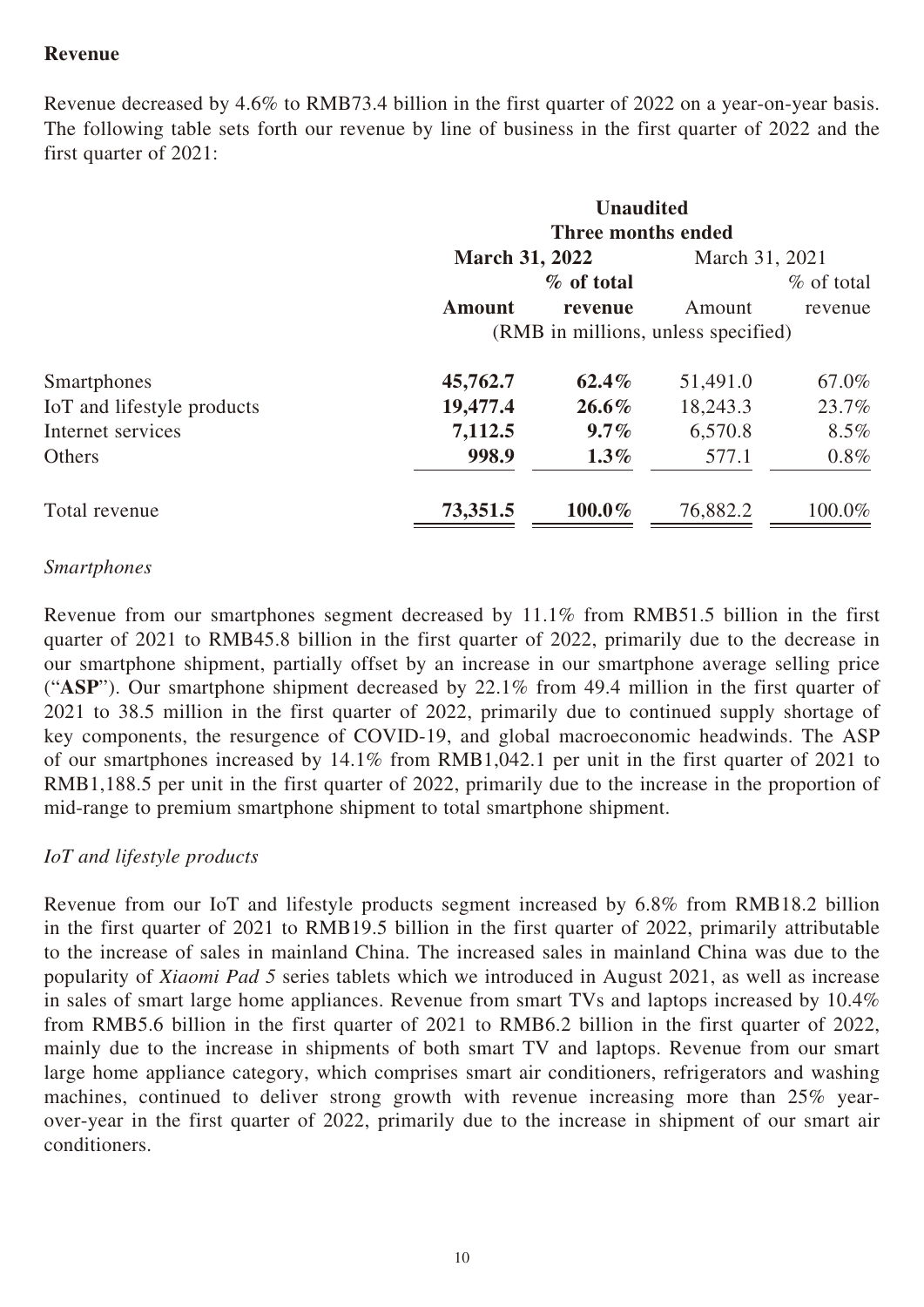## **Revenue**

Revenue decreased by 4.6% to RMB73.4 billion in the first quarter of 2022 on a year-on-year basis. The following table sets forth our revenue by line of business in the first quarter of 2022 and the first quarter of 2021:

|                            | <b>Unaudited</b>                    |                    |                |              |  |
|----------------------------|-------------------------------------|--------------------|----------------|--------------|--|
|                            |                                     | Three months ended |                |              |  |
|                            | <b>March 31, 2022</b>               |                    | March 31, 2021 |              |  |
|                            |                                     | % of total         |                | $%$ of total |  |
|                            | <b>Amount</b>                       | revenue            | Amount         | revenue      |  |
|                            | (RMB in millions, unless specified) |                    |                |              |  |
| Smartphones                | 45,762.7                            | $62.4\%$           | 51,491.0       | 67.0%        |  |
| IoT and lifestyle products | 19,477.4                            | $26.6\%$           | 18,243.3       | 23.7%        |  |
| Internet services          | 7,112.5                             | $9.7\%$            | 6,570.8        | $8.5\%$      |  |
| Others                     | 998.9                               | $1.3\%$            | 577.1          | $0.8\%$      |  |
| Total revenue              | 73,351.5                            | $100.0\%$          | 76,882.2       | 100.0%       |  |

### *Smartphones*

Revenue from our smartphones segment decreased by 11.1% from RMB51.5 billion in the first quarter of 2021 to RMB45.8 billion in the first quarter of 2022, primarily due to the decrease in our smartphone shipment, partially offset by an increase in our smartphone average selling price ("**ASP**"). Our smartphone shipment decreased by 22.1% from 49.4 million in the first quarter of 2021 to 38.5 million in the first quarter of 2022, primarily due to continued supply shortage of key components, the resurgence of COVID-19, and global macroeconomic headwinds. The ASP of our smartphones increased by 14.1% from RMB1,042.1 per unit in the first quarter of 2021 to RMB1,188.5 per unit in the first quarter of 2022, primarily due to the increase in the proportion of mid-range to premium smartphone shipment to total smartphone shipment.

#### *IoT and lifestyle products*

Revenue from our IoT and lifestyle products segment increased by 6.8% from RMB18.2 billion in the first quarter of 2021 to RMB19.5 billion in the first quarter of 2022, primarily attributable to the increase of sales in mainland China. The increased sales in mainland China was due to the popularity of *Xiaomi Pad 5* series tablets which we introduced in August 2021, as well as increase in sales of smart large home appliances. Revenue from smart TVs and laptops increased by 10.4% from RMB5.6 billion in the first quarter of 2021 to RMB6.2 billion in the first quarter of 2022, mainly due to the increase in shipments of both smart TV and laptops. Revenue from our smart large home appliance category, which comprises smart air conditioners, refrigerators and washing machines, continued to deliver strong growth with revenue increasing more than 25% yearover-year in the first quarter of 2022, primarily due to the increase in shipment of our smart air conditioners.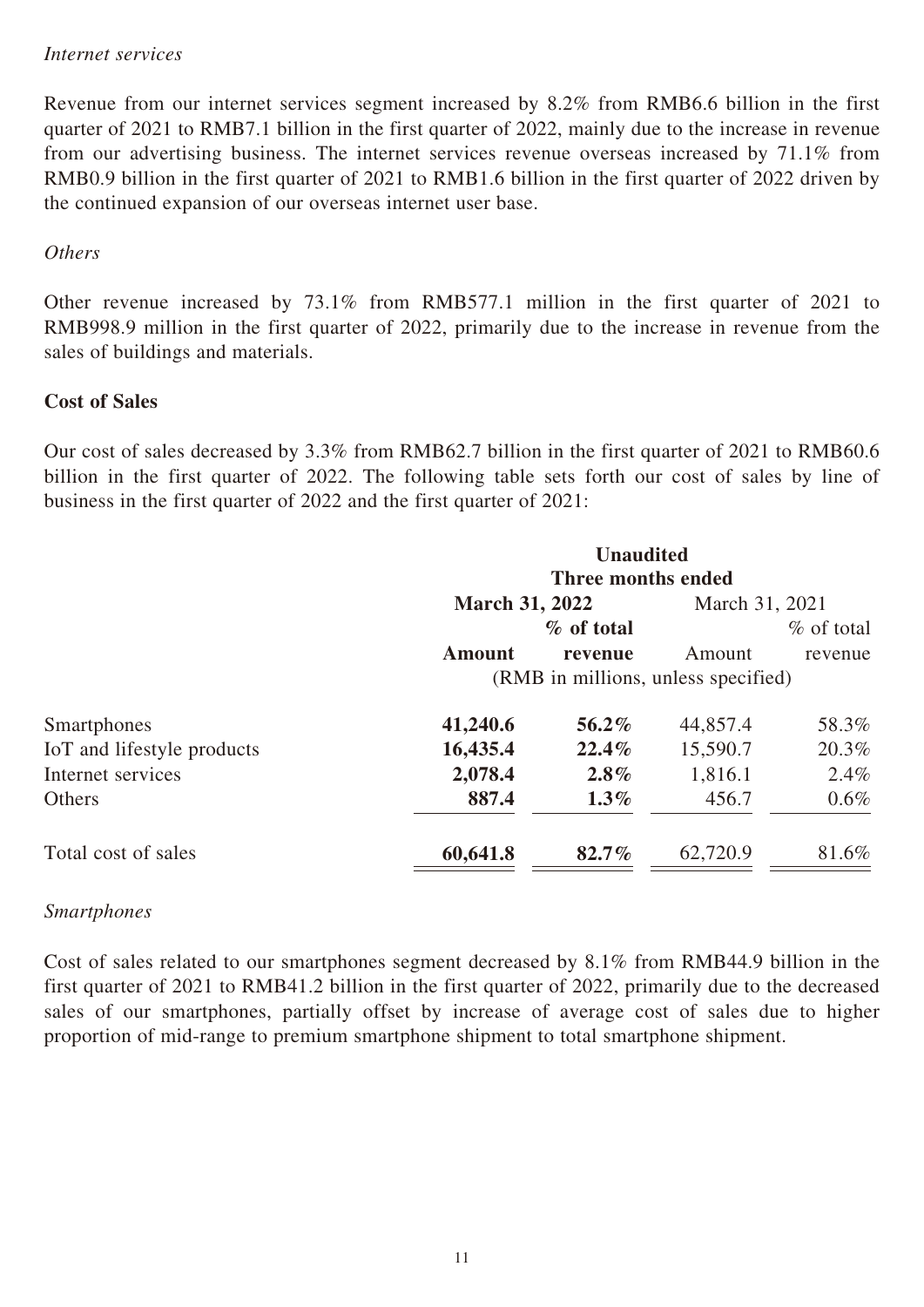#### *Internet services*

Revenue from our internet services segment increased by 8.2% from RMB6.6 billion in the first quarter of 2021 to RMB7.1 billion in the first quarter of 2022, mainly due to the increase in revenue from our advertising business. The internet services revenue overseas increased by 71.1% from RMB0.9 billion in the first quarter of 2021 to RMB1.6 billion in the first quarter of 2022 driven by the continued expansion of our overseas internet user base.

#### *Others*

Other revenue increased by 73.1% from RMB577.1 million in the first quarter of 2021 to RMB998.9 million in the first quarter of 2022, primarily due to the increase in revenue from the sales of buildings and materials.

#### **Cost of Sales**

Our cost of sales decreased by 3.3% from RMB62.7 billion in the first quarter of 2021 to RMB60.6 billion in the first quarter of 2022. The following table sets forth our cost of sales by line of business in the first quarter of 2022 and the first quarter of 2021:

|                            |                                     | <b>Unaudited</b>   |                |              |  |
|----------------------------|-------------------------------------|--------------------|----------------|--------------|--|
|                            |                                     | Three months ended |                |              |  |
|                            | <b>March 31, 2022</b>               |                    | March 31, 2021 |              |  |
|                            |                                     | % of total         |                | $%$ of total |  |
|                            | <b>Amount</b>                       | revenue            | Amount         | revenue      |  |
|                            | (RMB in millions, unless specified) |                    |                |              |  |
| <b>Smartphones</b>         | 41,240.6                            | 56.2%              | 44,857.4       | 58.3%        |  |
| IoT and lifestyle products | 16,435.4                            | 22.4%              | 15,590.7       | 20.3%        |  |
| Internet services          | 2,078.4                             | $2.8\%$            | 1,816.1        | $2.4\%$      |  |
| Others                     | 887.4                               | $1.3\%$            | 456.7          | $0.6\%$      |  |
| Total cost of sales        | 60,641.8                            | $82.7\%$           | 62,720.9       | 81.6%        |  |

#### *Smartphones*

Cost of sales related to our smartphones segment decreased by 8.1% from RMB44.9 billion in the first quarter of 2021 to RMB41.2 billion in the first quarter of 2022, primarily due to the decreased sales of our smartphones, partially offset by increase of average cost of sales due to higher proportion of mid-range to premium smartphone shipment to total smartphone shipment.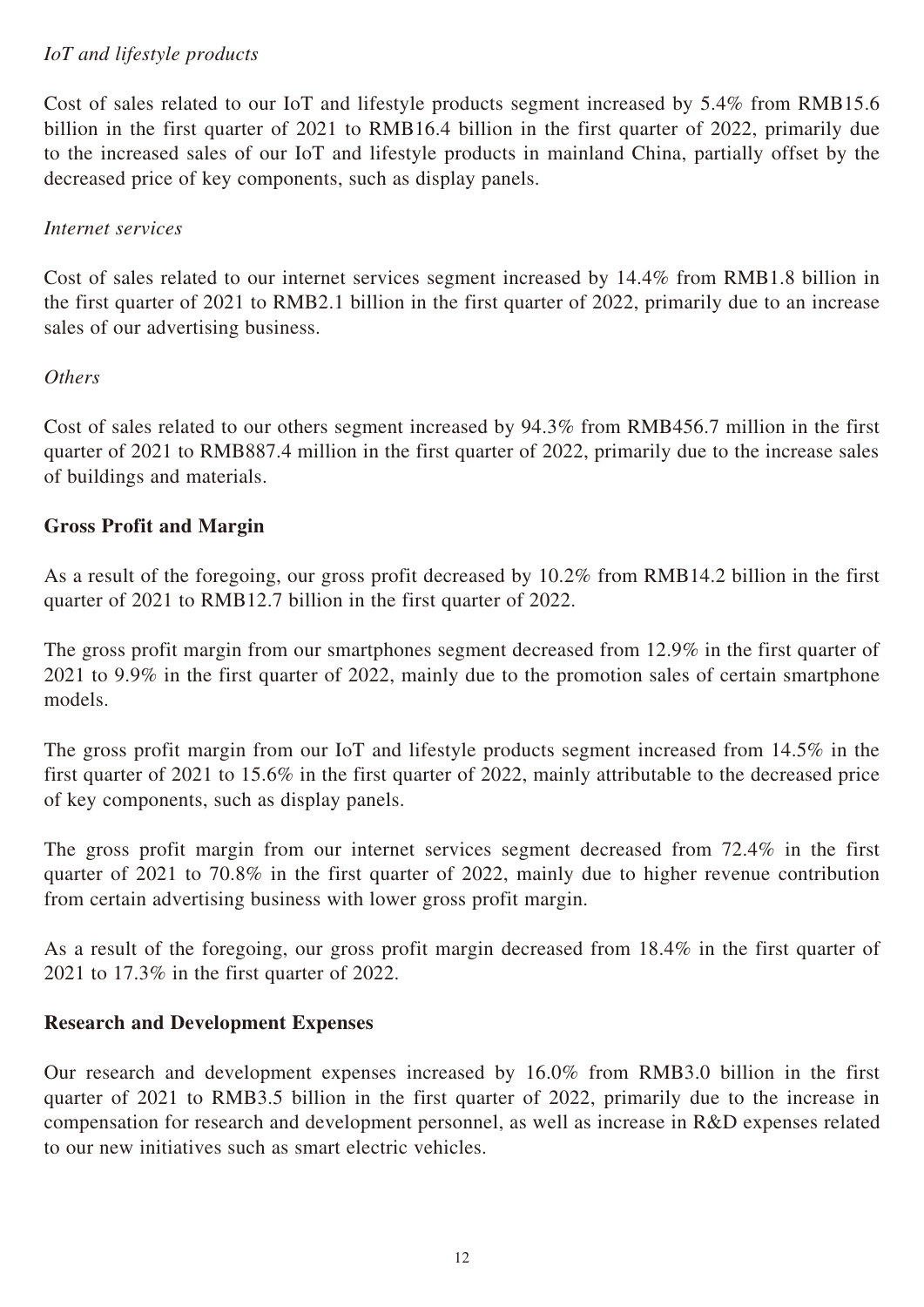# *IoT and lifestyle products*

Cost of sales related to our IoT and lifestyle products segment increased by 5.4% from RMB15.6 billion in the first quarter of 2021 to RMB16.4 billion in the first quarter of 2022, primarily due to the increased sales of our IoT and lifestyle products in mainland China, partially offset by the decreased price of key components, such as display panels.

### *Internet services*

Cost of sales related to our internet services segment increased by 14.4% from RMB1.8 billion in the first quarter of 2021 to RMB2.1 billion in the first quarter of 2022, primarily due to an increase sales of our advertising business.

### *Others*

Cost of sales related to our others segment increased by 94.3% from RMB456.7 million in the first quarter of 2021 to RMB887.4 million in the first quarter of 2022, primarily due to the increase sales of buildings and materials.

### **Gross Profit and Margin**

As a result of the foregoing, our gross profit decreased by 10.2% from RMB14.2 billion in the first quarter of 2021 to RMB12.7 billion in the first quarter of 2022.

The gross profit margin from our smartphones segment decreased from 12.9% in the first quarter of 2021 to 9.9% in the first quarter of 2022, mainly due to the promotion sales of certain smartphone models.

The gross profit margin from our IoT and lifestyle products segment increased from 14.5% in the first quarter of 2021 to 15.6% in the first quarter of 2022, mainly attributable to the decreased price of key components, such as display panels.

The gross profit margin from our internet services segment decreased from 72.4% in the first quarter of 2021 to 70.8% in the first quarter of 2022, mainly due to higher revenue contribution from certain advertising business with lower gross profit margin.

As a result of the foregoing, our gross profit margin decreased from 18.4% in the first quarter of 2021 to 17.3% in the first quarter of 2022.

#### **Research and Development Expenses**

Our research and development expenses increased by 16.0% from RMB3.0 billion in the first quarter of 2021 to RMB3.5 billion in the first quarter of 2022, primarily due to the increase in compensation for research and development personnel, as well as increase in R&D expenses related to our new initiatives such as smart electric vehicles.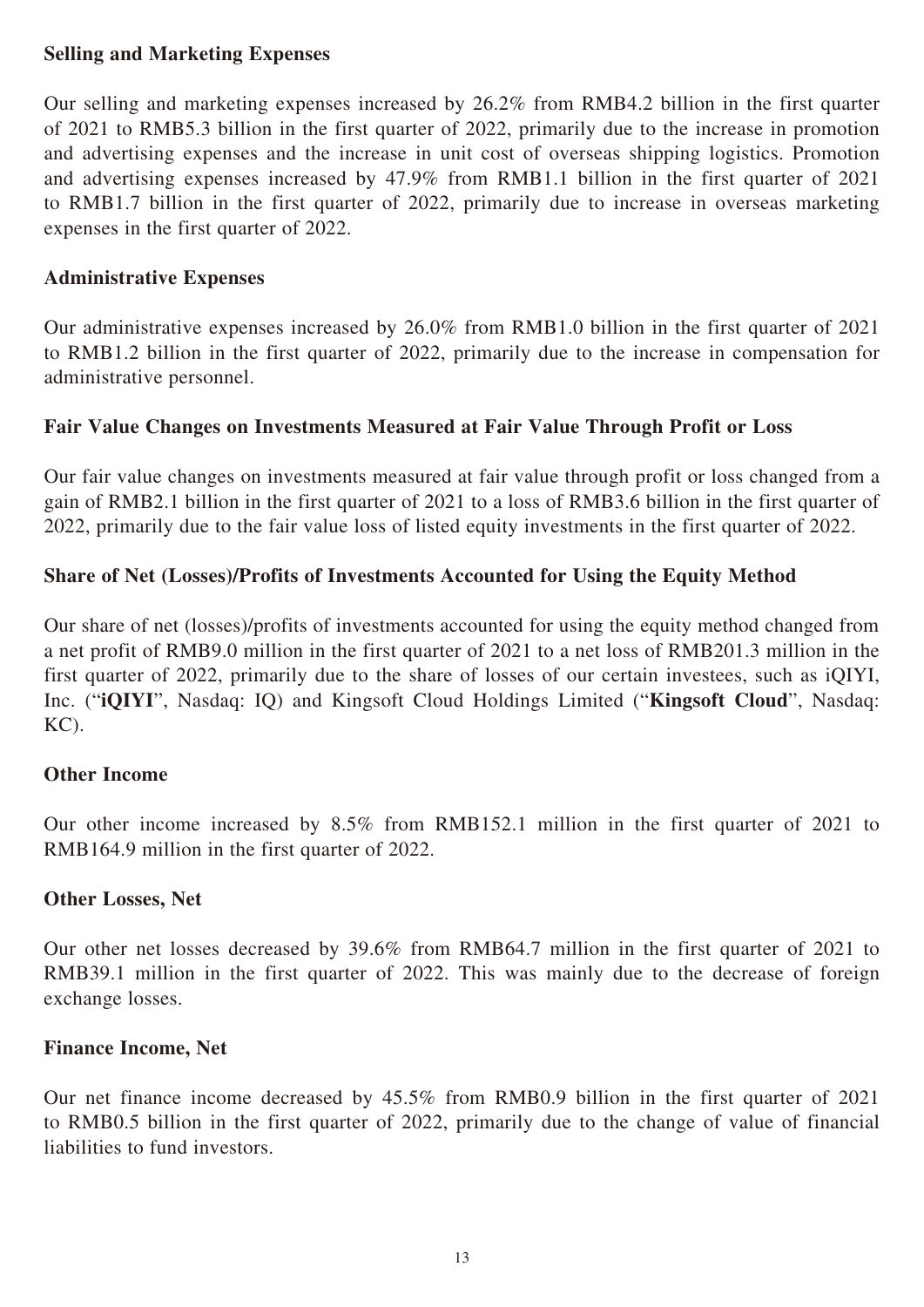#### **Selling and Marketing Expenses**

Our selling and marketing expenses increased by 26.2% from RMB4.2 billion in the first quarter of 2021 to RMB5.3 billion in the first quarter of 2022, primarily due to the increase in promotion and advertising expenses and the increase in unit cost of overseas shipping logistics. Promotion and advertising expenses increased by 47.9% from RMB1.1 billion in the first quarter of 2021 to RMB1.7 billion in the first quarter of 2022, primarily due to increase in overseas marketing expenses in the first quarter of 2022.

#### **Administrative Expenses**

Our administrative expenses increased by 26.0% from RMB1.0 billion in the first quarter of 2021 to RMB1.2 billion in the first quarter of 2022, primarily due to the increase in compensation for administrative personnel.

### **Fair Value Changes on Investments Measured at Fair Value Through Profit or Loss**

Our fair value changes on investments measured at fair value through profit or loss changed from a gain of RMB2.1 billion in the first quarter of 2021 to a loss of RMB3.6 billion in the first quarter of 2022, primarily due to the fair value loss of listed equity investments in the first quarter of 2022.

# **Share of Net (Losses)/Profits of Investments Accounted for Using the Equity Method**

Our share of net (losses)/profits of investments accounted for using the equity method changed from a net profit of RMB9.0 million in the first quarter of 2021 to a net loss of RMB201.3 million in the first quarter of 2022, primarily due to the share of losses of our certain investees, such as iQIYI, Inc. ("**iQIYI**", Nasdaq: IQ) and Kingsoft Cloud Holdings Limited ("**Kingsoft Cloud**", Nasdaq: KC).

#### **Other Income**

Our other income increased by 8.5% from RMB152.1 million in the first quarter of 2021 to RMB164.9 million in the first quarter of 2022.

#### **Other Losses, Net**

Our other net losses decreased by 39.6% from RMB64.7 million in the first quarter of 2021 to RMB39.1 million in the first quarter of 2022. This was mainly due to the decrease of foreign exchange losses.

#### **Finance Income, Net**

Our net finance income decreased by 45.5% from RMB0.9 billion in the first quarter of 2021 to RMB0.5 billion in the first quarter of 2022, primarily due to the change of value of financial liabilities to fund investors.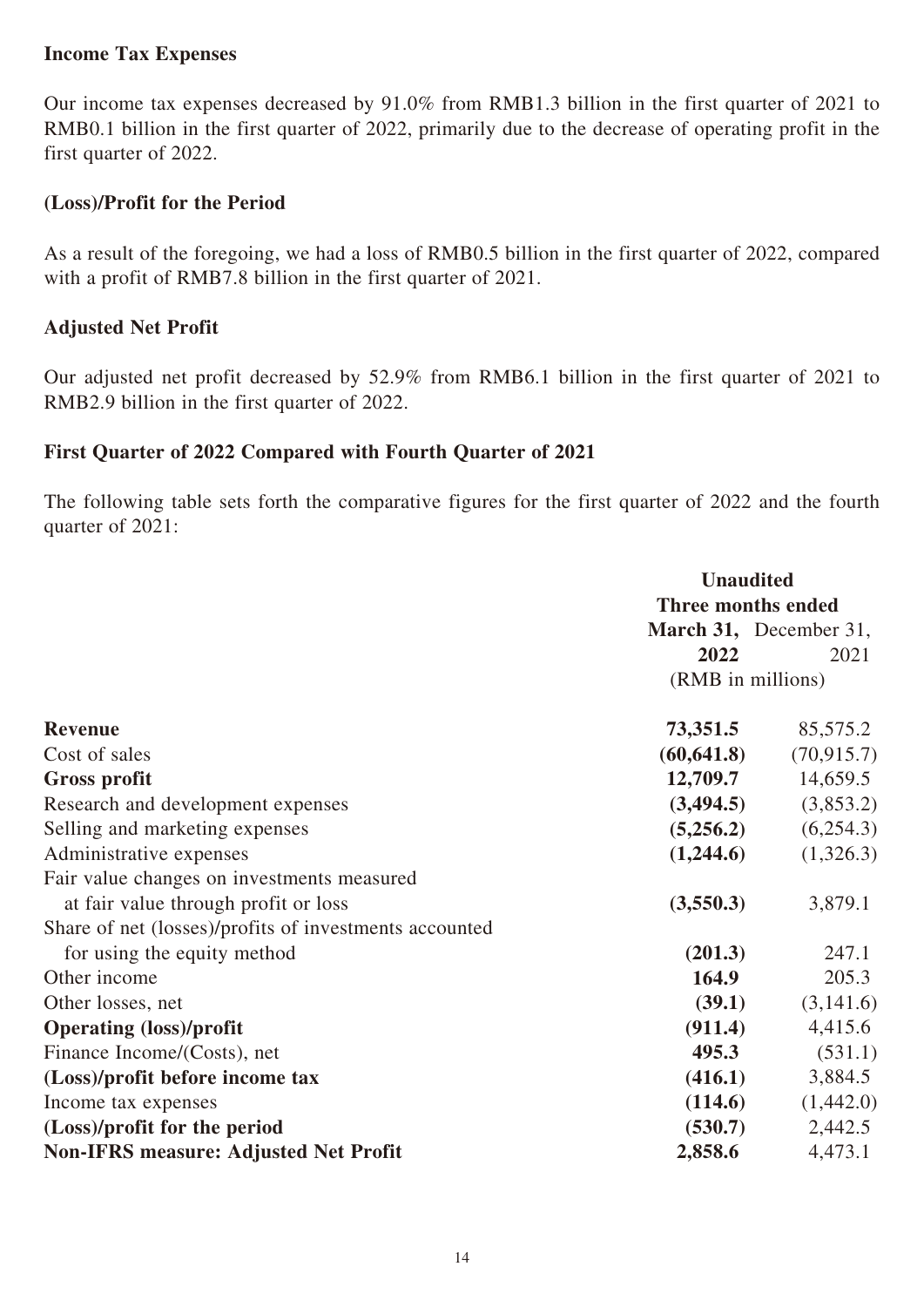#### **Income Tax Expenses**

Our income tax expenses decreased by 91.0% from RMB1.3 billion in the first quarter of 2021 to RMB0.1 billion in the first quarter of 2022, primarily due to the decrease of operating profit in the first quarter of 2022.

#### **(Loss)/Profit for the Period**

As a result of the foregoing, we had a loss of RMB0.5 billion in the first quarter of 2022, compared with a profit of RMB7.8 billion in the first quarter of 2021.

#### **Adjusted Net Profit**

Our adjusted net profit decreased by 52.9% from RMB6.1 billion in the first quarter of 2021 to RMB2.9 billion in the first quarter of 2022.

#### **First Quarter of 2022 Compared with Fourth Quarter of 2021**

The following table sets forth the comparative figures for the first quarter of 2022 and the fourth quarter of 2021:

|                                                        | <b>Unaudited</b>          |                        |  |
|--------------------------------------------------------|---------------------------|------------------------|--|
|                                                        | <b>Three months ended</b> |                        |  |
|                                                        |                           | March 31, December 31, |  |
|                                                        | 2022                      | 2021                   |  |
|                                                        | (RMB in millions)         |                        |  |
| <b>Revenue</b>                                         | 73,351.5                  | 85,575.2               |  |
| Cost of sales                                          | (60, 641.8)               | (70, 915.7)            |  |
| <b>Gross profit</b>                                    | 12,709.7                  | 14,659.5               |  |
| Research and development expenses                      | (3,494.5)                 | (3,853.2)              |  |
| Selling and marketing expenses                         | (5,256.2)                 | (6,254.3)              |  |
| Administrative expenses                                | (1,244.6)                 | (1,326.3)              |  |
| Fair value changes on investments measured             |                           |                        |  |
| at fair value through profit or loss                   | (3,550.3)                 | 3,879.1                |  |
| Share of net (losses)/profits of investments accounted |                           |                        |  |
| for using the equity method                            | (201.3)                   | 247.1                  |  |
| Other income                                           | 164.9                     | 205.3                  |  |
| Other losses, net                                      | (39.1)                    | (3,141.6)              |  |
| <b>Operating (loss)/profit</b>                         | (911.4)                   | 4,415.6                |  |
| Finance Income/(Costs), net                            | 495.3                     | (531.1)                |  |
| (Loss)/profit before income tax                        | (416.1)                   | 3,884.5                |  |
| Income tax expenses                                    | (114.6)                   | (1,442.0)              |  |
| (Loss)/profit for the period                           | (530.7)                   | 2,442.5                |  |
| <b>Non-IFRS measure: Adjusted Net Profit</b>           | 2,858.6                   | 4,473.1                |  |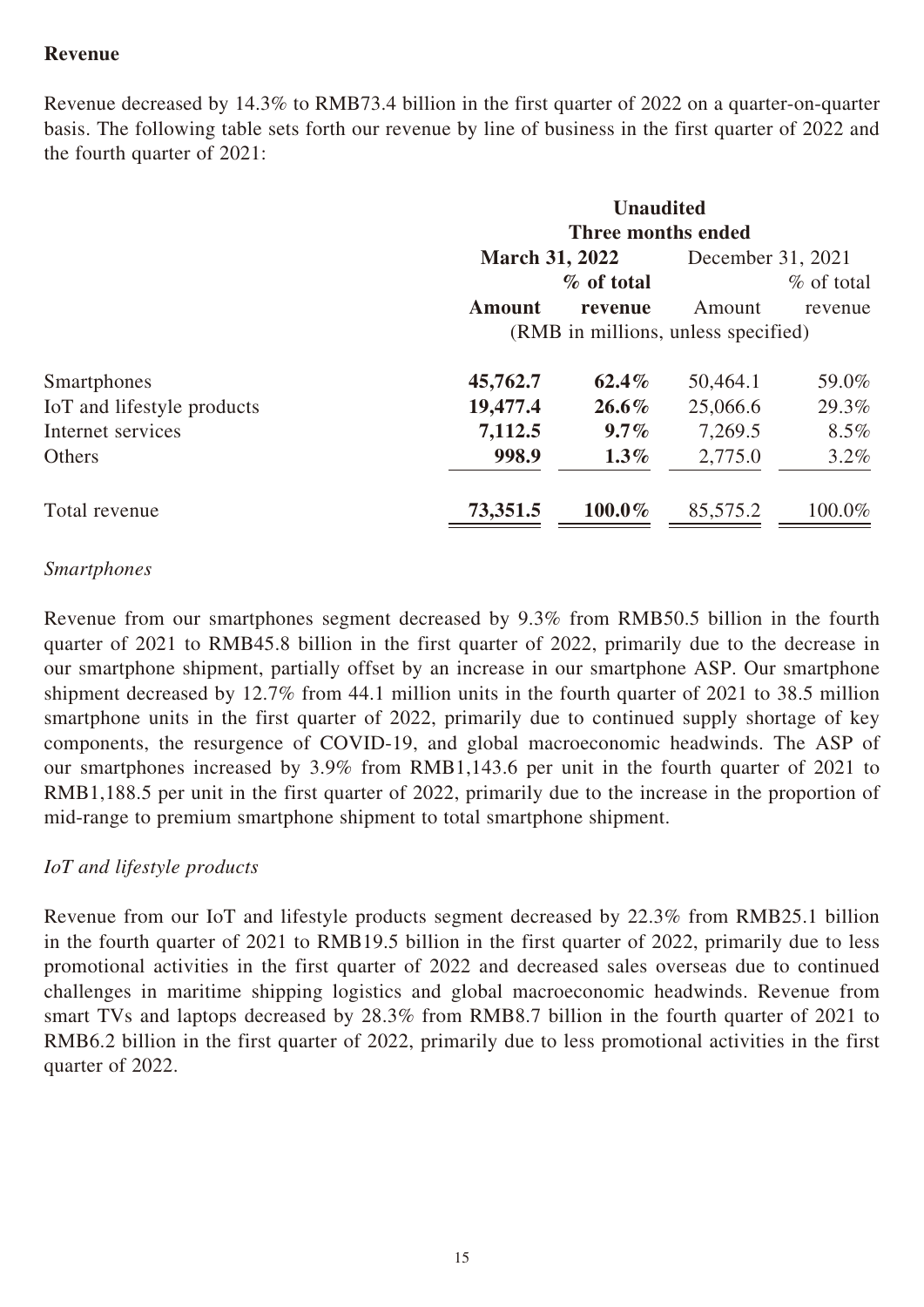# **Revenue**

Revenue decreased by 14.3% to RMB73.4 billion in the first quarter of 2022 on a quarter-on-quarter basis. The following table sets forth our revenue by line of business in the first quarter of 2022 and the fourth quarter of 2021:

|                            | <b>Unaudited</b><br>Three months ended |               |                   |               |
|----------------------------|----------------------------------------|---------------|-------------------|---------------|
|                            | <b>March 31, 2022</b>                  |               | December 31, 2021 |               |
|                            |                                        | $\%$ of total |                   | $\%$ of total |
|                            | <b>Amount</b>                          | revenue       | Amount            | revenue       |
|                            | (RMB in millions, unless specified)    |               |                   |               |
| Smartphones                | 45,762.7                               | $62.4\%$      | 50,464.1          | 59.0%         |
| IoT and lifestyle products | 19,477.4                               | $26.6\%$      | 25,066.6          | 29.3%         |
| Internet services          | 7,112.5                                | $9.7\%$       | 7,269.5           | $8.5\%$       |
| <b>Others</b>              | 998.9                                  | $1.3\%$       | 2,775.0           | $3.2\%$       |
| Total revenue              | 73,351.5                               | $100.0\%$     | 85,575.2          | 100.0%        |

#### *Smartphones*

Revenue from our smartphones segment decreased by 9.3% from RMB50.5 billion in the fourth quarter of 2021 to RMB45.8 billion in the first quarter of 2022, primarily due to the decrease in our smartphone shipment, partially offset by an increase in our smartphone ASP. Our smartphone shipment decreased by 12.7% from 44.1 million units in the fourth quarter of 2021 to 38.5 million smartphone units in the first quarter of 2022, primarily due to continued supply shortage of key components, the resurgence of COVID-19, and global macroeconomic headwinds. The ASP of our smartphones increased by 3.9% from RMB1,143.6 per unit in the fourth quarter of 2021 to RMB1,188.5 per unit in the first quarter of 2022, primarily due to the increase in the proportion of mid-range to premium smartphone shipment to total smartphone shipment.

#### *IoT and lifestyle products*

Revenue from our IoT and lifestyle products segment decreased by 22.3% from RMB25.1 billion in the fourth quarter of 2021 to RMB19.5 billion in the first quarter of 2022, primarily due to less promotional activities in the first quarter of 2022 and decreased sales overseas due to continued challenges in maritime shipping logistics and global macroeconomic headwinds. Revenue from smart TVs and laptops decreased by 28.3% from RMB8.7 billion in the fourth quarter of 2021 to RMB6.2 billion in the first quarter of 2022, primarily due to less promotional activities in the first quarter of 2022.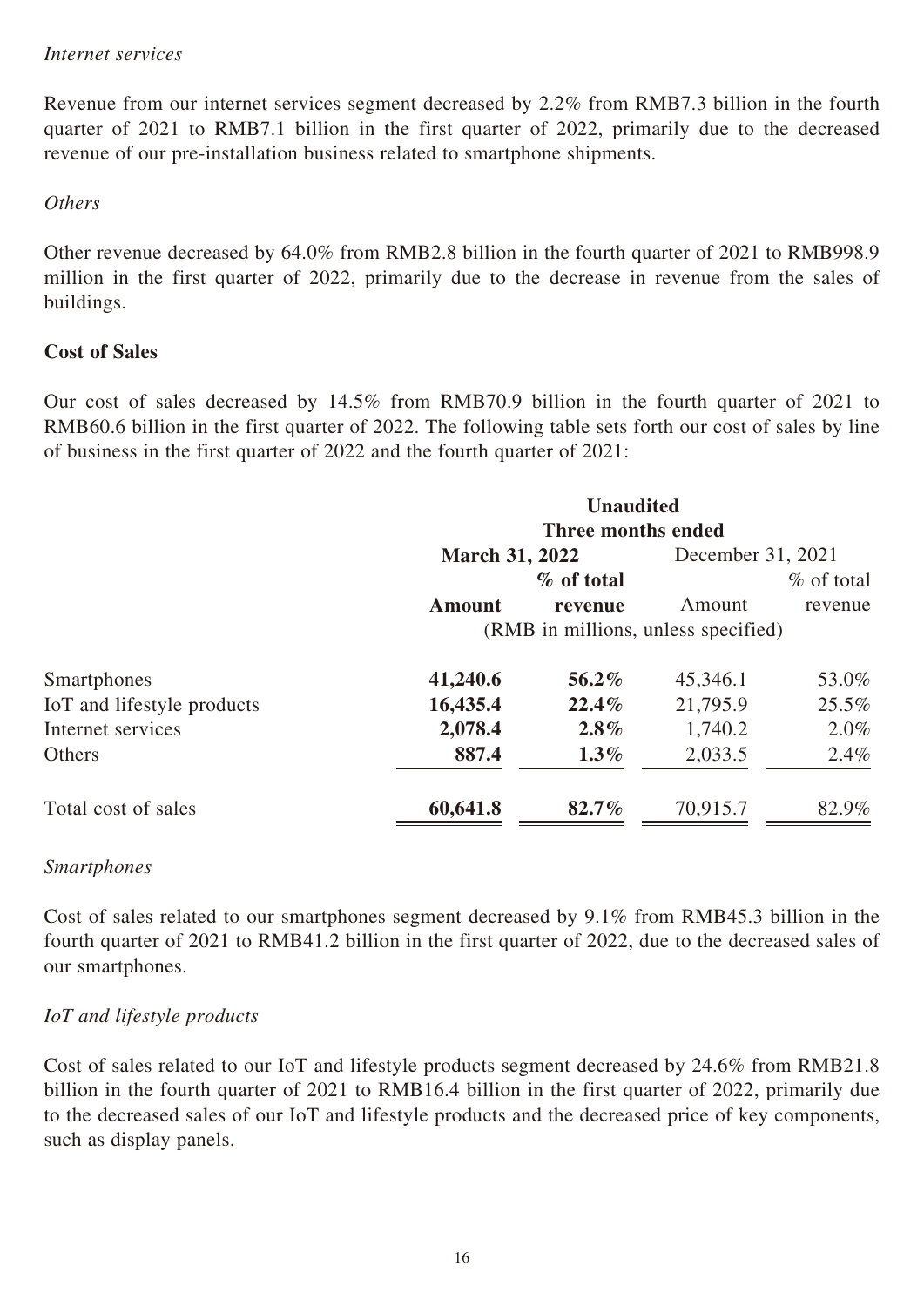#### *Internet services*

Revenue from our internet services segment decreased by 2.2% from RMB7.3 billion in the fourth quarter of 2021 to RMB7.1 billion in the first quarter of 2022, primarily due to the decreased revenue of our pre-installation business related to smartphone shipments.

#### *Others*

Other revenue decreased by 64.0% from RMB2.8 billion in the fourth quarter of 2021 to RMB998.9 million in the first quarter of 2022, primarily due to the decrease in revenue from the sales of buildings.

#### **Cost of Sales**

Our cost of sales decreased by 14.5% from RMB70.9 billion in the fourth quarter of 2021 to RMB60.6 billion in the first quarter of 2022. The following table sets forth our cost of sales by line of business in the first quarter of 2022 and the fourth quarter of 2021:

|                            |                                     | <b>Unaudited</b><br>Three months ended |                   |              |  |
|----------------------------|-------------------------------------|----------------------------------------|-------------------|--------------|--|
|                            | <b>March 31, 2022</b>               |                                        | December 31, 2021 |              |  |
|                            |                                     | $\%$ of total                          |                   | $%$ of total |  |
|                            | Amount                              | revenue                                | Amount            | revenue      |  |
|                            | (RMB in millions, unless specified) |                                        |                   |              |  |
| Smartphones                | 41,240.6                            | $56.2\%$                               | 45,346.1          | 53.0%        |  |
| IoT and lifestyle products | 16,435.4                            | 22.4%                                  | 21,795.9          | 25.5%        |  |
| Internet services          | 2,078.4                             | $2.8\%$                                | 1,740.2           | $2.0\%$      |  |
| <b>Others</b>              | 887.4                               | $1.3\%$                                | 2,033.5           | 2.4%         |  |
| Total cost of sales        | 60,641.8                            | $82.7\%$                               | 70,915.7          | 82.9%        |  |

#### *Smartphones*

Cost of sales related to our smartphones segment decreased by 9.1% from RMB45.3 billion in the fourth quarter of 2021 to RMB41.2 billion in the first quarter of 2022, due to the decreased sales of our smartphones.

#### *IoT and lifestyle products*

Cost of sales related to our IoT and lifestyle products segment decreased by 24.6% from RMB21.8 billion in the fourth quarter of 2021 to RMB16.4 billion in the first quarter of 2022, primarily due to the decreased sales of our IoT and lifestyle products and the decreased price of key components, such as display panels.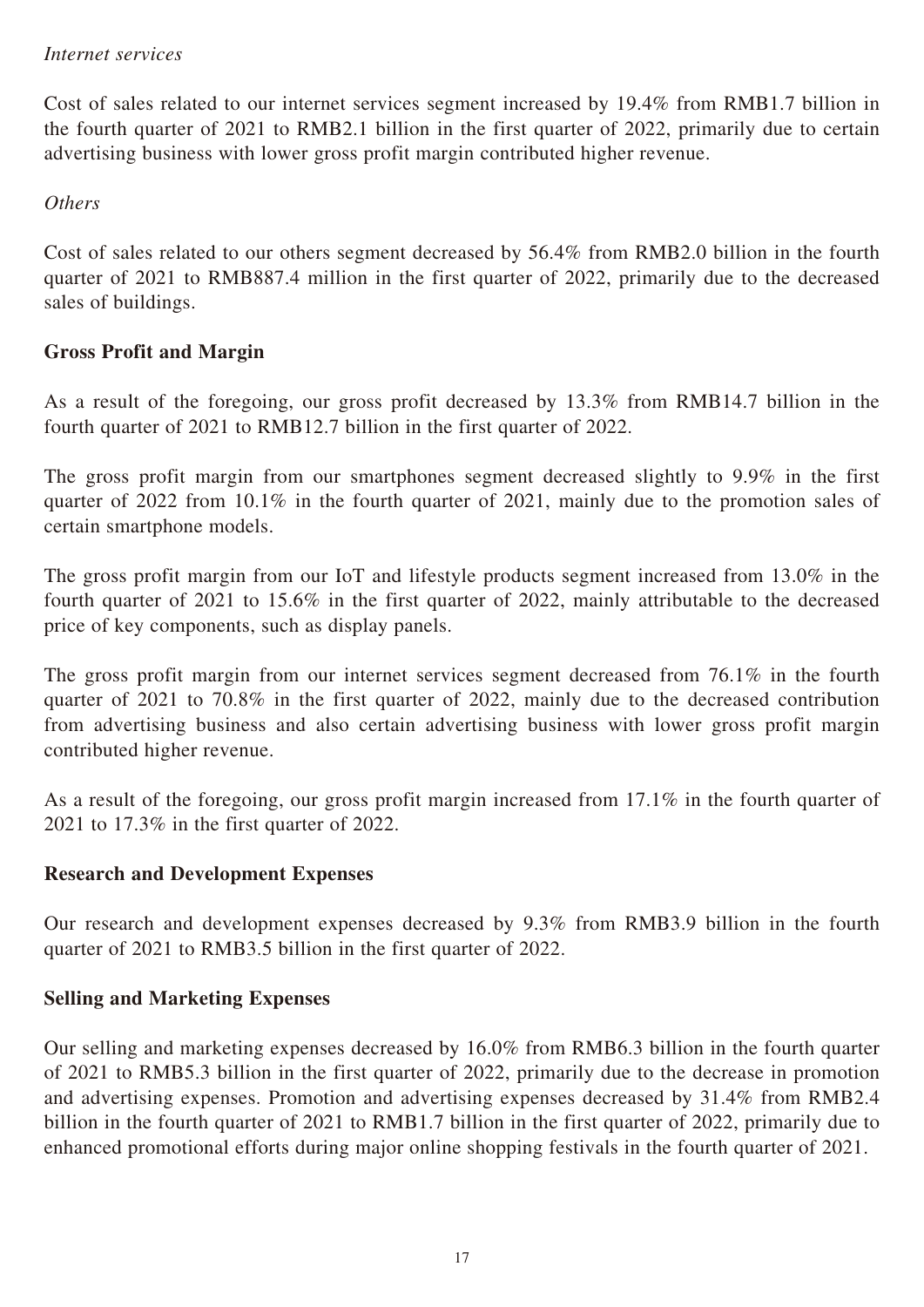#### *Internet services*

Cost of sales related to our internet services segment increased by 19.4% from RMB1.7 billion in the fourth quarter of 2021 to RMB2.1 billion in the first quarter of 2022, primarily due to certain advertising business with lower gross profit margin contributed higher revenue.

#### *Others*

Cost of sales related to our others segment decreased by 56.4% from RMB2.0 billion in the fourth quarter of 2021 to RMB887.4 million in the first quarter of 2022, primarily due to the decreased sales of buildings.

# **Gross Profit and Margin**

As a result of the foregoing, our gross profit decreased by 13.3% from RMB14.7 billion in the fourth quarter of 2021 to RMB12.7 billion in the first quarter of 2022.

The gross profit margin from our smartphones segment decreased slightly to 9.9% in the first quarter of 2022 from 10.1% in the fourth quarter of 2021, mainly due to the promotion sales of certain smartphone models.

The gross profit margin from our IoT and lifestyle products segment increased from 13.0% in the fourth quarter of 2021 to 15.6% in the first quarter of 2022, mainly attributable to the decreased price of key components, such as display panels.

The gross profit margin from our internet services segment decreased from 76.1% in the fourth quarter of 2021 to 70.8% in the first quarter of 2022, mainly due to the decreased contribution from advertising business and also certain advertising business with lower gross profit margin contributed higher revenue.

As a result of the foregoing, our gross profit margin increased from 17.1% in the fourth quarter of 2021 to 17.3% in the first quarter of 2022.

#### **Research and Development Expenses**

Our research and development expenses decreased by 9.3% from RMB3.9 billion in the fourth quarter of 2021 to RMB3.5 billion in the first quarter of 2022.

#### **Selling and Marketing Expenses**

Our selling and marketing expenses decreased by 16.0% from RMB6.3 billion in the fourth quarter of 2021 to RMB5.3 billion in the first quarter of 2022, primarily due to the decrease in promotion and advertising expenses. Promotion and advertising expenses decreased by 31.4% from RMB2.4 billion in the fourth quarter of 2021 to RMB1.7 billion in the first quarter of 2022, primarily due to enhanced promotional efforts during major online shopping festivals in the fourth quarter of 2021.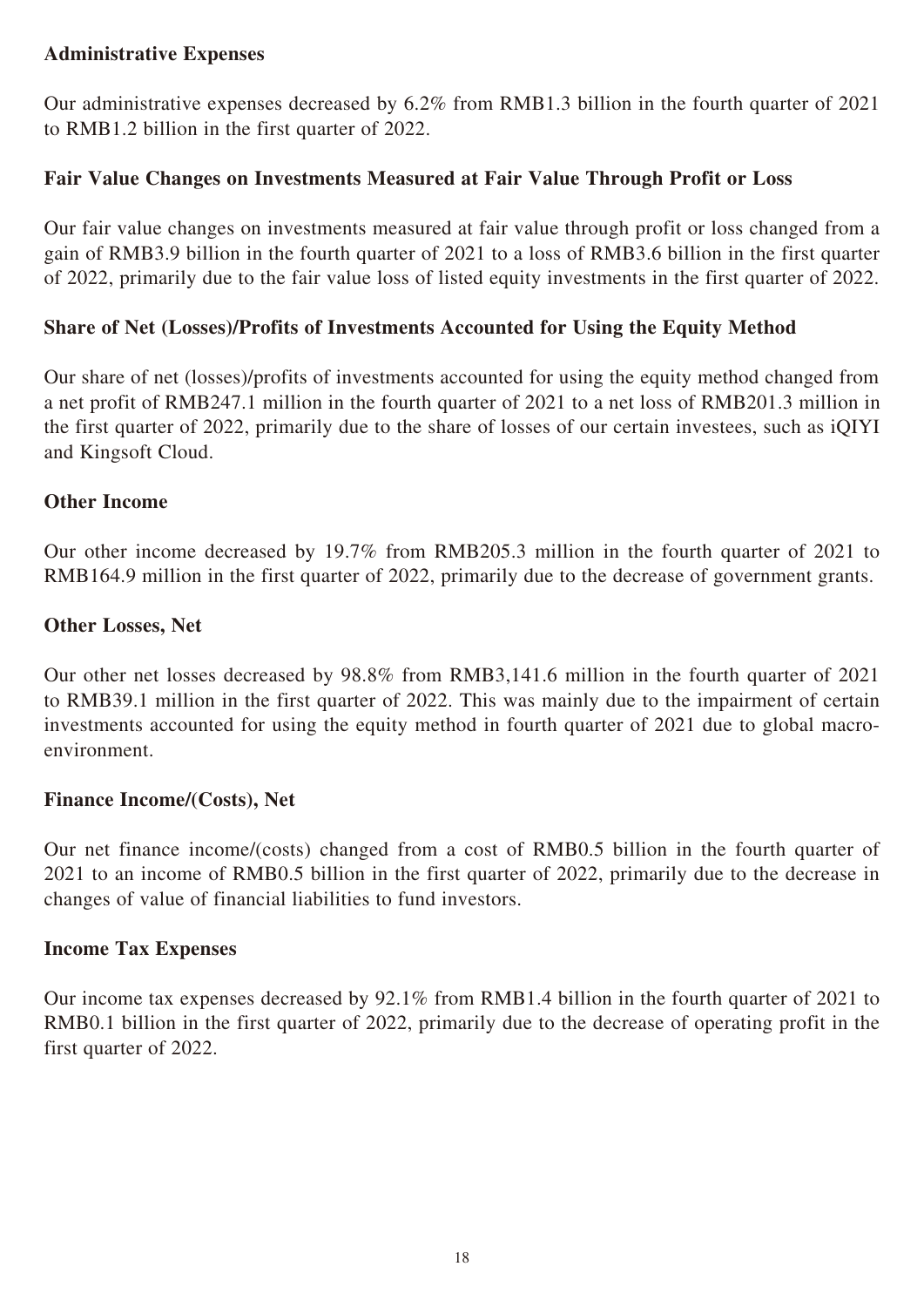## **Administrative Expenses**

Our administrative expenses decreased by 6.2% from RMB1.3 billion in the fourth quarter of 2021 to RMB1.2 billion in the first quarter of 2022.

### **Fair Value Changes on Investments Measured at Fair Value Through Profit or Loss**

Our fair value changes on investments measured at fair value through profit or loss changed from a gain of RMB3.9 billion in the fourth quarter of 2021 to a loss of RMB3.6 billion in the first quarter of 2022, primarily due to the fair value loss of listed equity investments in the first quarter of 2022.

### **Share of Net (Losses)/Profits of Investments Accounted for Using the Equity Method**

Our share of net (losses)/profits of investments accounted for using the equity method changed from a net profit of RMB247.1 million in the fourth quarter of 2021 to a net loss of RMB201.3 million in the first quarter of 2022, primarily due to the share of losses of our certain investees, such as iQIYI and Kingsoft Cloud.

#### **Other Income**

Our other income decreased by 19.7% from RMB205.3 million in the fourth quarter of 2021 to RMB164.9 million in the first quarter of 2022, primarily due to the decrease of government grants.

### **Other Losses, Net**

Our other net losses decreased by 98.8% from RMB3,141.6 million in the fourth quarter of 2021 to RMB39.1 million in the first quarter of 2022. This was mainly due to the impairment of certain investments accounted for using the equity method in fourth quarter of 2021 due to global macroenvironment.

#### **Finance Income/(Costs), Net**

Our net finance income/(costs) changed from a cost of RMB0.5 billion in the fourth quarter of 2021 to an income of RMB0.5 billion in the first quarter of 2022, primarily due to the decrease in changes of value of financial liabilities to fund investors.

#### **Income Tax Expenses**

Our income tax expenses decreased by 92.1% from RMB1.4 billion in the fourth quarter of 2021 to RMB0.1 billion in the first quarter of 2022, primarily due to the decrease of operating profit in the first quarter of 2022.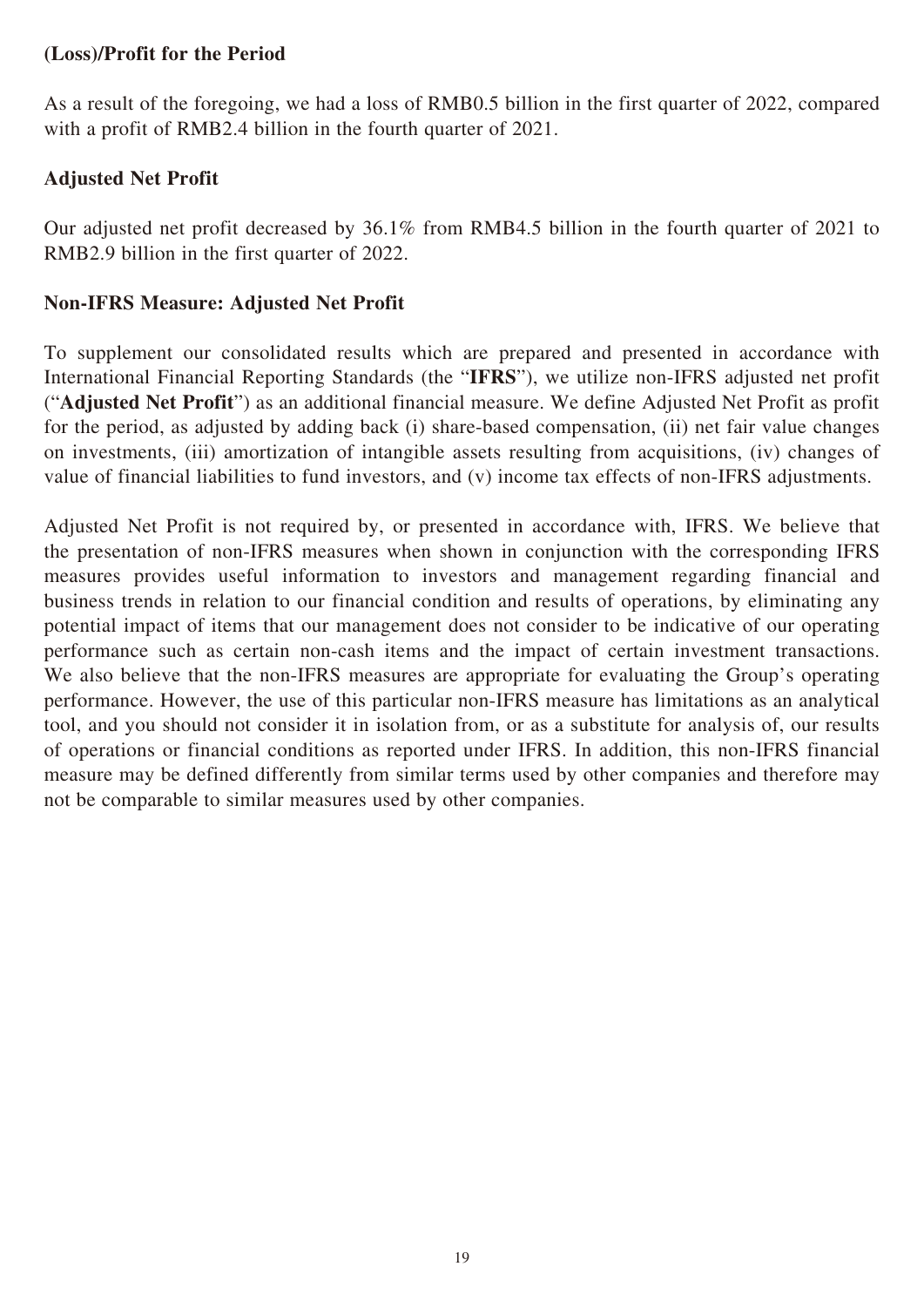## **(Loss)/Profit for the Period**

As a result of the foregoing, we had a loss of RMB0.5 billion in the first quarter of 2022, compared with a profit of RMB2.4 billion in the fourth quarter of 2021.

# **Adjusted Net Profit**

Our adjusted net profit decreased by 36.1% from RMB4.5 billion in the fourth quarter of 2021 to RMB2.9 billion in the first quarter of 2022.

### **Non-IFRS Measure: Adjusted Net Profit**

To supplement our consolidated results which are prepared and presented in accordance with International Financial Reporting Standards (the "**IFRS**"), we utilize non-IFRS adjusted net profit ("**Adjusted Net Profit**") as an additional financial measure. We define Adjusted Net Profit as profit for the period, as adjusted by adding back (i) share-based compensation, (ii) net fair value changes on investments, (iii) amortization of intangible assets resulting from acquisitions, (iv) changes of value of financial liabilities to fund investors, and (v) income tax effects of non-IFRS adjustments.

Adjusted Net Profit is not required by, or presented in accordance with, IFRS. We believe that the presentation of non-IFRS measures when shown in conjunction with the corresponding IFRS measures provides useful information to investors and management regarding financial and business trends in relation to our financial condition and results of operations, by eliminating any potential impact of items that our management does not consider to be indicative of our operating performance such as certain non-cash items and the impact of certain investment transactions. We also believe that the non-IFRS measures are appropriate for evaluating the Group's operating performance. However, the use of this particular non-IFRS measure has limitations as an analytical tool, and you should not consider it in isolation from, or as a substitute for analysis of, our results of operations or financial conditions as reported under IFRS. In addition, this non-IFRS financial measure may be defined differently from similar terms used by other companies and therefore may not be comparable to similar measures used by other companies.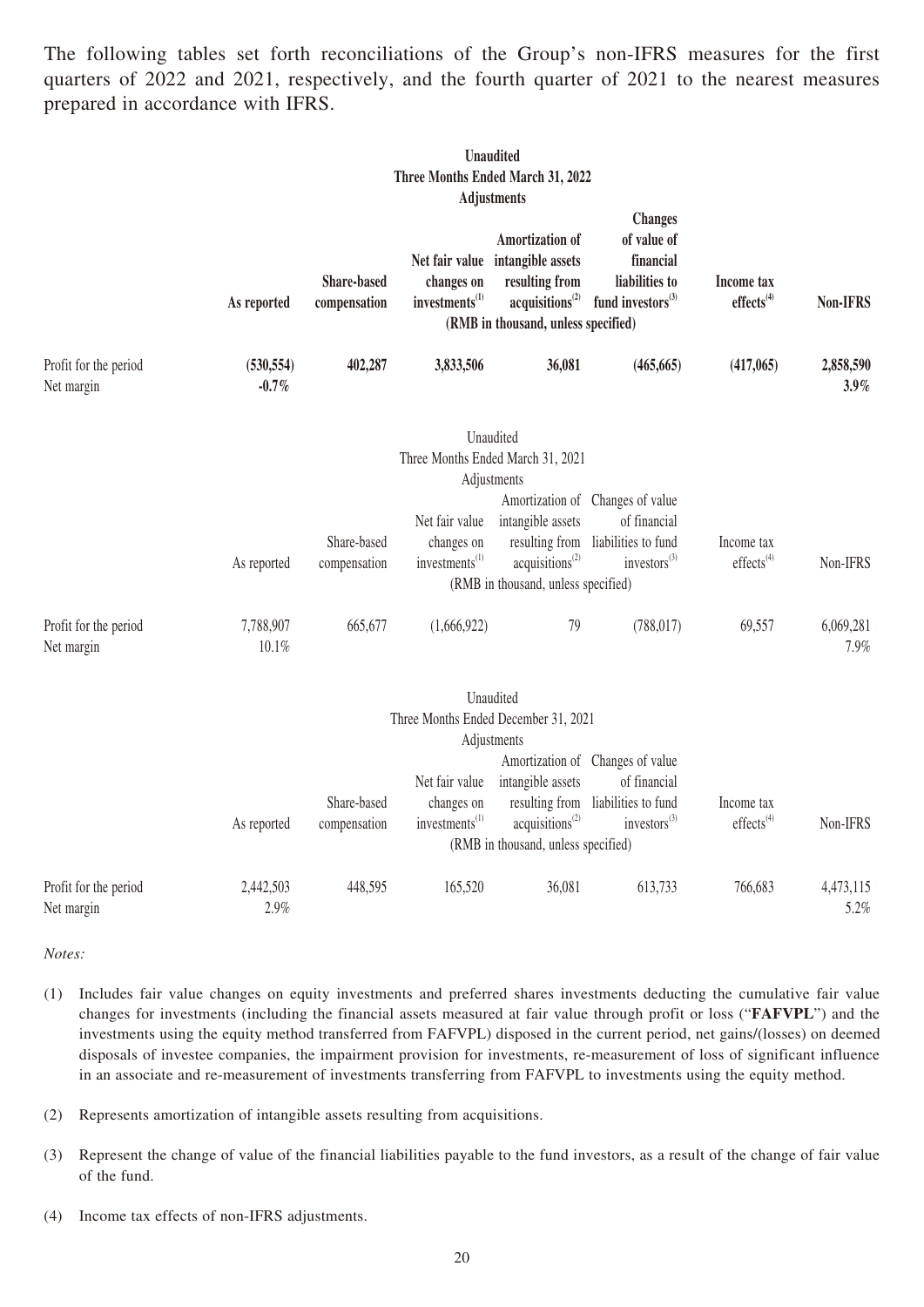The following tables set forth reconciliations of the Group's non-IFRS measures for the first quarters of 2022 and 2021, respectively, and the fourth quarter of 2021 to the nearest measures prepared in accordance with IFRS.

|                                     |                        |                                    |                                                            | Unaudited<br>Three Months Ended March 31, 2022<br><b>Adjustments</b>                                                         |                                                                                                     |                                        |                      |
|-------------------------------------|------------------------|------------------------------------|------------------------------------------------------------|------------------------------------------------------------------------------------------------------------------------------|-----------------------------------------------------------------------------------------------------|----------------------------------------|----------------------|
|                                     | As reported            | <b>Share-based</b><br>compensation | Net fair value<br>changes on<br>investments <sup>(1)</sup> | Amortization of<br>intangible assets<br>resulting from<br>acquisitions <sup>(2)</sup><br>(RMB in thousand, unless specified) | <b>Changes</b><br>of value of<br>financial<br>liabilities to<br>fund investors <sup>(3)</sup>       | Income tax<br>effects <sup>(4)</sup>   | Non-IFRS             |
| Profit for the period<br>Net margin | (530, 554)<br>$-0.7\%$ | 402,287                            | 3,833,506                                                  | 36,081                                                                                                                       | (465, 665)                                                                                          | (417,065)                              | 2,858,590<br>$3.9\%$ |
|                                     |                        |                                    |                                                            | Unaudited<br>Three Months Ended March 31, 2021<br>Adjustments                                                                |                                                                                                     |                                        |                      |
|                                     | As reported            | Share-based<br>compensation        | Net fair value<br>changes on<br>investments <sup>(1)</sup> | intangible assets<br>resulting from<br>acquisitions <sup>(2)</sup><br>(RMB in thousand, unless specified)                    | Amortization of Changes of value<br>of financial<br>liabilities to fund<br>investors <sup>(3)</sup> | Income tax<br>effects <sup>(4)</sup>   | Non-IFRS             |
| Profit for the period<br>Net margin | 7,788,907<br>10.1%     | 665,677                            | (1,666,922)                                                | 79                                                                                                                           | (788, 017)                                                                                          | 69,557                                 | 6,069,281<br>7.9%    |
|                                     |                        |                                    |                                                            | Unaudited<br>Three Months Ended December 31, 2021<br>Adjustments                                                             |                                                                                                     |                                        |                      |
|                                     | As reported            | Share-based<br>compensation        | Net fair value<br>changes on<br>investments <sup>(1)</sup> | intangible assets<br>resulting from<br>acquisitions <sup>(2)</sup><br>(RMB in thousand, unless specified)                    | Amortization of Changes of value<br>of financial<br>liabilities to fund<br>investors <sup>(3)</sup> | Income tax<br>$effects$ <sup>(4)</sup> | Non-IFRS             |
| Profit for the period<br>Net margin | 2,442,503<br>2.9%      | 448,595                            | 165,520                                                    | 36,081                                                                                                                       | 613,733                                                                                             | 766,683                                | 4,473,115<br>5.2%    |

*Notes:*

- (1) Includes fair value changes on equity investments and preferred shares investments deducting the cumulative fair value changes for investments (including the financial assets measured at fair value through profit or loss ("**FAFVPL**") and the investments using the equity method transferred from FAFVPL) disposed in the current period, net gains/(losses) on deemed disposals of investee companies, the impairment provision for investments, re-measurement of loss of significant influence in an associate and re-measurement of investments transferring from FAFVPL to investments using the equity method.
- (2) Represents amortization of intangible assets resulting from acquisitions.
- (3) Represent the change of value of the financial liabilities payable to the fund investors, as a result of the change of fair value of the fund.
- (4) Income tax effects of non-IFRS adjustments.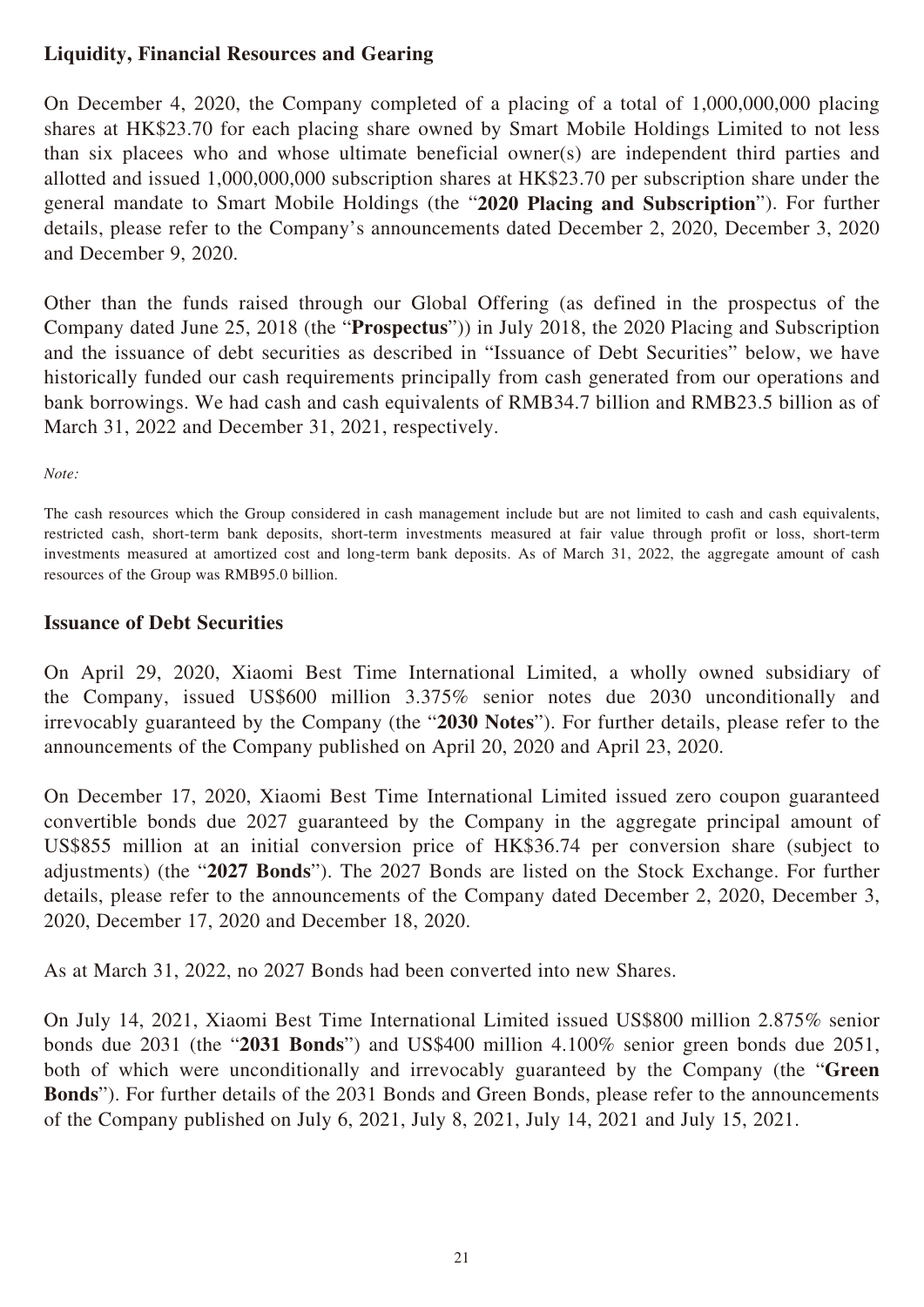# **Liquidity, Financial Resources and Gearing**

On December 4, 2020, the Company completed of a placing of a total of 1,000,000,000 placing shares at HK\$23.70 for each placing share owned by Smart Mobile Holdings Limited to not less than six placees who and whose ultimate beneficial owner(s) are independent third parties and allotted and issued 1,000,000,000 subscription shares at HK\$23.70 per subscription share under the general mandate to Smart Mobile Holdings (the "**2020 Placing and Subscription**"). For further details, please refer to the Company's announcements dated December 2, 2020, December 3, 2020 and December 9, 2020.

Other than the funds raised through our Global Offering (as defined in the prospectus of the Company dated June 25, 2018 (the "**Prospectus**")) in July 2018, the 2020 Placing and Subscription and the issuance of debt securities as described in "Issuance of Debt Securities" below, we have historically funded our cash requirements principally from cash generated from our operations and bank borrowings. We had cash and cash equivalents of RMB34.7 billion and RMB23.5 billion as of March 31, 2022 and December 31, 2021, respectively.

*Note:*

The cash resources which the Group considered in cash management include but are not limited to cash and cash equivalents, restricted cash, short-term bank deposits, short-term investments measured at fair value through profit or loss, short-term investments measured at amortized cost and long-term bank deposits. As of March 31, 2022, the aggregate amount of cash resources of the Group was RMB95.0 billion.

#### **Issuance of Debt Securities**

On April 29, 2020, Xiaomi Best Time International Limited, a wholly owned subsidiary of the Company, issued US\$600 million 3.375% senior notes due 2030 unconditionally and irrevocably guaranteed by the Company (the "**2030 Notes**"). For further details, please refer to the announcements of the Company published on April 20, 2020 and April 23, 2020.

On December 17, 2020, Xiaomi Best Time International Limited issued zero coupon guaranteed convertible bonds due 2027 guaranteed by the Company in the aggregate principal amount of US\$855 million at an initial conversion price of HK\$36.74 per conversion share (subject to adjustments) (the "**2027 Bonds**"). The 2027 Bonds are listed on the Stock Exchange. For further details, please refer to the announcements of the Company dated December 2, 2020, December 3, 2020, December 17, 2020 and December 18, 2020.

As at March 31, 2022, no 2027 Bonds had been converted into new Shares.

On July 14, 2021, Xiaomi Best Time International Limited issued US\$800 million 2.875% senior bonds due 2031 (the "**2031 Bonds**") and US\$400 million 4.100% senior green bonds due 2051, both of which were unconditionally and irrevocably guaranteed by the Company (the "**Green Bonds**"). For further details of the 2031 Bonds and Green Bonds, please refer to the announcements of the Company published on July 6, 2021, July 8, 2021, July 14, 2021 and July 15, 2021.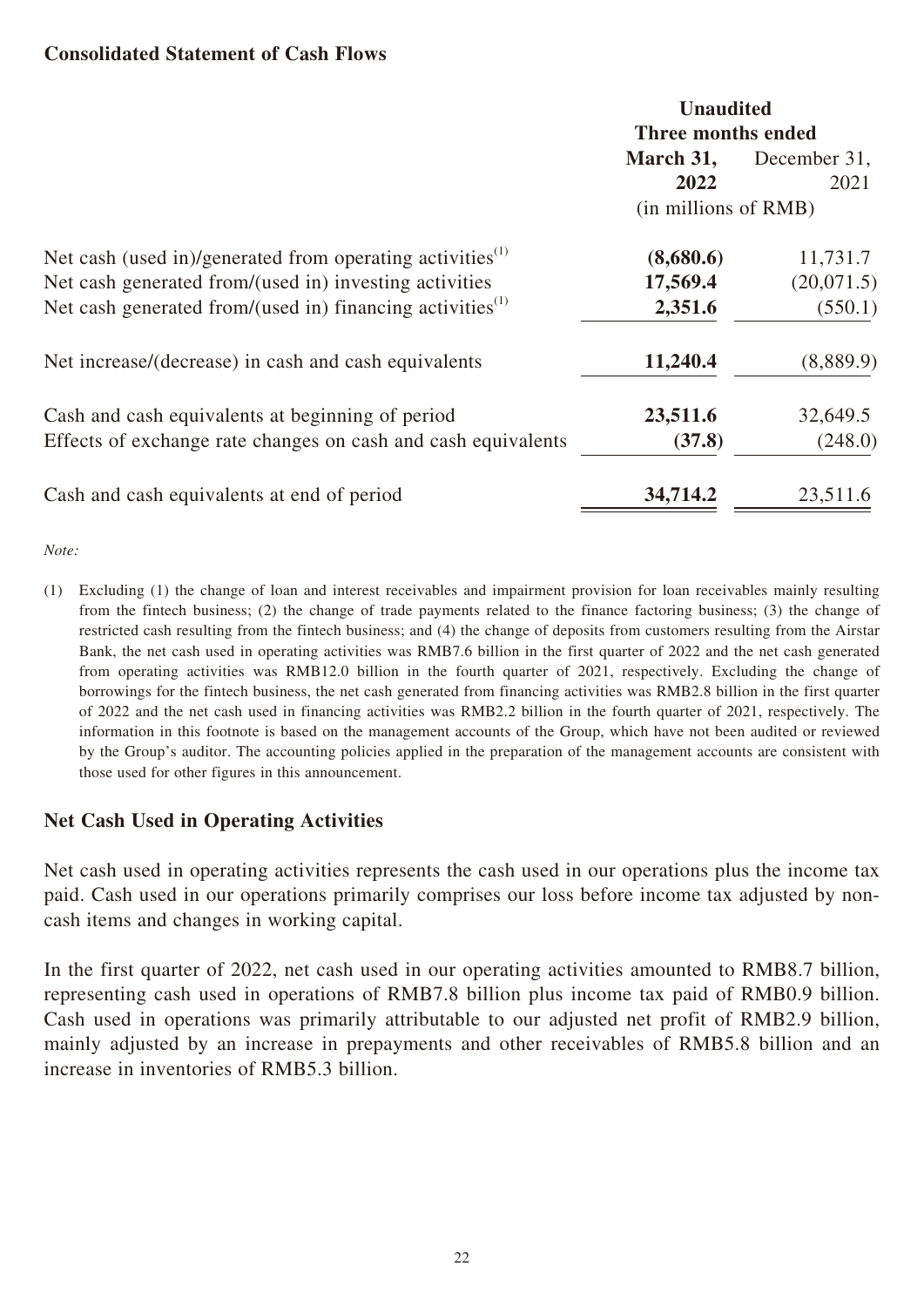#### **Consolidated Statement of Cash Flows**

|                                                                       |                      | <b>Unaudited</b><br>Three months ended |  |  |
|-----------------------------------------------------------------------|----------------------|----------------------------------------|--|--|
|                                                                       | March 31,            | December 31,                           |  |  |
|                                                                       | 2022                 | 2021                                   |  |  |
|                                                                       | (in millions of RMB) |                                        |  |  |
| Net cash (used in)/generated from operating activities <sup>(1)</sup> | (8,680.6)            | 11,731.7                               |  |  |
| Net cash generated from/(used in) investing activities                | 17,569.4             | (20,071.5)                             |  |  |
| Net cash generated from/(used in) financing activities <sup>(1)</sup> | 2,351.6              | (550.1)                                |  |  |
| Net increase/(decrease) in cash and cash equivalents                  | 11,240.4             | (8,889.9)                              |  |  |
| Cash and cash equivalents at beginning of period                      | 23,511.6             | 32,649.5                               |  |  |
| Effects of exchange rate changes on cash and cash equivalents         | (37.8)               | (248.0)                                |  |  |
| Cash and cash equivalents at end of period                            | 34,714.2             | 23,511.6                               |  |  |

*Note:*

(1) Excluding (1) the change of loan and interest receivables and impairment provision for loan receivables mainly resulting from the fintech business; (2) the change of trade payments related to the finance factoring business; (3) the change of restricted cash resulting from the fintech business; and (4) the change of deposits from customers resulting from the Airstar Bank, the net cash used in operating activities was RMB7.6 billion in the first quarter of 2022 and the net cash generated from operating activities was RMB12.0 billion in the fourth quarter of 2021, respectively. Excluding the change of borrowings for the fintech business, the net cash generated from financing activities was RMB2.8 billion in the first quarter of 2022 and the net cash used in financing activities was RMB2.2 billion in the fourth quarter of 2021, respectively. The information in this footnote is based on the management accounts of the Group, which have not been audited or reviewed by the Group's auditor. The accounting policies applied in the preparation of the management accounts are consistent with those used for other figures in this announcement.

#### **Net Cash Used in Operating Activities**

Net cash used in operating activities represents the cash used in our operations plus the income tax paid. Cash used in our operations primarily comprises our loss before income tax adjusted by noncash items and changes in working capital.

In the first quarter of 2022, net cash used in our operating activities amounted to RMB8.7 billion, representing cash used in operations of RMB7.8 billion plus income tax paid of RMB0.9 billion. Cash used in operations was primarily attributable to our adjusted net profit of RMB2.9 billion, mainly adjusted by an increase in prepayments and other receivables of RMB5.8 billion and an increase in inventories of RMB5.3 billion.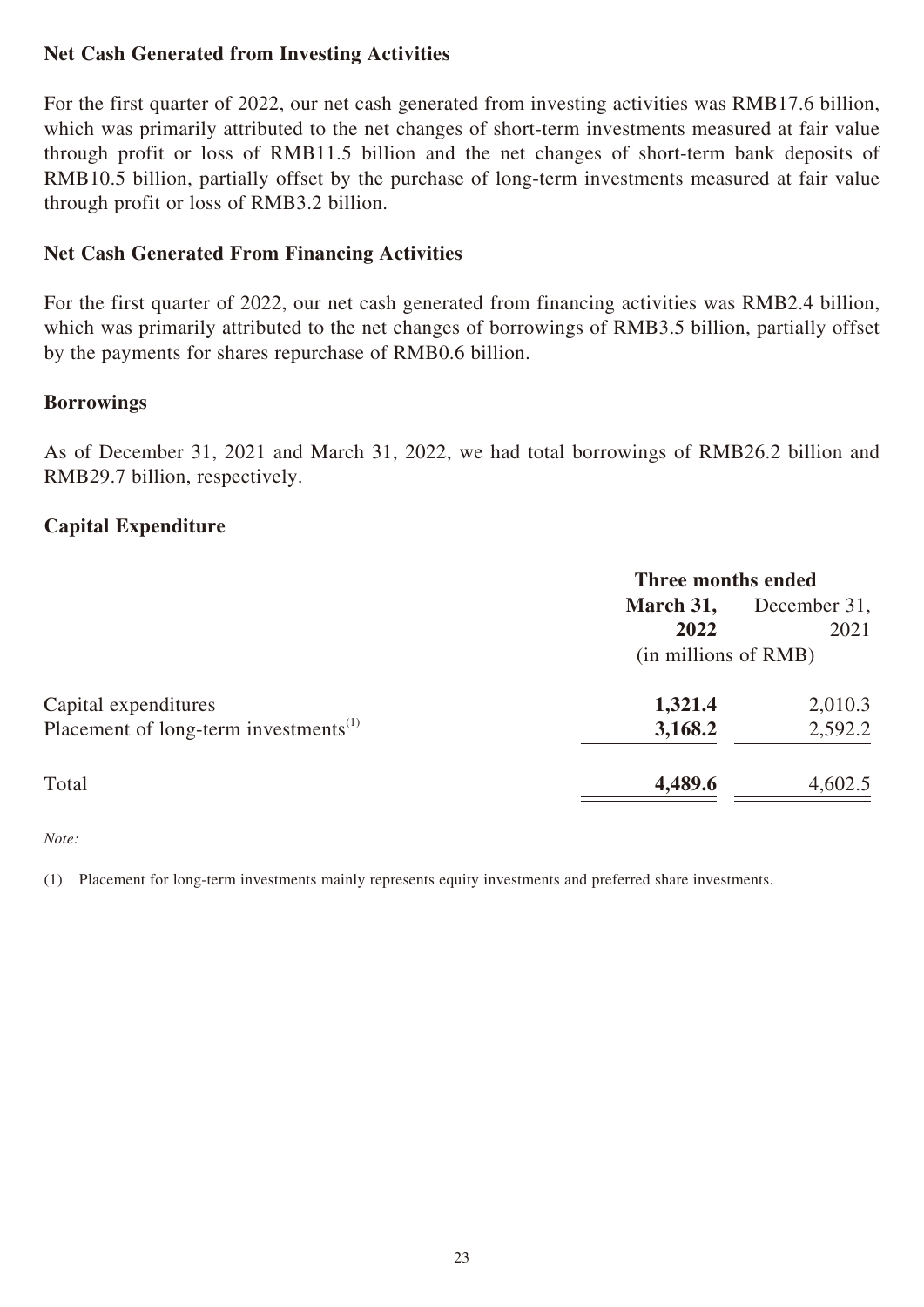# **Net Cash Generated from Investing Activities**

For the first quarter of 2022, our net cash generated from investing activities was RMB17.6 billion, which was primarily attributed to the net changes of short-term investments measured at fair value through profit or loss of RMB11.5 billion and the net changes of short-term bank deposits of RMB10.5 billion, partially offset by the purchase of long-term investments measured at fair value through profit or loss of RMB3.2 billion.

# **Net Cash Generated From Financing Activities**

For the first quarter of 2022, our net cash generated from financing activities was RMB2.4 billion, which was primarily attributed to the net changes of borrowings of RMB3.5 billion, partially offset by the payments for shares repurchase of RMB0.6 billion.

#### **Borrowings**

As of December 31, 2021 and March 31, 2022, we had total borrowings of RMB26.2 billion and RMB29.7 billion, respectively.

### **Capital Expenditure**

|                                                   | Three months ended   |              |  |
|---------------------------------------------------|----------------------|--------------|--|
|                                                   | March 31,            | December 31, |  |
|                                                   | 2022                 | 2021         |  |
|                                                   | (in millions of RMB) |              |  |
| Capital expenditures                              | 1,321.4              | 2,010.3      |  |
| Placement of long-term investments <sup>(1)</sup> | 3,168.2              | 2,592.2      |  |
| Total                                             | 4,489.6              | 4,602.5      |  |

*Note:*

(1) Placement for long-term investments mainly represents equity investments and preferred share investments.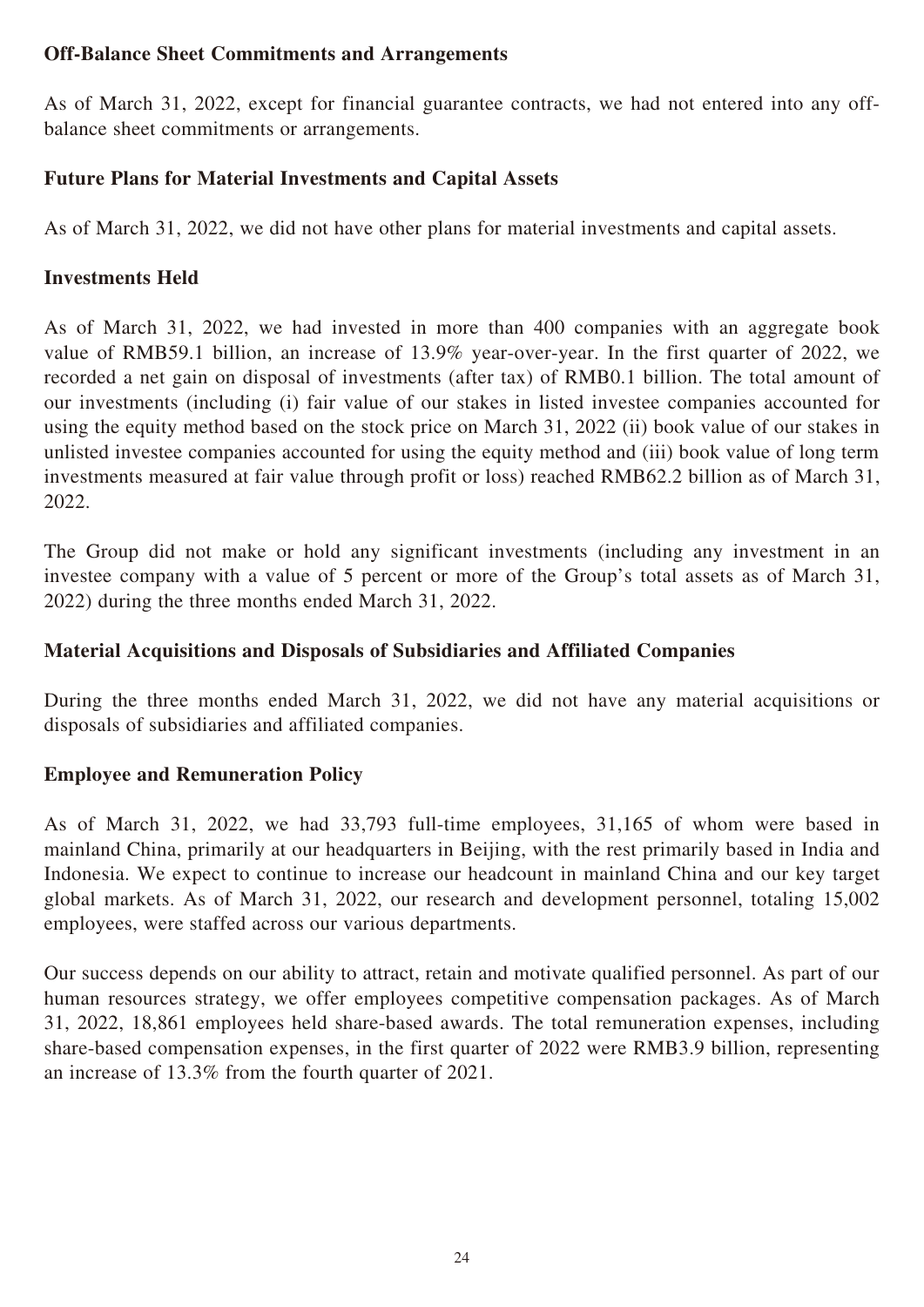# **Off-Balance Sheet Commitments and Arrangements**

As of March 31, 2022, except for financial guarantee contracts, we had not entered into any offbalance sheet commitments or arrangements.

# **Future Plans for Material Investments and Capital Assets**

As of March 31, 2022, we did not have other plans for material investments and capital assets.

# **Investments Held**

As of March 31, 2022, we had invested in more than 400 companies with an aggregate book value of RMB59.1 billion, an increase of 13.9% year-over-year. In the first quarter of 2022, we recorded a net gain on disposal of investments (after tax) of RMB0.1 billion. The total amount of our investments (including (i) fair value of our stakes in listed investee companies accounted for using the equity method based on the stock price on March 31, 2022 (ii) book value of our stakes in unlisted investee companies accounted for using the equity method and (iii) book value of long term investments measured at fair value through profit or loss) reached RMB62.2 billion as of March 31, 2022.

The Group did not make or hold any significant investments (including any investment in an investee company with a value of 5 percent or more of the Group's total assets as of March 31, 2022) during the three months ended March 31, 2022.

# **Material Acquisitions and Disposals of Subsidiaries and Affiliated Companies**

During the three months ended March 31, 2022, we did not have any material acquisitions or disposals of subsidiaries and affiliated companies.

# **Employee and Remuneration Policy**

As of March 31, 2022, we had 33,793 full-time employees, 31,165 of whom were based in mainland China, primarily at our headquarters in Beijing, with the rest primarily based in India and Indonesia. We expect to continue to increase our headcount in mainland China and our key target global markets. As of March 31, 2022, our research and development personnel, totaling 15,002 employees, were staffed across our various departments.

Our success depends on our ability to attract, retain and motivate qualified personnel. As part of our human resources strategy, we offer employees competitive compensation packages. As of March 31, 2022, 18,861 employees held share-based awards. The total remuneration expenses, including share-based compensation expenses, in the first quarter of 2022 were RMB3.9 billion, representing an increase of 13.3% from the fourth quarter of 2021.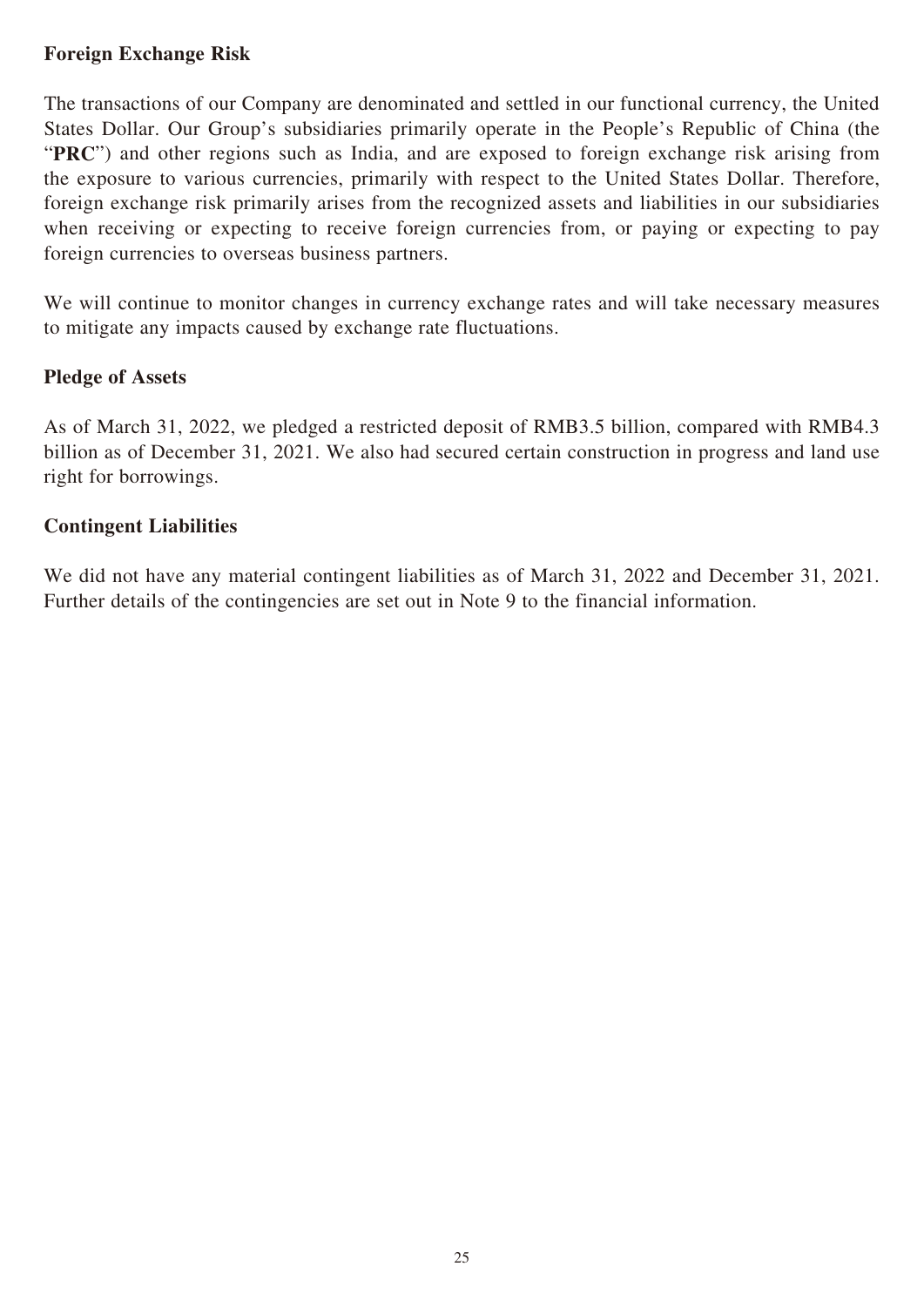# **Foreign Exchange Risk**

The transactions of our Company are denominated and settled in our functional currency, the United States Dollar. Our Group's subsidiaries primarily operate in the People's Republic of China (the "**PRC**") and other regions such as India, and are exposed to foreign exchange risk arising from the exposure to various currencies, primarily with respect to the United States Dollar. Therefore, foreign exchange risk primarily arises from the recognized assets and liabilities in our subsidiaries when receiving or expecting to receive foreign currencies from, or paying or expecting to pay foreign currencies to overseas business partners.

We will continue to monitor changes in currency exchange rates and will take necessary measures to mitigate any impacts caused by exchange rate fluctuations.

#### **Pledge of Assets**

As of March 31, 2022, we pledged a restricted deposit of RMB3.5 billion, compared with RMB4.3 billion as of December 31, 2021. We also had secured certain construction in progress and land use right for borrowings.

#### **Contingent Liabilities**

We did not have any material contingent liabilities as of March 31, 2022 and December 31, 2021. Further details of the contingencies are set out in Note 9 to the financial information.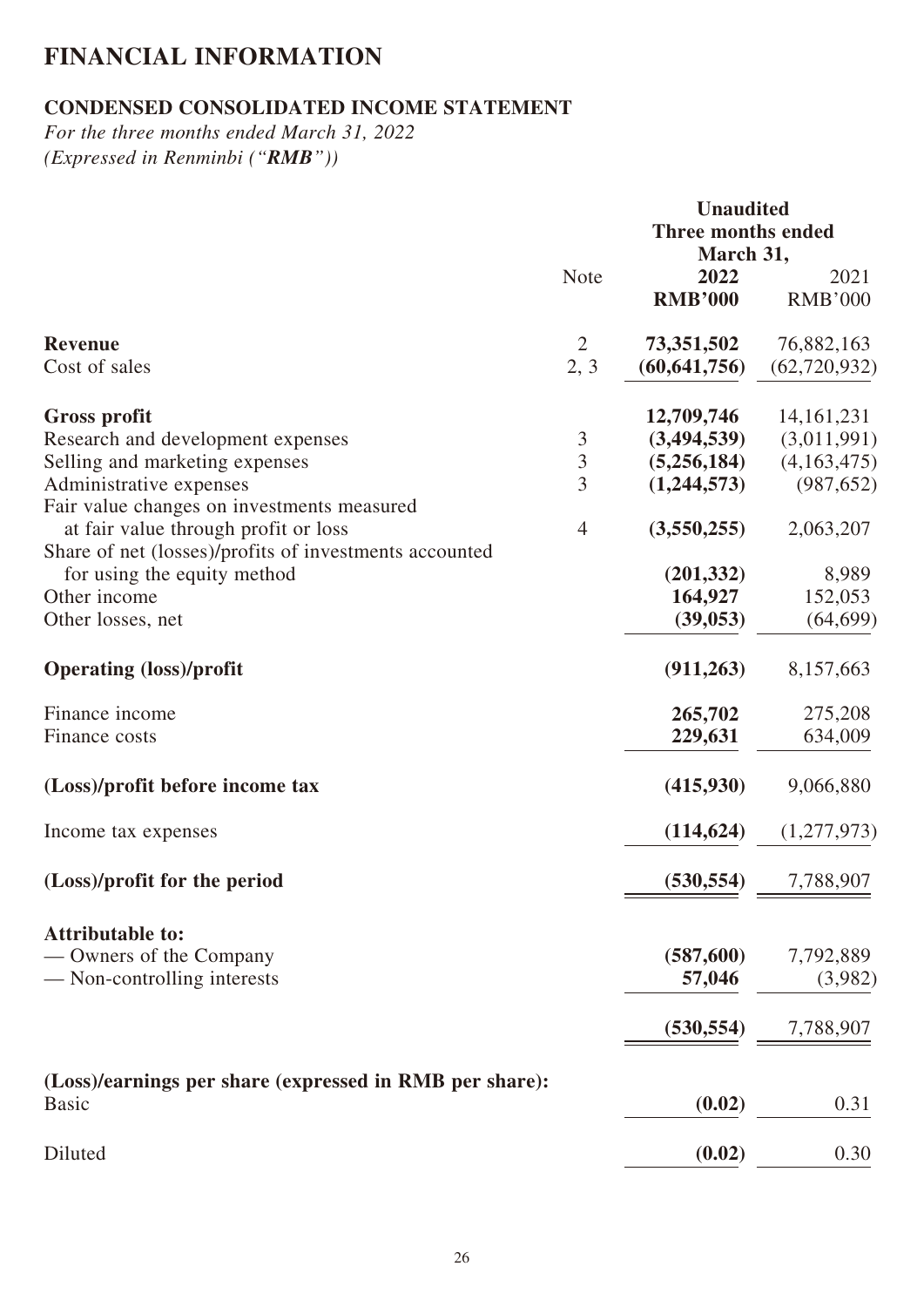# **FINANCIAL INFORMATION**

# **CONDENSED CONSOLIDATED INCOME STATEMENT**

*For the three months ended March 31, 2022 (Expressed in Renminbi ("RMB"))*

|                                                                                                | <b>Unaudited</b><br><b>Three months ended</b><br>March 31, |                              |                              |  |
|------------------------------------------------------------------------------------------------|------------------------------------------------------------|------------------------------|------------------------------|--|
|                                                                                                | <b>Note</b>                                                | 2022<br><b>RMB'000</b>       | 2021<br><b>RMB'000</b>       |  |
| <b>Revenue</b><br>Cost of sales                                                                | $\overline{2}$<br>2, 3                                     | 73,351,502<br>(60, 641, 756) | 76,882,163<br>(62, 720, 932) |  |
| <b>Gross profit</b>                                                                            |                                                            | 12,709,746                   | 14, 161, 231                 |  |
| Research and development expenses                                                              | $\mathfrak{Z}$                                             | (3,494,539)                  | (3,011,991)                  |  |
| Selling and marketing expenses                                                                 | $\overline{3}$                                             | (5,256,184)                  | (4,163,475)                  |  |
| Administrative expenses<br>Fair value changes on investments measured                          | $\overline{3}$                                             | (1,244,573)                  | (987, 652)                   |  |
| at fair value through profit or loss<br>Share of net (losses)/profits of investments accounted | $\overline{4}$                                             | (3,550,255)                  | 2,063,207                    |  |
| for using the equity method                                                                    |                                                            | (201, 332)                   | 8,989                        |  |
| Other income                                                                                   |                                                            | 164,927                      | 152,053                      |  |
| Other losses, net                                                                              |                                                            | (39, 053)                    | (64, 699)                    |  |
| <b>Operating (loss)/profit</b>                                                                 |                                                            | (911, 263)                   | 8,157,663                    |  |
| Finance income                                                                                 |                                                            | 265,702                      | 275,208                      |  |
| Finance costs                                                                                  |                                                            | 229,631                      | 634,009                      |  |
| (Loss)/profit before income tax                                                                |                                                            | (415,930)                    | 9,066,880                    |  |
| Income tax expenses                                                                            |                                                            | (114, 624)                   | (1,277,973)                  |  |
| (Loss)/profit for the period                                                                   |                                                            | (530, 554)                   | 7,788,907                    |  |
| <b>Attributable to:</b>                                                                        |                                                            |                              |                              |  |
| — Owners of the Company                                                                        |                                                            | (587,600)                    | 7,792,889                    |  |
| — Non-controlling interests                                                                    |                                                            | 57,046                       | (3,982)                      |  |
|                                                                                                |                                                            | (530, 554)                   | 7,788,907                    |  |
|                                                                                                |                                                            |                              |                              |  |
| (Loss)/earnings per share (expressed in RMB per share):<br><b>Basic</b>                        |                                                            | (0.02)                       | 0.31                         |  |
| Diluted                                                                                        |                                                            | (0.02)                       | 0.30                         |  |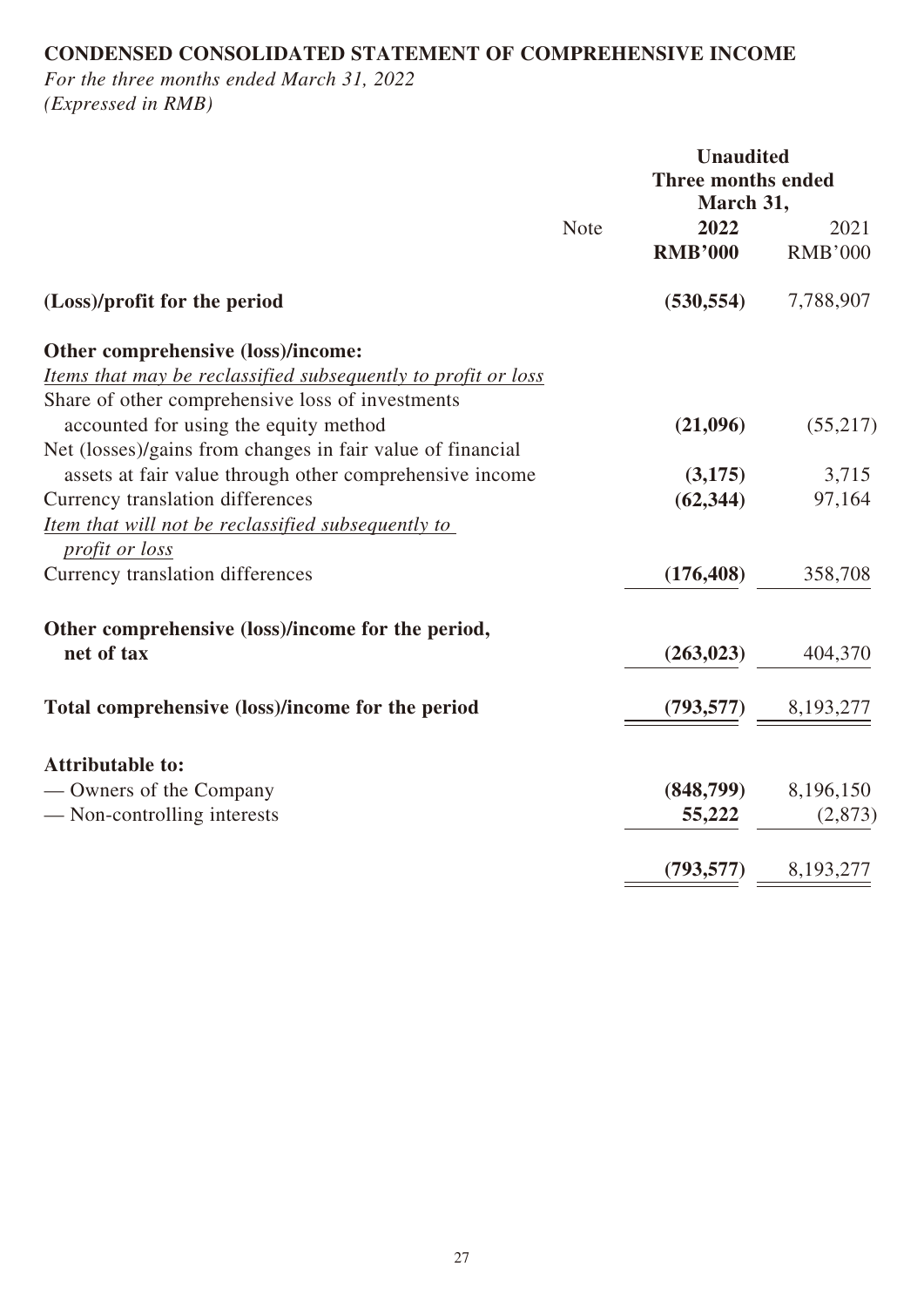# **CONDENSED CONSOLIDATED STATEMENT OF COMPREHENSIVE INCOME**

*For the three months ended March 31, 2022 (Expressed in RMB)*

|                                                               |      | <b>Unaudited</b>          |                |
|---------------------------------------------------------------|------|---------------------------|----------------|
|                                                               |      | <b>Three months ended</b> |                |
|                                                               |      | March 31,                 |                |
|                                                               | Note | 2022                      | 2021           |
|                                                               |      | <b>RMB'000</b>            | <b>RMB'000</b> |
| (Loss)/profit for the period                                  |      | (530, 554)                | 7,788,907      |
| Other comprehensive (loss)/income:                            |      |                           |                |
| Items that may be reclassified subsequently to profit or loss |      |                           |                |
| Share of other comprehensive loss of investments              |      |                           |                |
| accounted for using the equity method                         |      | (21,096)                  | (55,217)       |
| Net (losses)/gains from changes in fair value of financial    |      |                           |                |
| assets at fair value through other comprehensive income       |      | (3,175)                   | 3,715          |
| Currency translation differences                              |      | (62, 344)                 | 97,164         |
| Item that will not be reclassified subsequently to            |      |                           |                |
| profit or loss                                                |      |                           |                |
| Currency translation differences                              |      | (176, 408)                | 358,708        |
| Other comprehensive (loss)/income for the period,             |      |                           |                |
| net of tax                                                    |      | (263, 023)                | 404,370        |
| Total comprehensive (loss)/income for the period              |      | (793, 577)                | 8,193,277      |
|                                                               |      |                           |                |
| <b>Attributable to:</b>                                       |      |                           |                |
| — Owners of the Company                                       |      | (848,799)                 | 8,196,150      |
| — Non-controlling interests                                   |      | 55,222                    | (2,873)        |
|                                                               |      | (793, 577)                | 8,193,277      |
|                                                               |      |                           |                |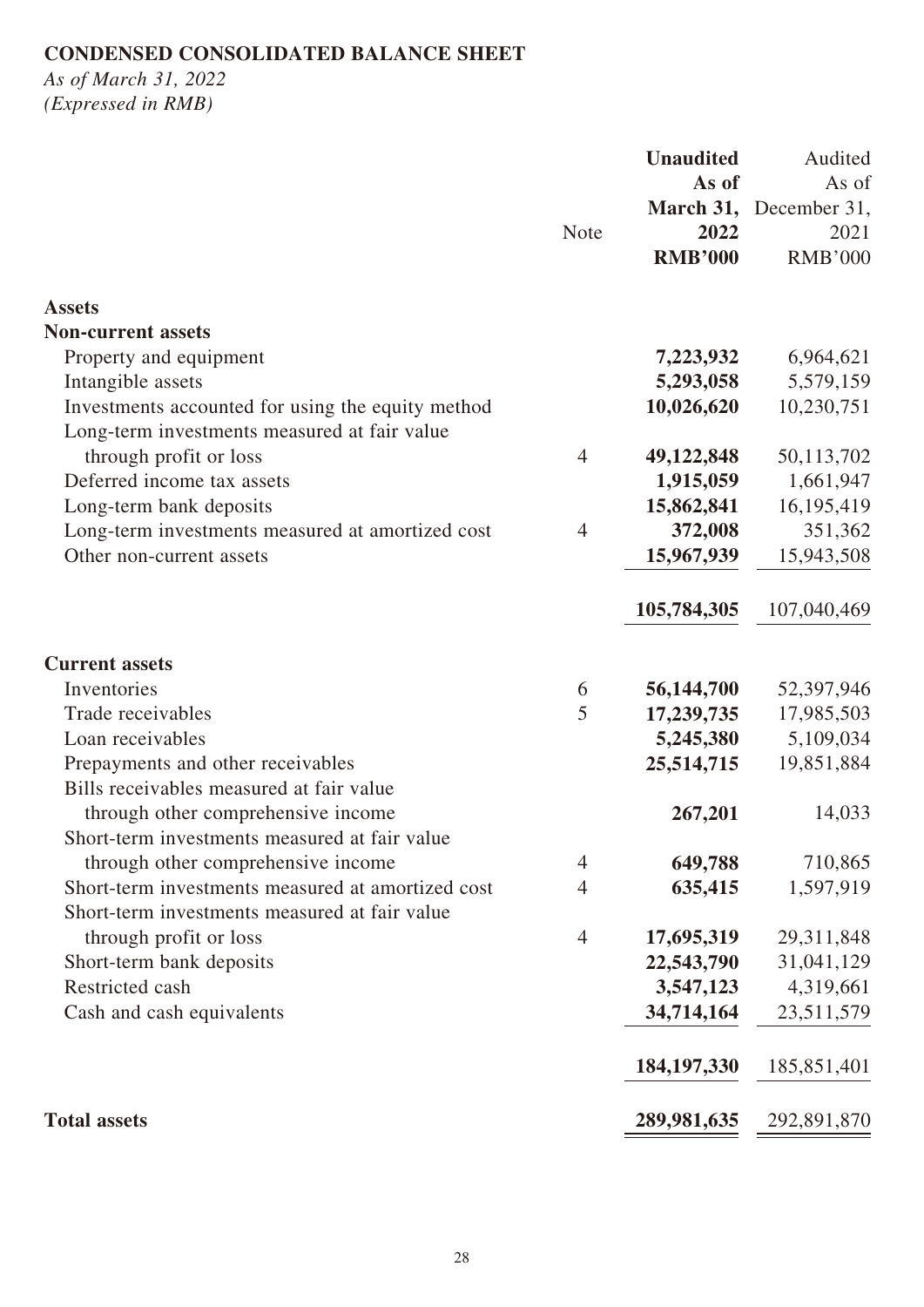# **CONDENSED CONSOLIDATED BALANCE SHEET**

*As of March 31, 2022 (Expressed in RMB)*

|                                                   |                | <b>Unaudited</b> | Audited                |
|---------------------------------------------------|----------------|------------------|------------------------|
|                                                   |                | As of            | As of                  |
|                                                   |                |                  | March 31, December 31, |
|                                                   | Note           | 2022             | 2021                   |
|                                                   |                | <b>RMB'000</b>   | <b>RMB'000</b>         |
| <b>Assets</b>                                     |                |                  |                        |
| <b>Non-current assets</b>                         |                |                  |                        |
| Property and equipment                            |                | 7,223,932        | 6,964,621              |
| Intangible assets                                 |                | 5,293,058        | 5,579,159              |
| Investments accounted for using the equity method |                | 10,026,620       | 10,230,751             |
| Long-term investments measured at fair value      |                |                  |                        |
| through profit or loss                            | $\overline{4}$ | 49,122,848       | 50,113,702             |
| Deferred income tax assets                        |                | 1,915,059        | 1,661,947              |
| Long-term bank deposits                           |                | 15,862,841       | 16,195,419             |
| Long-term investments measured at amortized cost  | $\overline{4}$ | 372,008          | 351,362                |
| Other non-current assets                          |                | 15,967,939       | 15,943,508             |
|                                                   |                | 105,784,305      | 107,040,469            |
| <b>Current assets</b>                             |                |                  |                        |
| Inventories                                       | 6              | 56,144,700       | 52,397,946             |
| Trade receivables                                 | 5              | 17,239,735       | 17,985,503             |
| Loan receivables                                  |                | 5,245,380        | 5,109,034              |
| Prepayments and other receivables                 |                | 25,514,715       | 19,851,884             |
| Bills receivables measured at fair value          |                |                  |                        |
| through other comprehensive income                |                | 267,201          | 14,033                 |
| Short-term investments measured at fair value     |                |                  |                        |
| through other comprehensive income                | $\overline{4}$ | 649,788          | 710,865                |
| Short-term investments measured at amortized cost | 4              | 635,415          | 1,597,919              |
| Short-term investments measured at fair value     |                |                  |                        |
| through profit or loss                            | $\overline{4}$ | 17,695,319       | 29,311,848             |
| Short-term bank deposits                          |                | 22,543,790       | 31,041,129             |
| Restricted cash                                   |                | 3,547,123        | 4,319,661              |
| Cash and cash equivalents                         |                | 34,714,164       | 23,511,579             |
|                                                   |                | 184, 197, 330    | 185,851,401            |
| <b>Total assets</b>                               |                | 289,981,635      | 292,891,870            |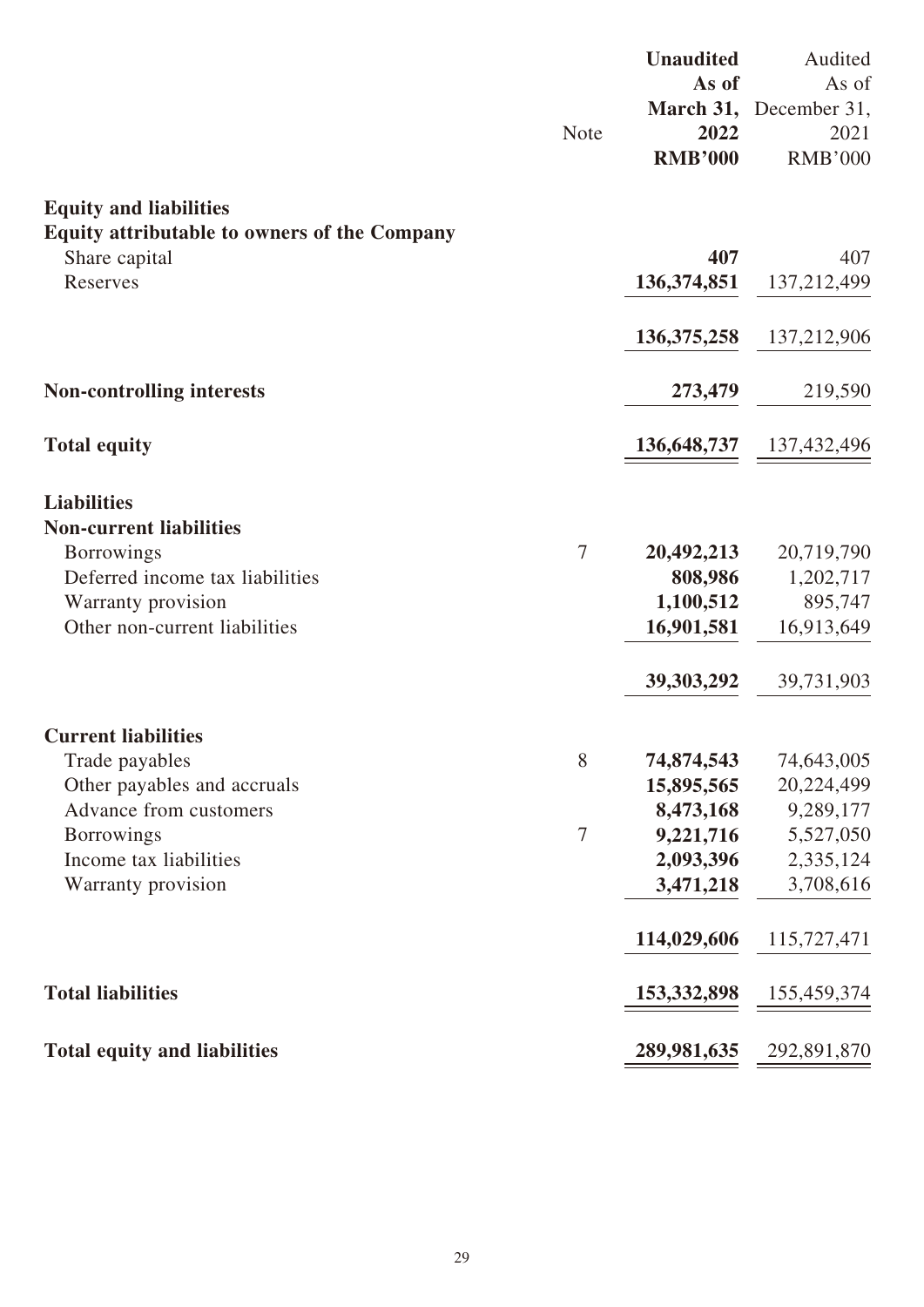|                                                                                                                                                                            | <b>Note</b>    | <b>Unaudited</b><br>As of<br>2022<br><b>RMB'000</b>                                         | Audited<br>As of<br>March 31, December 31,<br>2021<br><b>RMB'000</b>                        |
|----------------------------------------------------------------------------------------------------------------------------------------------------------------------------|----------------|---------------------------------------------------------------------------------------------|---------------------------------------------------------------------------------------------|
| <b>Equity and liabilities</b><br>Equity attributable to owners of the Company<br>Share capital<br>Reserves                                                                 |                | 407<br>136, 374, 851                                                                        | 407<br>137,212,499                                                                          |
|                                                                                                                                                                            |                | 136, 375, 258                                                                               | 137,212,906                                                                                 |
| <b>Non-controlling interests</b>                                                                                                                                           |                | 273,479                                                                                     | 219,590                                                                                     |
| <b>Total equity</b>                                                                                                                                                        |                | 136, 648, 737                                                                               | 137,432,496                                                                                 |
| <b>Liabilities</b><br><b>Non-current liabilities</b><br><b>Borrowings</b><br>Deferred income tax liabilities<br>Warranty provision<br>Other non-current liabilities        | $\overline{7}$ | 20,492,213<br>808,986<br>1,100,512<br>16,901,581<br>39, 303, 292                            | 20,719,790<br>1,202,717<br>895,747<br>16,913,649<br>39,731,903                              |
| <b>Current liabilities</b><br>Trade payables<br>Other payables and accruals<br>Advance from customers<br><b>Borrowings</b><br>Income tax liabilities<br>Warranty provision | 8<br>7         | 74,874,543<br>15,895,565<br>8,473,168<br>9,221,716<br>2,093,396<br>3,471,218<br>114,029,606 | 74,643,005<br>20,224,499<br>9,289,177<br>5,527,050<br>2,335,124<br>3,708,616<br>115,727,471 |
| <b>Total liabilities</b>                                                                                                                                                   |                | 153, 332, 898                                                                               | 155,459,374                                                                                 |
| <b>Total equity and liabilities</b>                                                                                                                                        |                | 289,981,635                                                                                 | 292,891,870                                                                                 |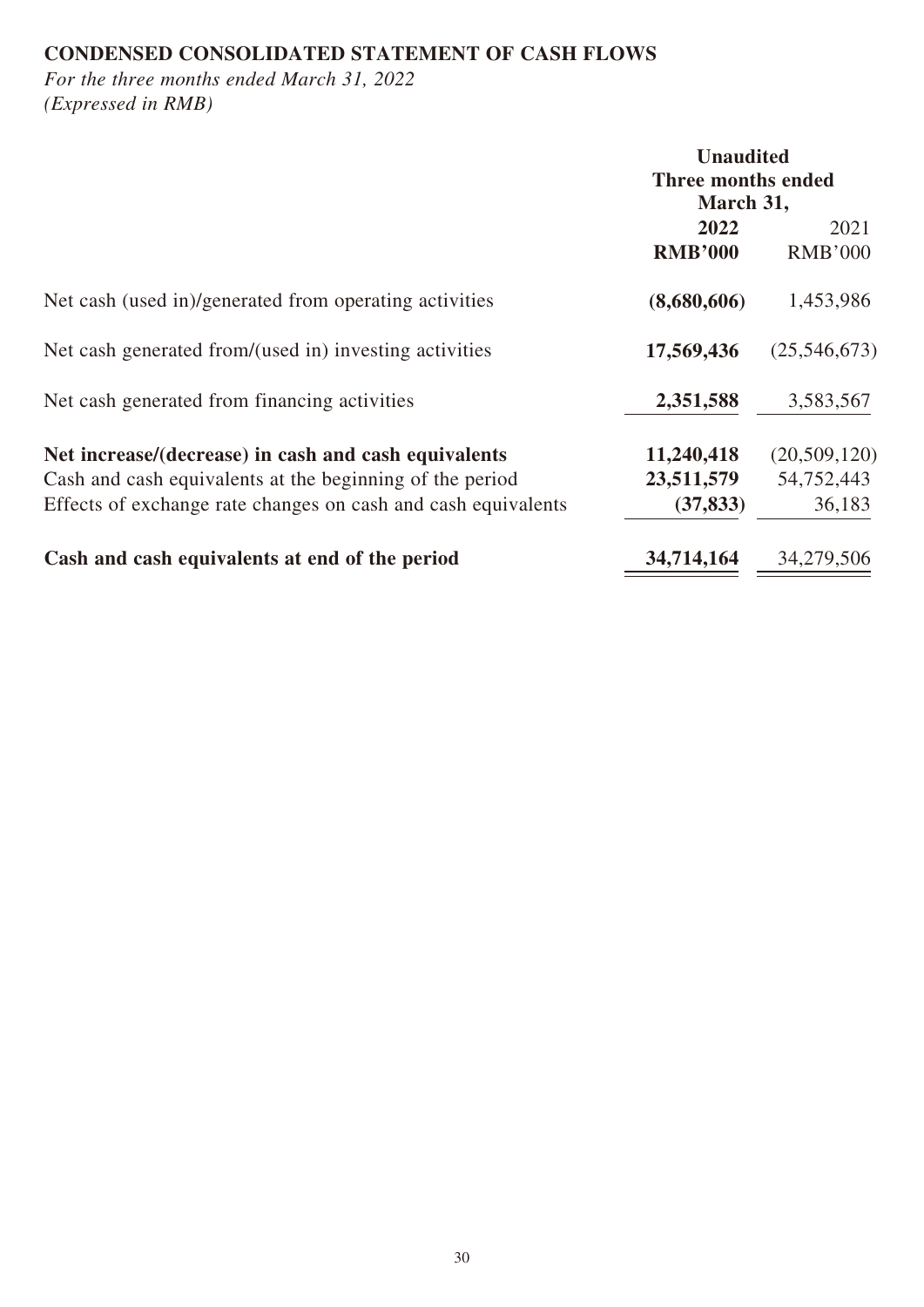# **CONDENSED CONSOLIDATED STATEMENT OF CASH FLOWS**

*For the three months ended March 31, 2022 (Expressed in RMB)*

|                                                                                                                                                                                   | <b>Unaudited</b><br>Three months ended<br>March 31, |                                      |
|-----------------------------------------------------------------------------------------------------------------------------------------------------------------------------------|-----------------------------------------------------|--------------------------------------|
|                                                                                                                                                                                   | 2022<br><b>RMB'000</b>                              | 2021<br><b>RMB'000</b>               |
| Net cash (used in)/generated from operating activities                                                                                                                            | (8,680,606)                                         | 1,453,986                            |
| Net cash generated from/(used in) investing activities                                                                                                                            | 17,569,436                                          | (25,546,673)                         |
| Net cash generated from financing activities                                                                                                                                      | 2,351,588                                           | 3,583,567                            |
| Net increase/(decrease) in cash and cash equivalents<br>Cash and cash equivalents at the beginning of the period<br>Effects of exchange rate changes on cash and cash equivalents | 11,240,418<br>23,511,579<br>(37, 833)               | (20,509,120)<br>54,752,443<br>36,183 |
| Cash and cash equivalents at end of the period                                                                                                                                    | 34,714,164                                          | 34,279,506                           |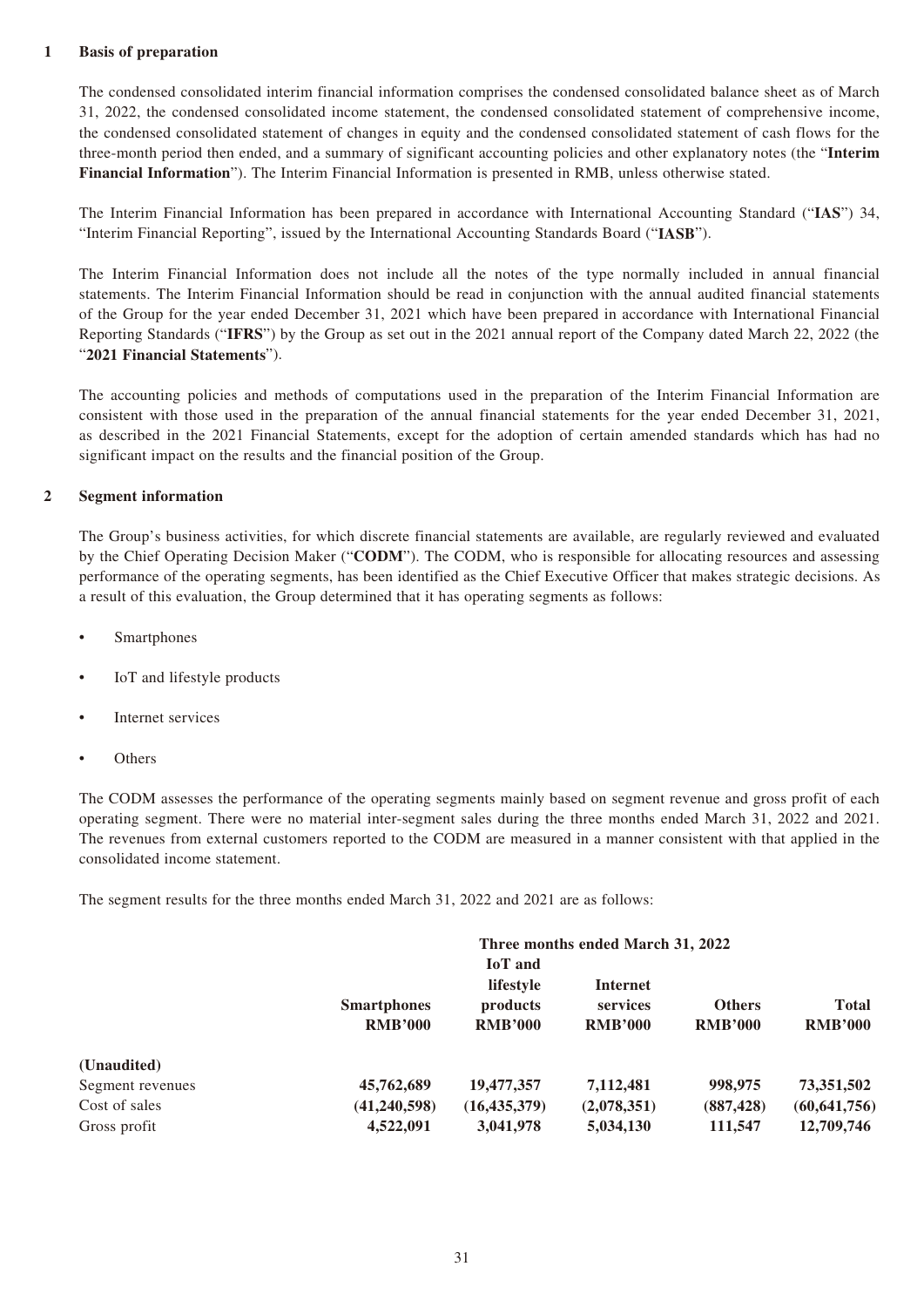#### **1 Basis of preparation**

The condensed consolidated interim financial information comprises the condensed consolidated balance sheet as of March 31, 2022, the condensed consolidated income statement, the condensed consolidated statement of comprehensive income, the condensed consolidated statement of changes in equity and the condensed consolidated statement of cash flows for the three-month period then ended, and a summary of significant accounting policies and other explanatory notes (the "**Interim Financial Information**"). The Interim Financial Information is presented in RMB, unless otherwise stated.

The Interim Financial Information has been prepared in accordance with International Accounting Standard ("**IAS**") 34, "Interim Financial Reporting", issued by the International Accounting Standards Board ("**IASB**").

The Interim Financial Information does not include all the notes of the type normally included in annual financial statements. The Interim Financial Information should be read in conjunction with the annual audited financial statements of the Group for the year ended December 31, 2021 which have been prepared in accordance with International Financial Reporting Standards ("**IFRS**") by the Group as set out in the 2021 annual report of the Company dated March 22, 2022 (the "**2021 Financial Statements**").

The accounting policies and methods of computations used in the preparation of the Interim Financial Information are consistent with those used in the preparation of the annual financial statements for the year ended December 31, 2021, as described in the 2021 Financial Statements, except for the adoption of certain amended standards which has had no significant impact on the results and the financial position of the Group.

#### **2 Segment information**

The Group's business activities, for which discrete financial statements are available, are regularly reviewed and evaluated by the Chief Operating Decision Maker ("**CODM**"). The CODM, who is responsible for allocating resources and assessing performance of the operating segments, has been identified as the Chief Executive Officer that makes strategic decisions. As a result of this evaluation, the Group determined that it has operating segments as follows:

- Smartphones
- IoT and lifestyle products
- Internet services
- **Others**

The CODM assesses the performance of the operating segments mainly based on segment revenue and gross profit of each operating segment. There were no material inter-segment sales during the three months ended March 31, 2022 and 2021. The revenues from external customers reported to the CODM are measured in a manner consistent with that applied in the consolidated income statement.

The segment results for the three months ended March 31, 2022 and 2021 are as follows:

|                  |                    |                | Three months ended March 31, 2022 |                |                |
|------------------|--------------------|----------------|-----------------------------------|----------------|----------------|
|                  |                    | <b>IoT</b> and |                                   |                |                |
|                  |                    | lifestyle      | Internet                          |                |                |
|                  | <b>Smartphones</b> | products       | services                          | <b>Others</b>  | <b>Total</b>   |
|                  | <b>RMB'000</b>     | <b>RMB'000</b> | <b>RMB'000</b>                    | <b>RMB'000</b> | <b>RMB'000</b> |
| (Unaudited)      |                    |                |                                   |                |                |
| Segment revenues | 45,762,689         | 19,477,357     | 7,112,481                         | 998,975        | 73,351,502     |
| Cost of sales    | (41, 240, 598)     | (16, 435, 379) | (2,078,351)                       | (887, 428)     | (60, 641, 756) |
| Gross profit     | 4,522,091          | 3,041,978      | 5,034,130                         | 111,547        | 12,709,746     |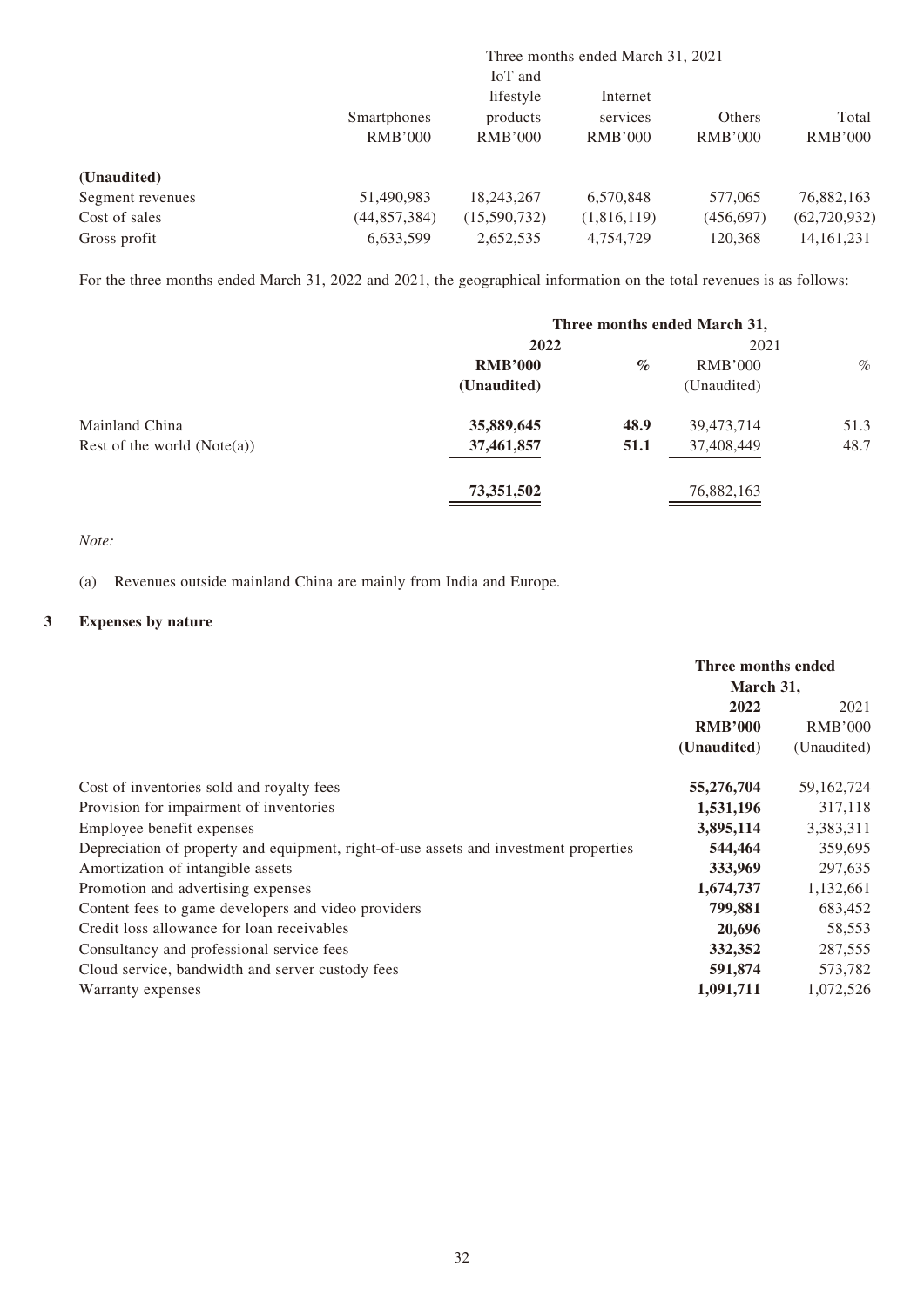|                  |                |                | Three months ended March 31, 2021 |                |                |
|------------------|----------------|----------------|-----------------------------------|----------------|----------------|
|                  |                | IoT and        |                                   |                |                |
|                  |                | lifestyle      | Internet                          |                |                |
|                  | Smartphones    | products       | services                          | Others         | Total          |
|                  | <b>RMB'000</b> | <b>RMB'000</b> | <b>RMB'000</b>                    | <b>RMB'000</b> | <b>RMB'000</b> |
| (Unaudited)      |                |                |                                   |                |                |
| Segment revenues | 51,490,983     | 18,243,267     | 6,570,848                         | 577,065        | 76,882,163     |
| Cost of sales    | (44, 857, 384) | (15,590,732)   | (1,816,119)                       | (456,697)      | (62, 720, 932) |
| Gross profit     | 6,633,599      | 2,652,535      | 4,754,729                         | 120,368        | 14, 161, 231   |

For the three months ended March 31, 2022 and 2021, the geographical information on the total revenues is as follows:

|                               | Three months ended March 31, |      |             |      |
|-------------------------------|------------------------------|------|-------------|------|
|                               | 2022                         |      | 2021        |      |
|                               | <b>RMB'000</b>               | $\%$ | RMB'000     | $\%$ |
|                               | (Unaudited)                  |      | (Unaudited) |      |
| Mainland China                | 35,889,645                   | 48.9 | 39,473,714  | 51.3 |
| Rest of the world $(Note(a))$ | 37,461,857                   | 51.1 | 37,408,449  | 48.7 |
|                               | 73,351,502                   |      | 76,882,163  |      |

*Note:*

(a) Revenues outside mainland China are mainly from India and Europe.

#### **3 Expenses by nature**

|                                                                                       | Three months ended<br>March 31, |                |
|---------------------------------------------------------------------------------------|---------------------------------|----------------|
|                                                                                       | 2022                            | 2021           |
|                                                                                       | <b>RMB'000</b>                  | <b>RMB'000</b> |
|                                                                                       | (Unaudited)                     | (Unaudited)    |
| Cost of inventories sold and royalty fees                                             | 55,276,704                      | 59,162,724     |
| Provision for impairment of inventories                                               | 1,531,196                       | 317,118        |
| Employee benefit expenses                                                             | 3,895,114                       | 3,383,311      |
| Depreciation of property and equipment, right-of-use assets and investment properties | 544,464                         | 359,695        |
| Amortization of intangible assets                                                     | 333,969                         | 297,635        |
| Promotion and advertising expenses                                                    | 1,674,737                       | 1,132,661      |
| Content fees to game developers and video providers                                   | 799,881                         | 683,452        |
| Credit loss allowance for loan receivables                                            | 20,696                          | 58,553         |
| Consultancy and professional service fees                                             | 332,352                         | 287,555        |
| Cloud service, bandwidth and server custody fees                                      | 591,874                         | 573,782        |
| Warranty expenses                                                                     | 1,091,711                       | 1,072,526      |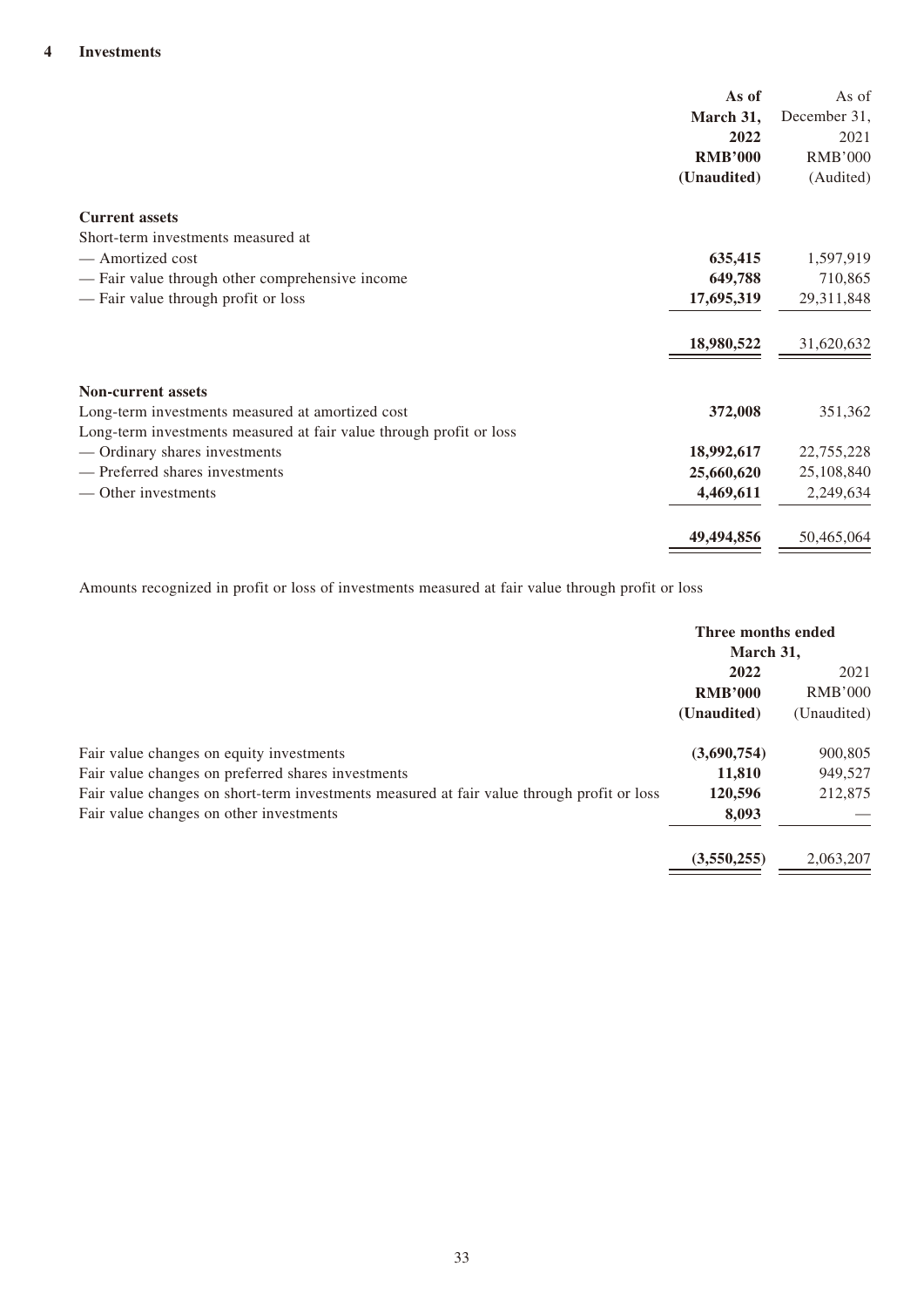| As of                                                               | As of          |
|---------------------------------------------------------------------|----------------|
| March 31,                                                           | December 31,   |
| 2022                                                                | 2021           |
| <b>RMB'000</b>                                                      | <b>RMB'000</b> |
| (Unaudited)                                                         | (Audited)      |
| <b>Current assets</b>                                               |                |
| Short-term investments measured at                                  |                |
| - Amortized cost<br>635,415                                         | 1,597,919      |
| 649,788<br>- Fair value through other comprehensive income          | 710,865        |
| - Fair value through profit or loss<br>17,695,319                   | 29,311,848     |
| 18,980,522                                                          | 31,620,632     |
| <b>Non-current assets</b>                                           |                |
| Long-term investments measured at amortized cost<br>372,008         | 351,362        |
| Long-term investments measured at fair value through profit or loss |                |
| — Ordinary shares investments<br>18,992,617                         | 22,755,228     |
| — Preferred shares investments<br>25,660,620                        | 25,108,840     |
| — Other investments<br>4,469,611                                    | 2,249,634      |
| 49,494,856                                                          | 50,465,064     |

Amounts recognized in profit or loss of investments measured at fair value through profit or loss

|                                                                                                                                       | Three months ended<br>March 31,       |                                       |
|---------------------------------------------------------------------------------------------------------------------------------------|---------------------------------------|---------------------------------------|
|                                                                                                                                       | 2022<br><b>RMB'000</b><br>(Unaudited) | 2021<br><b>RMB'000</b><br>(Unaudited) |
| Fair value changes on equity investments<br>Fair value changes on preferred shares investments                                        | (3,690,754)<br>11,810                 | 900,805<br>949,527                    |
| Fair value changes on short-term investments measured at fair value through profit or loss<br>Fair value changes on other investments | 120,596<br>8,093                      | 212,875                               |
|                                                                                                                                       | (3,550,255)                           | 2,063,207                             |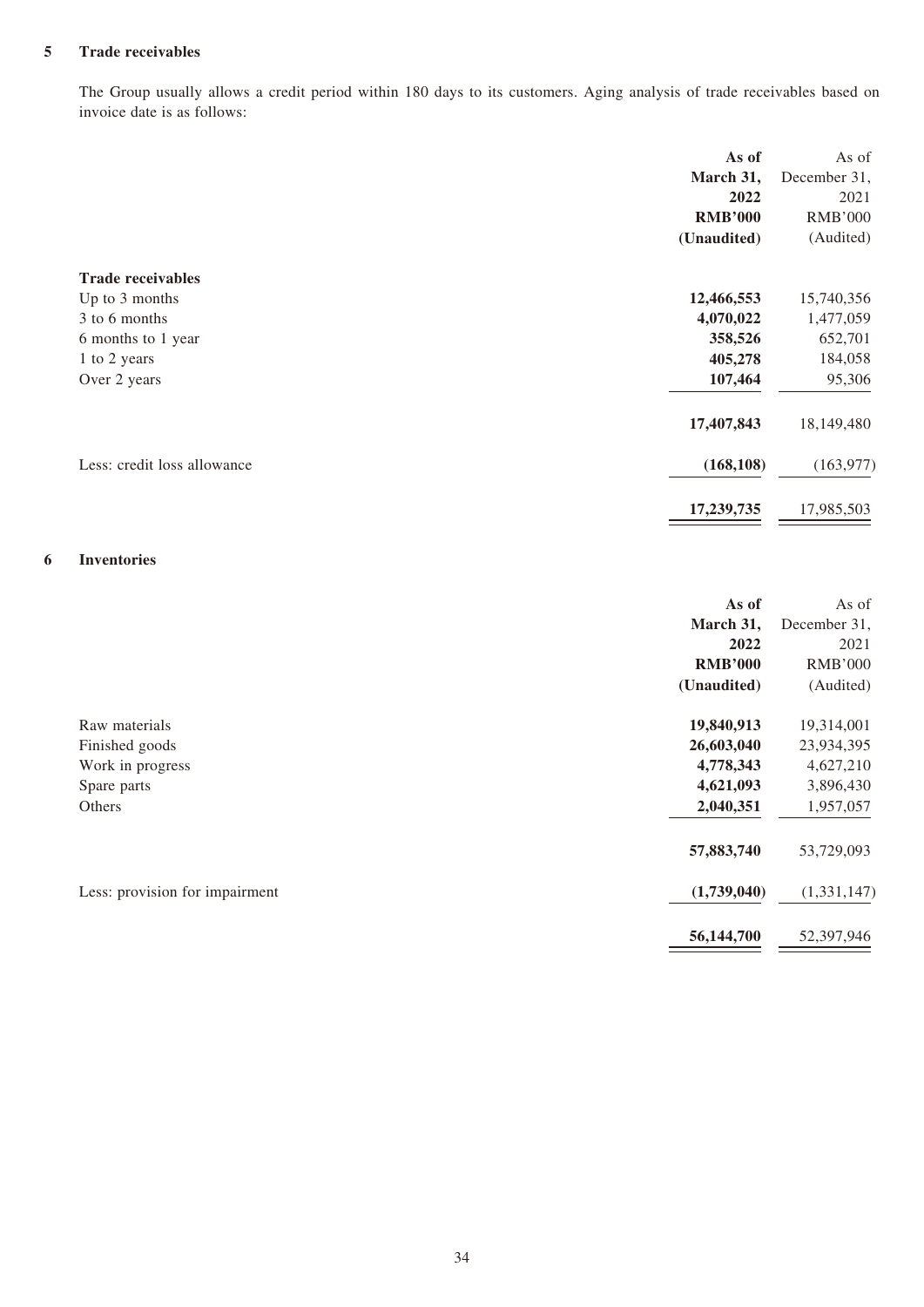#### **5 Trade receivables**

The Group usually allows a credit period within 180 days to its customers. Aging analysis of trade receivables based on invoice date is as follows:

|                             | As of          | As of          |
|-----------------------------|----------------|----------------|
|                             | March 31,      | December 31,   |
|                             | 2022           | 2021           |
|                             | <b>RMB'000</b> | <b>RMB'000</b> |
|                             | (Unaudited)    | (Audited)      |
| <b>Trade receivables</b>    |                |                |
| Up to 3 months              | 12,466,553     | 15,740,356     |
| 3 to 6 months               | 4,070,022      | 1,477,059      |
| 6 months to 1 year          | 358,526        | 652,701        |
| 1 to 2 years                | 405,278        | 184,058        |
| Over 2 years                | 107,464        | 95,306         |
|                             | 17,407,843     | 18,149,480     |
| Less: credit loss allowance | (168, 108)     | (163, 977)     |
|                             | 17,239,735     | 17,985,503     |

#### **6 Inventories**

|                                | As of          | As of          |
|--------------------------------|----------------|----------------|
|                                | March 31,      | December 31,   |
|                                | 2022           | 2021           |
|                                | <b>RMB'000</b> | <b>RMB'000</b> |
|                                | (Unaudited)    | (Audited)      |
| Raw materials                  | 19,840,913     | 19,314,001     |
| Finished goods                 | 26,603,040     | 23,934,395     |
| Work in progress               | 4,778,343      | 4,627,210      |
| Spare parts                    | 4,621,093      | 3,896,430      |
| Others                         | 2,040,351      | 1,957,057      |
|                                | 57,883,740     | 53,729,093     |
| Less: provision for impairment | (1,739,040)    | (1,331,147)    |
|                                | 56,144,700     | 52,397,946     |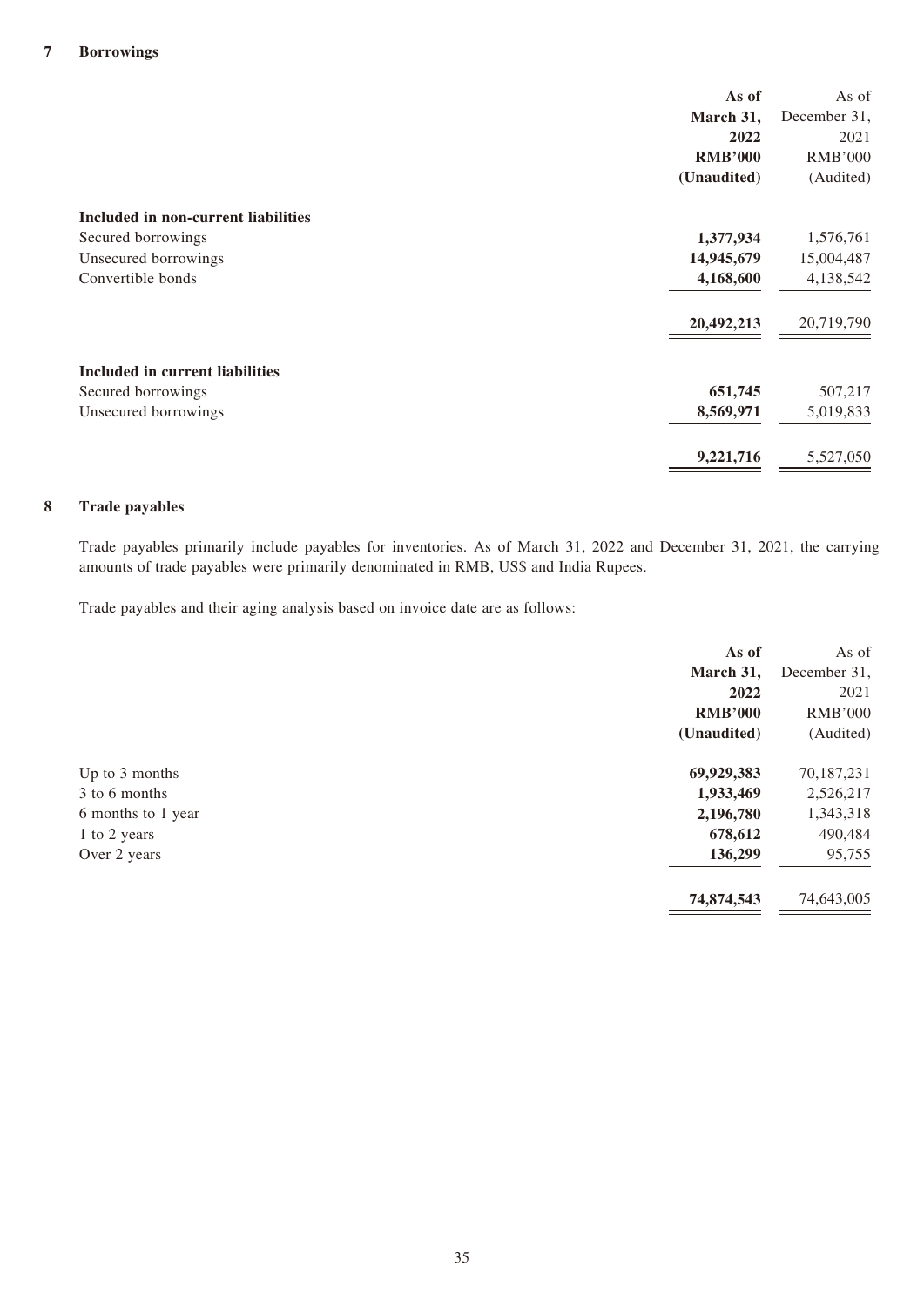|                                     | As of          | As of          |
|-------------------------------------|----------------|----------------|
|                                     | March 31,      | December 31,   |
|                                     | 2022           | 2021           |
|                                     | <b>RMB'000</b> | <b>RMB'000</b> |
|                                     | (Unaudited)    | (Audited)      |
| Included in non-current liabilities |                |                |
| Secured borrowings                  | 1,377,934      | 1,576,761      |
| Unsecured borrowings                | 14,945,679     | 15,004,487     |
| Convertible bonds                   | 4,168,600      | 4,138,542      |
|                                     | 20,492,213     | 20,719,790     |
| Included in current liabilities     |                |                |
| Secured borrowings                  | 651,745        | 507,217        |
| Unsecured borrowings                | 8,569,971      | 5,019,833      |
|                                     | 9,221,716      | 5,527,050      |

#### **8 Trade payables**

Trade payables primarily include payables for inventories. As of March 31, 2022 and December 31, 2021, the carrying amounts of trade payables were primarily denominated in RMB, US\$ and India Rupees.

Trade payables and their aging analysis based on invoice date are as follows:

|                    | As of          | As of          |
|--------------------|----------------|----------------|
|                    | March 31,      | December 31,   |
|                    | 2022           | 2021           |
|                    | <b>RMB'000</b> | <b>RMB'000</b> |
|                    | (Unaudited)    | (Audited)      |
| Up to 3 months     | 69,929,383     | 70,187,231     |
| 3 to 6 months      | 1,933,469      | 2,526,217      |
| 6 months to 1 year | 2,196,780      | 1,343,318      |
| 1 to 2 years       | 678,612        | 490,484        |
| Over 2 years       | 136,299        | 95,755         |
|                    | 74,874,543     | 74,643,005     |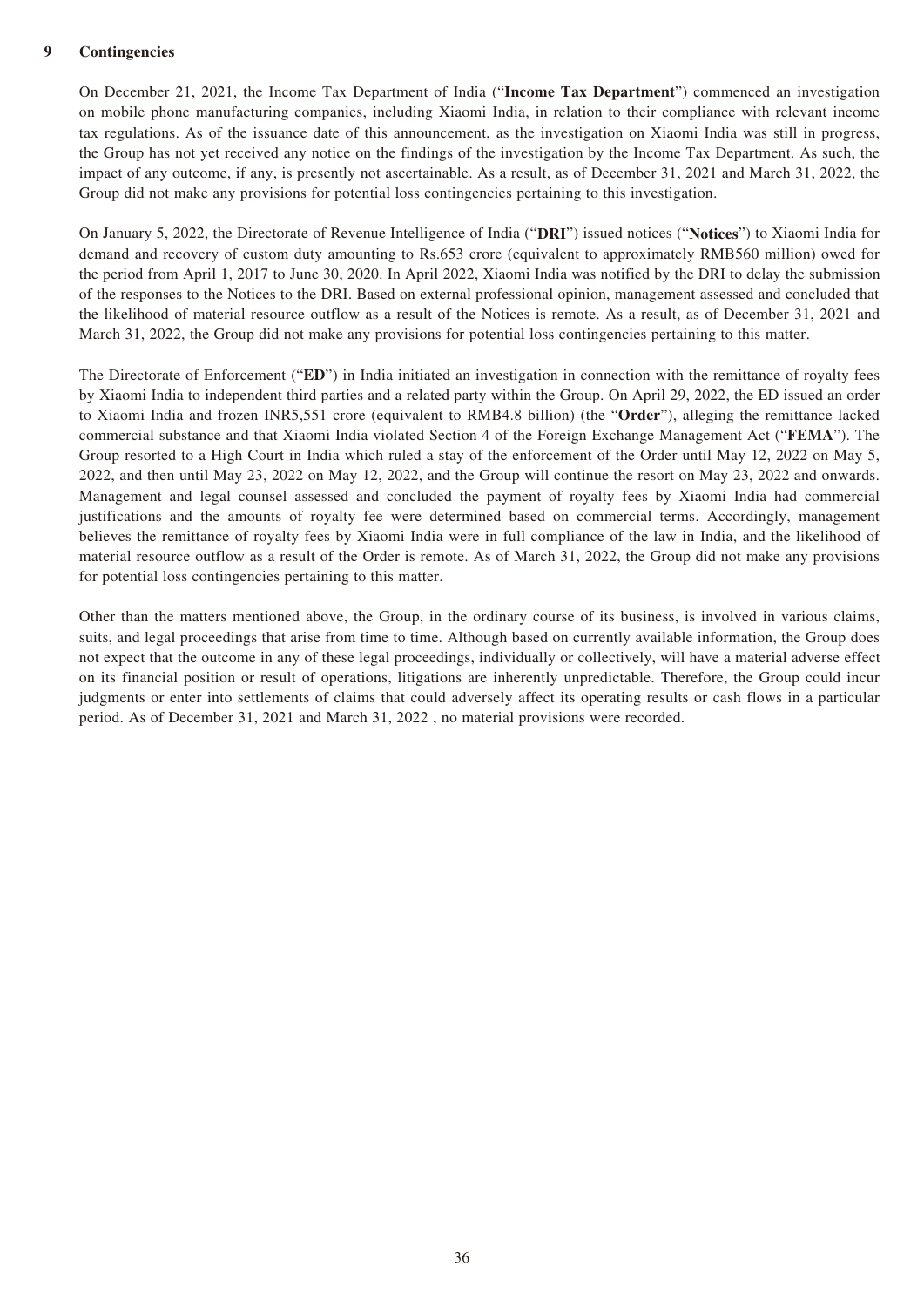#### **9 Contingencies**

On December 21, 2021, the Income Tax Department of India ("**Income Tax Department**") commenced an investigation on mobile phone manufacturing companies, including Xiaomi India, in relation to their compliance with relevant income tax regulations. As of the issuance date of this announcement, as the investigation on Xiaomi India was still in progress, the Group has not yet received any notice on the findings of the investigation by the Income Tax Department. As such, the impact of any outcome, if any, is presently not ascertainable. As a result, as of December 31, 2021 and March 31, 2022, the Group did not make any provisions for potential loss contingencies pertaining to this investigation.

On January 5, 2022, the Directorate of Revenue Intelligence of India ("**DRI**") issued notices ("**Notices**") to Xiaomi India for demand and recovery of custom duty amounting to Rs.653 crore (equivalent to approximately RMB560 million) owed for the period from April 1, 2017 to June 30, 2020. In April 2022, Xiaomi India was notified by the DRI to delay the submission of the responses to the Notices to the DRI. Based on external professional opinion, management assessed and concluded that the likelihood of material resource outflow as a result of the Notices is remote. As a result, as of December 31, 2021 and March 31, 2022, the Group did not make any provisions for potential loss contingencies pertaining to this matter.

The Directorate of Enforcement ("**ED**") in India initiated an investigation in connection with the remittance of royalty fees by Xiaomi India to independent third parties and a related party within the Group. On April 29, 2022, the ED issued an order to Xiaomi India and frozen INR5,551 crore (equivalent to RMB4.8 billion) (the "**Order**"), alleging the remittance lacked commercial substance and that Xiaomi India violated Section 4 of the Foreign Exchange Management Act ("**FEMA**"). The Group resorted to a High Court in India which ruled a stay of the enforcement of the Order until May 12, 2022 on May 5, 2022, and then until May 23, 2022 on May 12, 2022, and the Group will continue the resort on May 23, 2022 and onwards. Management and legal counsel assessed and concluded the payment of royalty fees by Xiaomi India had commercial justifications and the amounts of royalty fee were determined based on commercial terms. Accordingly, management believes the remittance of royalty fees by Xiaomi India were in full compliance of the law in India, and the likelihood of material resource outflow as a result of the Order is remote. As of March 31, 2022, the Group did not make any provisions for potential loss contingencies pertaining to this matter.

Other than the matters mentioned above, the Group, in the ordinary course of its business, is involved in various claims, suits, and legal proceedings that arise from time to time. Although based on currently available information, the Group does not expect that the outcome in any of these legal proceedings, individually or collectively, will have a material adverse effect on its financial position or result of operations, litigations are inherently unpredictable. Therefore, the Group could incur judgments or enter into settlements of claims that could adversely affect its operating results or cash flows in a particular period. As of December 31, 2021 and March 31, 2022 , no material provisions were recorded.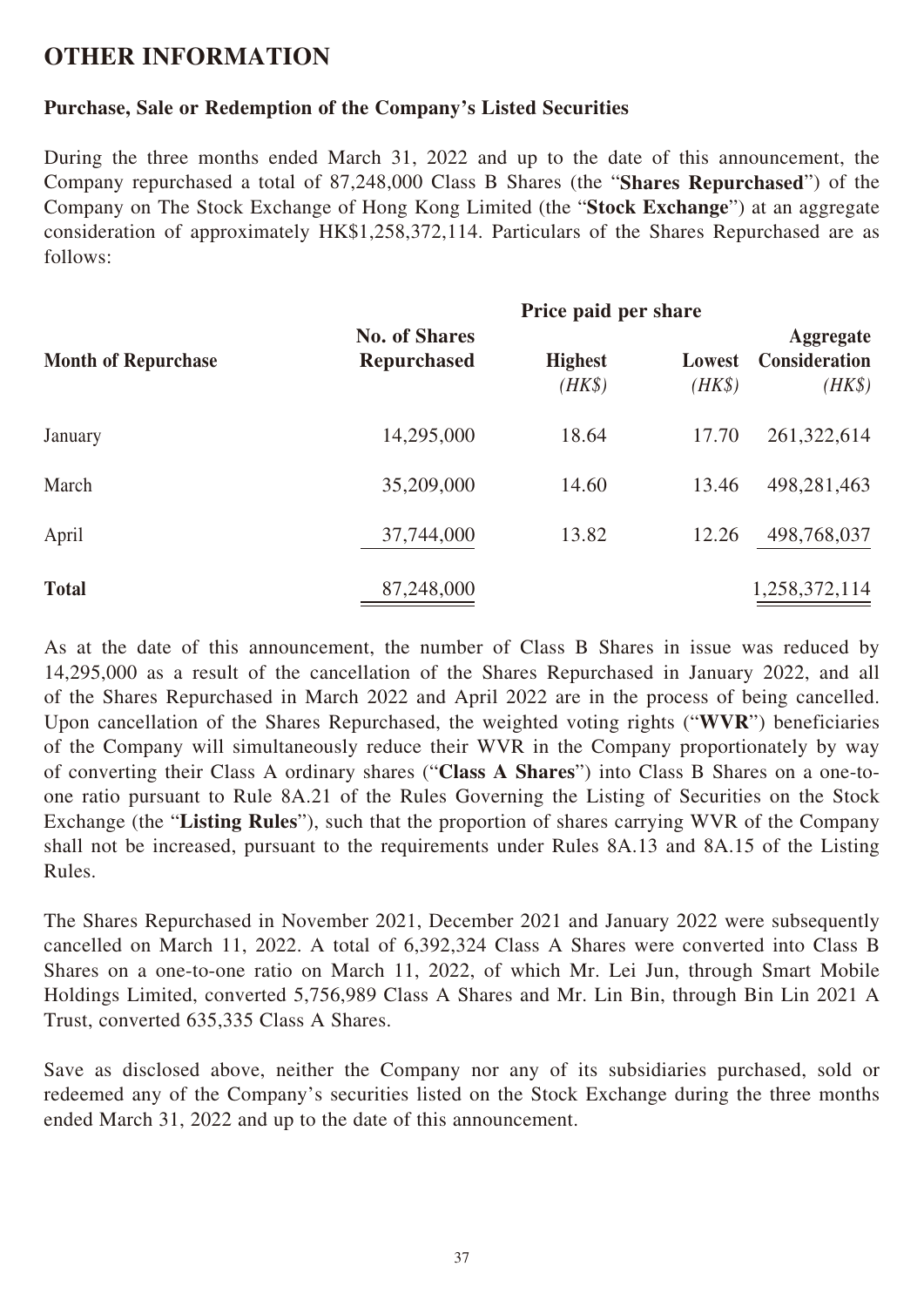# **OTHER INFORMATION**

## **Purchase, Sale or Redemption of the Company's Listed Securities**

During the three months ended March 31, 2022 and up to the date of this announcement, the Company repurchased a total of 87,248,000 Class B Shares (the "**Shares Repurchased**") of the Company on The Stock Exchange of Hong Kong Limited (the "**Stock Exchange**") at an aggregate consideration of approximately HK\$1,258,372,114. Particulars of the Shares Repurchased are as follows:

|                            | Price paid per share                       |                          |                  |                                                    |
|----------------------------|--------------------------------------------|--------------------------|------------------|----------------------------------------------------|
| <b>Month of Repurchase</b> | <b>No. of Shares</b><br><b>Repurchased</b> | <b>Highest</b><br>$(HK\$ | Lowest<br>$(HK\$ | <b>Aggregate</b><br><b>Consideration</b><br>$(HK\$ |
| January                    | 14,295,000                                 | 18.64                    | 17.70            | 261,322,614                                        |
| March                      | 35,209,000                                 | 14.60                    | 13.46            | 498,281,463                                        |
| April                      | 37,744,000                                 | 13.82                    | 12.26            | 498,768,037                                        |
| <b>Total</b>               | 87,248,000                                 |                          |                  | 1,258,372,114                                      |

As at the date of this announcement, the number of Class B Shares in issue was reduced by 14,295,000 as a result of the cancellation of the Shares Repurchased in January 2022, and all of the Shares Repurchased in March 2022 and April 2022 are in the process of being cancelled. Upon cancellation of the Shares Repurchased, the weighted voting rights ("**WVR**") beneficiaries of the Company will simultaneously reduce their WVR in the Company proportionately by way of converting their Class A ordinary shares ("**Class A Shares**") into Class B Shares on a one-toone ratio pursuant to Rule 8A.21 of the Rules Governing the Listing of Securities on the Stock Exchange (the "**Listing Rules**"), such that the proportion of shares carrying WVR of the Company shall not be increased, pursuant to the requirements under Rules 8A.13 and 8A.15 of the Listing Rules.

The Shares Repurchased in November 2021, December 2021 and January 2022 were subsequently cancelled on March 11, 2022. A total of 6,392,324 Class A Shares were converted into Class B Shares on a one-to-one ratio on March 11, 2022, of which Mr. Lei Jun, through Smart Mobile Holdings Limited, converted 5,756,989 Class A Shares and Mr. Lin Bin, through Bin Lin 2021 A Trust, converted 635,335 Class A Shares.

Save as disclosed above, neither the Company nor any of its subsidiaries purchased, sold or redeemed any of the Company's securities listed on the Stock Exchange during the three months ended March 31, 2022 and up to the date of this announcement.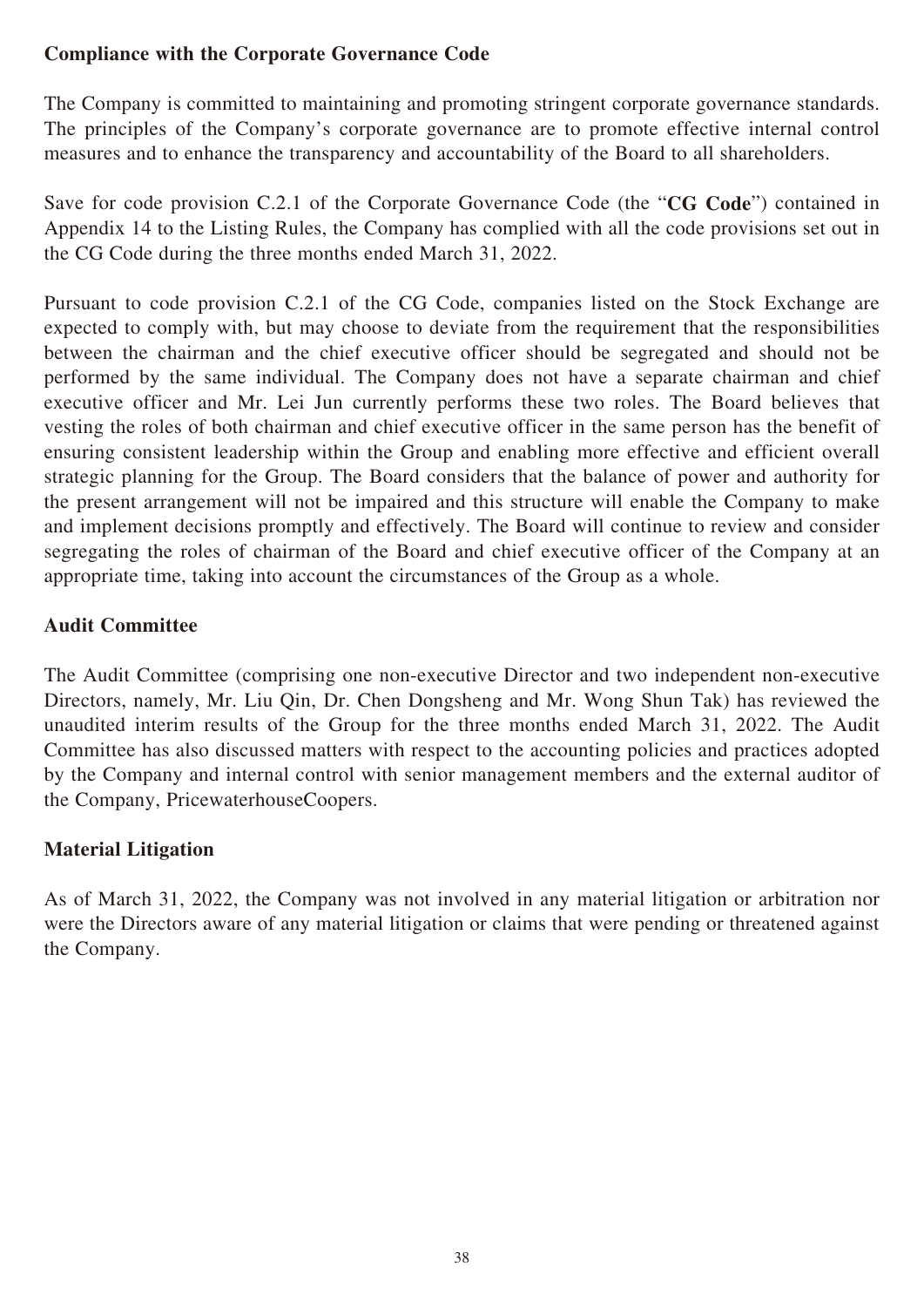# **Compliance with the Corporate Governance Code**

The Company is committed to maintaining and promoting stringent corporate governance standards. The principles of the Company's corporate governance are to promote effective internal control measures and to enhance the transparency and accountability of the Board to all shareholders.

Save for code provision C.2.1 of the Corporate Governance Code (the "**CG Code**") contained in Appendix 14 to the Listing Rules, the Company has complied with all the code provisions set out in the CG Code during the three months ended March 31, 2022.

Pursuant to code provision C.2.1 of the CG Code, companies listed on the Stock Exchange are expected to comply with, but may choose to deviate from the requirement that the responsibilities between the chairman and the chief executive officer should be segregated and should not be performed by the same individual. The Company does not have a separate chairman and chief executive officer and Mr. Lei Jun currently performs these two roles. The Board believes that vesting the roles of both chairman and chief executive officer in the same person has the benefit of ensuring consistent leadership within the Group and enabling more effective and efficient overall strategic planning for the Group. The Board considers that the balance of power and authority for the present arrangement will not be impaired and this structure will enable the Company to make and implement decisions promptly and effectively. The Board will continue to review and consider segregating the roles of chairman of the Board and chief executive officer of the Company at an appropriate time, taking into account the circumstances of the Group as a whole.

# **Audit Committee**

The Audit Committee (comprising one non-executive Director and two independent non-executive Directors, namely, Mr. Liu Qin, Dr. Chen Dongsheng and Mr. Wong Shun Tak) has reviewed the unaudited interim results of the Group for the three months ended March 31, 2022. The Audit Committee has also discussed matters with respect to the accounting policies and practices adopted by the Company and internal control with senior management members and the external auditor of the Company, PricewaterhouseCoopers.

# **Material Litigation**

As of March 31, 2022, the Company was not involved in any material litigation or arbitration nor were the Directors aware of any material litigation or claims that were pending or threatened against the Company.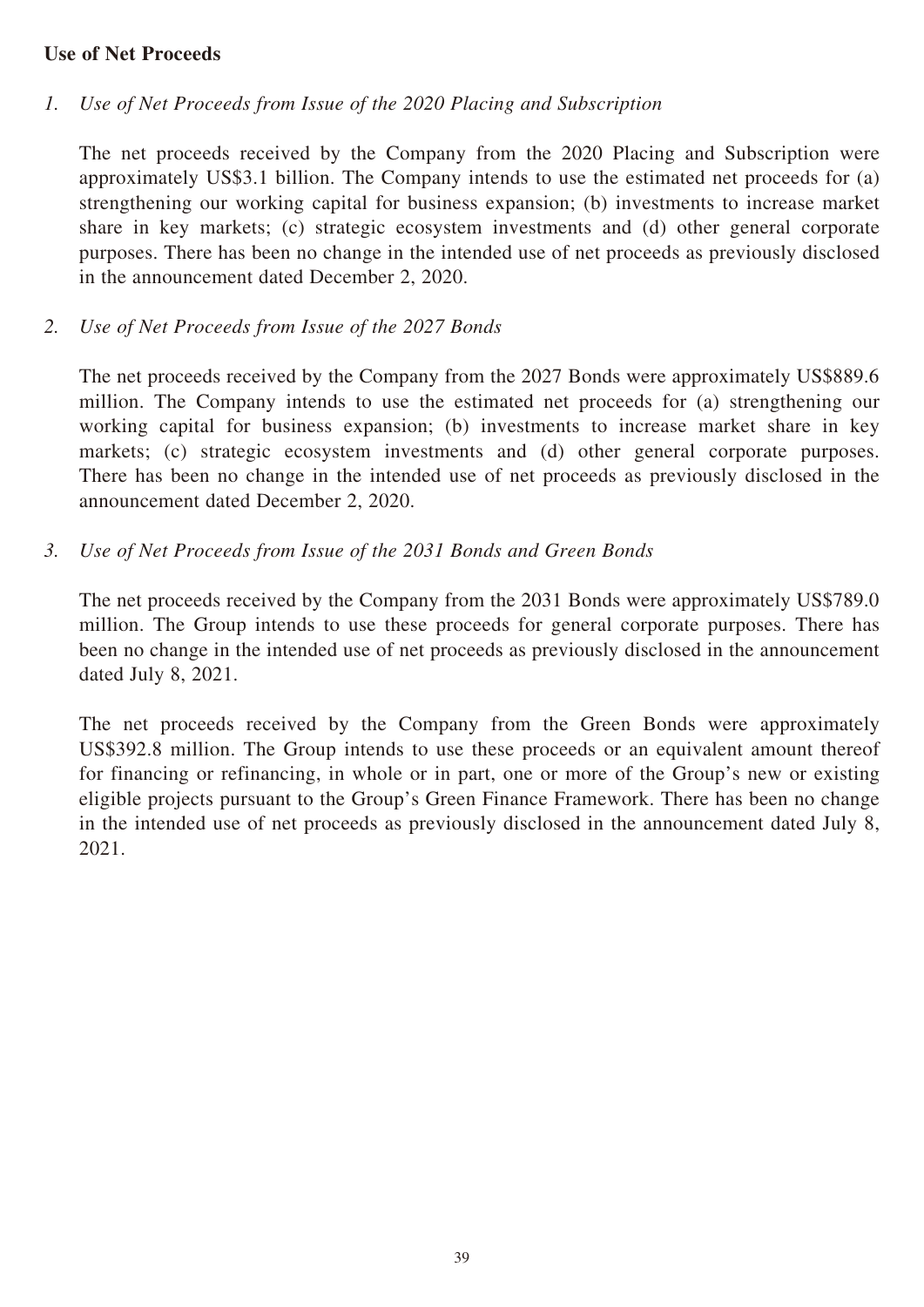#### **Use of Net Proceeds**

### *1. Use of Net Proceeds from Issue of the 2020 Placing and Subscription*

The net proceeds received by the Company from the 2020 Placing and Subscription were approximately US\$3.1 billion. The Company intends to use the estimated net proceeds for (a) strengthening our working capital for business expansion; (b) investments to increase market share in key markets; (c) strategic ecosystem investments and (d) other general corporate purposes. There has been no change in the intended use of net proceeds as previously disclosed in the announcement dated December 2, 2020.

#### *2. Use of Net Proceeds from Issue of the 2027 Bonds*

The net proceeds received by the Company from the 2027 Bonds were approximately US\$889.6 million. The Company intends to use the estimated net proceeds for (a) strengthening our working capital for business expansion; (b) investments to increase market share in key markets; (c) strategic ecosystem investments and (d) other general corporate purposes. There has been no change in the intended use of net proceeds as previously disclosed in the announcement dated December 2, 2020.

### *3. Use of Net Proceeds from Issue of the 2031 Bonds and Green Bonds*

The net proceeds received by the Company from the 2031 Bonds were approximately US\$789.0 million. The Group intends to use these proceeds for general corporate purposes. There has been no change in the intended use of net proceeds as previously disclosed in the announcement dated July 8, 2021.

The net proceeds received by the Company from the Green Bonds were approximately US\$392.8 million. The Group intends to use these proceeds or an equivalent amount thereof for financing or refinancing, in whole or in part, one or more of the Group's new or existing eligible projects pursuant to the Group's Green Finance Framework. There has been no change in the intended use of net proceeds as previously disclosed in the announcement dated July 8, 2021.